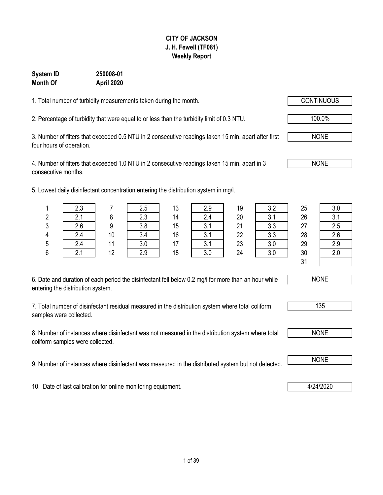### **CITY OF JACKSON J. H. Fewell (TF081) Weekly Report**

### **System ID 250008-01 Month Of April 2020**

1. Total number of turbidity measurements taken during the month.

2. Percentage of turbidity that were equal to or less than the turbidity limit of 0.3 NTU.  $\sqrt{100.0\%}$ 

3. Number of filters that exceeded 0.5 NTU in 2 consecutive readings taken 15 min. apart after first four hours of operation.

4. Number of filters that exceeded 1.0 NTU in 2 consecutive readings taken 15 min. apart in 3 consecutive months.

5. Lowest daily disinfectant concentration entering the distribution system in mg/l.

| 6. Date and duration of each period the disinfectant fell below 0.2 mg/l for more than an hour while |  |
|------------------------------------------------------------------------------------------------------|--|
| entering the distribution system.                                                                    |  |

7. Total number of disinfectant residual measured in the distribution system where total coliform samples were collected.

8. Number of instances where disinfectant was not measured in the distribution system where total coliform samples were collected.

9. Number of instances where disinfectant was measured in the distributed system but not detected. NONE

10. Date of last calibration for online monitoring equipment. 4/24/2020

1 | 2.3 | 7 | 2.5 | 13 | 2.9 | 19 | 3.2 | 25 | 3.0 2 | 2.1 | 8 | 2.3 | 14 | 2.4 | 20 | 3.1 | 26 | 3.1 3 2.6 9 3.8 15 3.1 21 3.3 27 2.5 4 | 2.4 | 10 | 3.4 | 16 | 3.1 | 22 | 3.3 | 28 | 2.6 5 | 2.4 | 11 | 3.0 | 17 | 3.1 | 23 | 3.0 | 29 | 2.9 6 2.1 12 2.9 18 3.0 24 3.0 30 2.0 31





NONE

NONE

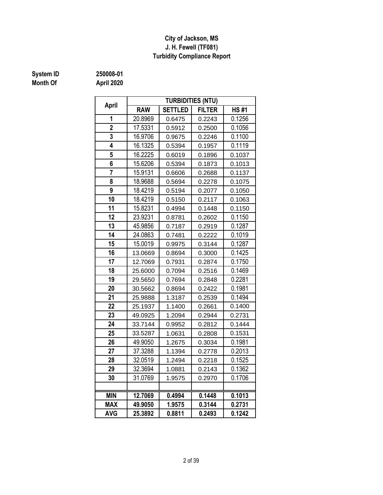### **J. H. Fewell (TF081) Turbidity Compliance Report City of Jackson, MS**

# **System ID** 250008-01<br> **Month Of** April 2020

|                | <b>TURBIDITIES (NTU)</b>              |                |               |             |  |  |  |  |  |  |  |
|----------------|---------------------------------------|----------------|---------------|-------------|--|--|--|--|--|--|--|
| April          | <b>RAW</b>                            | <b>SETTLED</b> | <b>FILTER</b> | <b>HS#1</b> |  |  |  |  |  |  |  |
| 1              | 20.8969                               | 0.6475         | 0.2243        | 0.1256      |  |  |  |  |  |  |  |
| $\overline{2}$ | 17.5331                               | 0.5912         | 0.2500        | 0.1056      |  |  |  |  |  |  |  |
| 3              | 16.9706                               | 0.9675         | 0.2246        | 0.1100      |  |  |  |  |  |  |  |
| 4              | 16.1325                               | 0.5394         | 0.1957        | 0.1119      |  |  |  |  |  |  |  |
| 5              | 16.2225                               | 0.6019         | 0.1896        | 0.1037      |  |  |  |  |  |  |  |
| 6              | 15.6206                               | 0.5394         | 0.1873        | 0.1013      |  |  |  |  |  |  |  |
| $\overline{7}$ | 15.9131                               | 0.6606         | 0.2688        | 0.1137      |  |  |  |  |  |  |  |
| 8              | 18.9688<br>0.2278<br>0.1075<br>0.5694 |                |               |             |  |  |  |  |  |  |  |
| 9              | 18.4219                               | 0.5194         | 0.2077        | 0.1050      |  |  |  |  |  |  |  |
| 10             | 18.4219                               | 0.2117         | 0.1063        |             |  |  |  |  |  |  |  |
| 11             | 15.8231                               | 0.4994         | 0.1448        | 0.1150      |  |  |  |  |  |  |  |
| 12             | 23.9231                               | 0.8781         | 0.2602        | 0.1150      |  |  |  |  |  |  |  |
| 13             | 45.9856                               | 0.7187         | 0.2919        | 0.1287      |  |  |  |  |  |  |  |
| 14             | 24.0863                               | 0.7481         | 0.2222        | 0.1019      |  |  |  |  |  |  |  |
| 15             | 15.0019                               | 0.9975         | 0.3144        | 0.1287      |  |  |  |  |  |  |  |
| 16             | 13.0669                               | 0.8694         | 0.3000        | 0.1425      |  |  |  |  |  |  |  |
| 17             | 12.7069                               | 0.7931         | 0.2874        | 0.1750      |  |  |  |  |  |  |  |
| 18             | 25.6000                               | 0.7094         | 0.2516        | 0.1469      |  |  |  |  |  |  |  |
| 19             | 29.5650                               | 0.7694         | 0.2848        | 0.2281      |  |  |  |  |  |  |  |
| 20             | 30.5662                               | 0.8694         | 0.2422        | 0.1981      |  |  |  |  |  |  |  |
| 21             | 25.9888                               | 1.3187         | 0.2539        | 0.1494      |  |  |  |  |  |  |  |
| 22             | 25.1937                               | 1.1400         | 0.2661        | 0.1400      |  |  |  |  |  |  |  |
| 23             | 49.0925                               | 1.2094         | 0.2944        | 0.2731      |  |  |  |  |  |  |  |
| 24             | 33.7144                               | 0.9952         | 0.2812        | 0.1444      |  |  |  |  |  |  |  |
| 25             | 33.5287                               | 1.0631         | 0.2808        | 0.1531      |  |  |  |  |  |  |  |
| 26             | 49.9050                               | 1.2675         | 0.3034        | 0.1981      |  |  |  |  |  |  |  |
| 27             | 37.3288                               | 1.1394         | 0.2778        | 0.2013      |  |  |  |  |  |  |  |
| 28             | 32.0519                               | 1.2494         | 0.2218        | 0.1525      |  |  |  |  |  |  |  |
| 29             | 32.3694                               | 1.0881         | 0.2143        | 0.1362      |  |  |  |  |  |  |  |
| 30             | 31.0769                               | 1.9575         | 0.2970        | 0.1706      |  |  |  |  |  |  |  |
|                |                                       |                |               |             |  |  |  |  |  |  |  |
| <b>MIN</b>     | 12.7069                               | 0.4994         | 0.1448        | 0.1013      |  |  |  |  |  |  |  |
| <b>MAX</b>     | 49.9050                               | 1.9575         | 0.3144        | 0.2731      |  |  |  |  |  |  |  |
| <b>AVG</b>     | 25.3892                               | 0.8811         | 0.2493        | 0.1242      |  |  |  |  |  |  |  |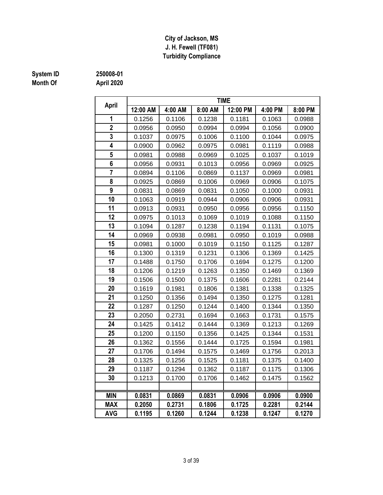### **J. H. Fewell (TF081) Turbidity Compliance City of Jackson, MS**

## **Month Of April 2020**

### **System ID 250008-01**

| April          | <b>TIME</b> |         |                                      |          |         |         |  |  |  |  |  |  |  |
|----------------|-------------|---------|--------------------------------------|----------|---------|---------|--|--|--|--|--|--|--|
|                | 12:00 AM    | 4:00 AM | 8:00 AM                              | 12:00 PM | 4:00 PM | 8:00 PM |  |  |  |  |  |  |  |
| 1              | 0.1256      | 0.1106  | 0.1238                               | 0.1181   | 0.1063  | 0.0988  |  |  |  |  |  |  |  |
| $\overline{2}$ | 0.0956      | 0.0950  | 0.0994                               | 0.0994   | 0.1056  | 0.0900  |  |  |  |  |  |  |  |
| 3              | 0.1037      | 0.0975  | 0.1006                               | 0.1100   | 0.1044  | 0.0975  |  |  |  |  |  |  |  |
| 4              | 0.0900      | 0.0962  | 0.0975                               | 0.0981   | 0.1119  | 0.0988  |  |  |  |  |  |  |  |
| 5              | 0.0981      | 0.0988  | 0.0969                               | 0.1025   | 0.1037  | 0.1019  |  |  |  |  |  |  |  |
| 6              | 0.0956      | 0.0931  | 0.1013                               | 0.0956   | 0.0969  | 0.0925  |  |  |  |  |  |  |  |
| $\overline{7}$ | 0.0894      | 0.1106  | 0.0869<br>0.1137                     |          | 0.0969  | 0.0981  |  |  |  |  |  |  |  |
| 8              | 0.0925      | 0.0869  | 0.1006<br>0.0969                     |          | 0.0906  | 0.1075  |  |  |  |  |  |  |  |
| 9              | 0.0831      | 0.0869  | 0.0831<br>0.1050<br>0.1000           |          | 0.0931  |         |  |  |  |  |  |  |  |
| 10             | 0.1063      | 0.0919  | 0.0944<br>0.0906<br>0.0931<br>0.0906 |          |         |         |  |  |  |  |  |  |  |
| 11             | 0.0913      | 0.0931  | 0.0950                               | 0.0956   | 0.0956  | 0.1150  |  |  |  |  |  |  |  |
| 12             | 0.0975      | 0.1013  | 0.1069                               | 0.1019   | 0.1088  | 0.1150  |  |  |  |  |  |  |  |
| 13             | 0.1094      | 0.1287  | 0.1238                               | 0.1194   | 0.1131  | 0.1075  |  |  |  |  |  |  |  |
| 14             | 0.0969      | 0.0938  | 0.0981<br>0.0950                     |          | 0.1019  | 0.0988  |  |  |  |  |  |  |  |
| 15             | 0.0981      | 0.1000  | 0.1019<br>0.1150                     |          | 0.1125  | 0.1287  |  |  |  |  |  |  |  |
| 16             | 0.1300      | 0.1319  | 0.1231                               | 0.1306   | 0.1369  | 0.1425  |  |  |  |  |  |  |  |
| 17             | 0.1488      | 0.1750  | 0.1706                               | 0.1694   | 0.1275  | 0.1200  |  |  |  |  |  |  |  |
| 18             | 0.1206      | 0.1219  | 0.1263                               | 0.1350   | 0.1469  | 0.1369  |  |  |  |  |  |  |  |
| 19             | 0.1506      | 0.1500  | 0.1375                               | 0.1606   | 0.2281  | 0.2144  |  |  |  |  |  |  |  |
| 20             | 0.1619      | 0.1981  | 0.1806                               | 0.1381   | 0.1338  | 0.1325  |  |  |  |  |  |  |  |
| 21             | 0.1250      | 0.1356  | 0.1494                               | 0.1350   | 0.1275  | 0.1281  |  |  |  |  |  |  |  |
| 22             | 0.1287      | 0.1250  | 0.1244                               | 0.1400   | 0.1344  | 0.1350  |  |  |  |  |  |  |  |
| 23             | 0.2050      | 0.2731  | 0.1694                               | 0.1663   | 0.1731  | 0.1575  |  |  |  |  |  |  |  |
| 24             | 0.1425      | 0.1412  | 0.1444                               | 0.1369   | 0.1213  | 0.1269  |  |  |  |  |  |  |  |
| 25             | 0.1200      | 0.1150  | 0.1356                               | 0.1425   | 0.1344  | 0.1531  |  |  |  |  |  |  |  |
| 26             | 0.1362      | 0.1556  | 0.1444                               | 0.1725   | 0.1594  | 0.1981  |  |  |  |  |  |  |  |
| 27             | 0.1706      | 0.1494  | 0.1575                               | 0.1469   | 0.1756  | 0.2013  |  |  |  |  |  |  |  |
| 28             | 0.1325      | 0.1256  | 0.1525                               | 0.1181   | 0.1375  | 0.1400  |  |  |  |  |  |  |  |
| 29             | 0.1187      | 0.1294  | 0.1362                               | 0.1187   | 0.1175  | 0.1306  |  |  |  |  |  |  |  |
| 30             | 0.1213      | 0.1700  | 0.1706                               | 0.1462   | 0.1475  | 0.1562  |  |  |  |  |  |  |  |
| <b>MIN</b>     | 0.0831      | 0.0869  | 0.0831                               | 0.0906   | 0.0906  | 0.0900  |  |  |  |  |  |  |  |
| <b>MAX</b>     | 0.2050      | 0.2731  | 0.1806                               | 0.1725   | 0.2281  | 0.2144  |  |  |  |  |  |  |  |
| <b>AVG</b>     | 0.1195      | 0.1260  | 0.1244                               | 0.1238   | 0.1247  | 0.1270  |  |  |  |  |  |  |  |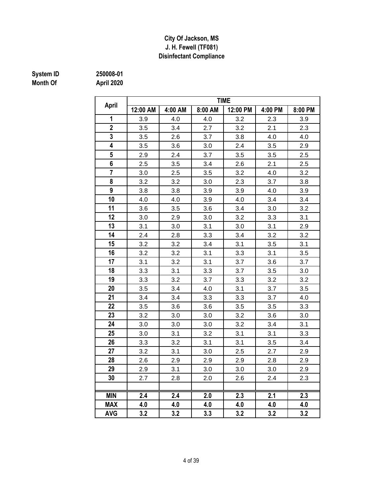### **Disinfectant Compliance City Of Jackson, MS J. H. Fewell (TF081)**

# **System ID** 250008-01<br> **Month Of** April 2020

|                |          |         |         | <b>TIME</b> |         |         |
|----------------|----------|---------|---------|-------------|---------|---------|
| <b>April</b>   | 12:00 AM | 4:00 AM | 8:00 AM | 12:00 PM    | 4:00 PM | 8:00 PM |
| 1              | 3.9      | 4.0     | 4.0     | 3.2         | 2.3     | 3.9     |
| $\overline{2}$ | 3.5      | 3.4     | 2.7     | 3.2         | 2.1     | 2.3     |
| 3              | 3.5      | 2.6     | 3.7     | 3.8         | 4.0     | 4.0     |
| 4              | 3.5      | 3.6     | 3.0     | 2.4         | 3.5     | 2.9     |
| 5              | 2.9      | 2.4     | 3.7     | 3.5         | 3.5     | 2.5     |
| 6              | 2.5      | 3.5     | 3.4     | 2.6         | 2.1     | 2.5     |
| $\overline{7}$ | 3.0      | 2.5     | 3.5     | 3.2         | 4.0     | 3.2     |
| 8              | 3.2      | 3.2     | 3.0     | 2.3         | 3.7     | 3.8     |
| 9              | 3.8      | 3.8     | 3.9     | 3.9         | 4.0     | 3.9     |
| 10             | 4.0      | 4.0     | 3.9     | 4.0         | 3.4     | 3.4     |
| 11             | 3.6      | 3.5     | 3.6     | 3.4         | 3.0     | 3.2     |
| 12             | 3.0      | 2.9     | 3.0     | 3.2         | 3.3     | 3.1     |
| 13             | 3.1      | 3.0     | 3.1     | 3.0         | 3.1     | 2.9     |
| 14             | 2.4      | 2.8     | 3.3     | 3.4         | 3.2     | 3.2     |
| 15             | 3.2      | 3.2     | 3.4     | 3.1         | 3.5     | 3.1     |
| 16             | 3.2      | 3.2     | 3.1     | 3.3         | 3.1     | 3.5     |
| 17             | 3.1      | 3.2     | 3.1     | 3.7         | 3.6     | 3.7     |
| 18             | 3.3      | 3.1     | 3.3     | 3.7         | 3.5     | 3.0     |
| 19             | 3.3      | 3.2     | 3.7     | 3.3         | 3.2     | 3.2     |
| 20             | 3.5      | 3.4     | 4.0     | 3.1         | 3.7     | 3.5     |
| 21             | 3.4      | 3.4     | 3.3     | 3.3         | 3.7     | 4.0     |
| 22             | 3.5      | 3.6     | 3.6     | 3.5         | 3.5     | 3.3     |
| 23             | 3.2      | 3.0     | 3.0     | 3.2         | 3.6     | 3.0     |
| 24             | 3.0      | 3.0     | 3.0     | 3.2         | 3.4     | 3.1     |
| 25             | 3.0      | 3.1     | 3.2     | 3.1         | 3.1     | 3.3     |
| 26             | 3.3      | 3.2     | 3.1     | 3.1         | 3.5     | 3.4     |
| 27             | 3.2      | 3.1     | 3.0     | 2.5         | 2.7     | 2.9     |
| 28             | 2.6      | 2.9     | 2.9     | 2.9         | 2.8     | 2.9     |
| 29             | 2.9      | 3.1     | 3.0     | 3.0         | 3.0     | 2.9     |
| 30             | 2.7      | 2.8     | 2.0     | 2.6         | 2.4     | 2.3     |
| <b>MIN</b>     | 2.4      | 2.4     | 2.0     | 2.3         | 2.1     | 2.3     |
| <b>MAX</b>     | 4.0      | 4.0     | 4.0     | 4.0         | 4.0     | 4.0     |
| <b>AVG</b>     | 3.2      | 3.2     | 3.3     | 3.2         | 3.2     | 3.2     |
|                |          |         |         |             |         |         |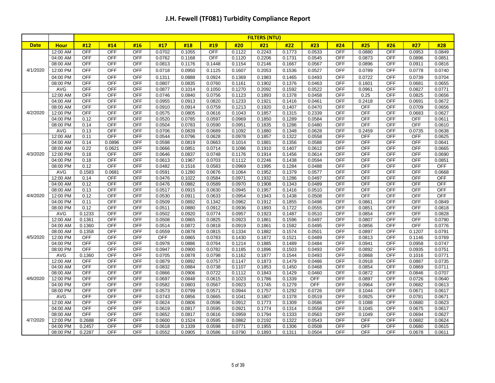|             |                      | <b>FILTERS (NTU)</b>     |                          |                          |                  |                  |                  |                  |                  |                  |                  |                          |                          |                          |                          |                  |
|-------------|----------------------|--------------------------|--------------------------|--------------------------|------------------|------------------|------------------|------------------|------------------|------------------|------------------|--------------------------|--------------------------|--------------------------|--------------------------|------------------|
| <b>Date</b> | <b>Hour</b>          | #12                      | #14                      | #16                      | #17              | #18              | #19              | #20              | #21              | #22              | #23              | #24                      | #25                      | #26                      | #27                      | #28              |
|             | 12:00 AM             | <b>OFF</b>               | <b>OFF</b>               | <b>OFF</b>               | 0.0702           | 0.1055           | <b>OFF</b>       | 0.1122           | 0.2243           | 0.1773           | 0.0533           | <b>OFF</b>               | 0.0880                   | <b>OFF</b>               | 0.0953                   | 0.0849           |
|             | 04:00 AM             | <b>OFF</b>               | <b>OFF</b>               | OFF                      | 0.0762           | 0.1168           | <b>OFF</b>       | 0.1120           | 0.2206           | 0.1731           | 0.0545           | <b>OFF</b>               | 0.0873                   | <b>OFF</b>               | 0.0896                   | 0.0851           |
|             | 08:00 AM             | <b>OFF</b>               | <b>OFF</b>               | OFF                      | 0.0813           | 0.1176           | 0.1448           | 0.1154           | 0.2146           | 0.1667           | 0.0567           | OFF                      | 0.0896                   | <b>OFF</b>               | 0.0911                   | 0.0816           |
| 4/1/2020    | 12:00 PM             | <b>OFF</b>               | <b>OFF</b>               | OFF                      | 0.0718           | 0.0950           | 0.1125           | 0.1607           | 0.2053           | 0.1536           | 0.0527           | OFF                      | 0.0789                   | <b>OFF</b>               | 0.0778                   | 0.0740           |
|             | 04:00 PM             | <b>OFF</b>               | <b>OFF</b>               | <b>OFF</b>               | 0.1311           | 0.0888           | 0.0924           | 0.1369           | 0.1983           | 0.1465           | 0.0493           | OFF                      | 0.0722                   | <b>OFF</b>               | 0.0739                   | 0.0704           |
|             | 08:00 PM             | <b>OFF</b>               | <b>OFF</b>               | <b>OFF</b>               | 0.0807           | 0.0835           | 0.0760           | 0.1161           | 0.1902           | 0.1376           | 0.0463           | OFF                      | 0.1601                   | <b>OFF</b>               | 0.0681                   | 0.0655           |
|             | AVG                  | <b>OFF</b>               | <b>OFF</b>               | <b>OFF</b>               | 0.0877           | 0.1014           | 0.1050           | 0.1270           | 0.2092           | 0.1592           | 0.0522           | OFF                      | 0.0961                   | <b>OFF</b>               | 0.0827                   | 0.0771           |
|             | 12:00 AM             | <b>OFF</b>               | <b>OFF</b>               | OFF                      | 0.0746           | 0.0840           | 0.0756           | 0.1123           | 0.1893           | 0.1378           | 0.0458           | OFF                      | 0.25                     | <b>OFF</b>               | 0.0825                   | 0.0656           |
|             | 04:00 AM             | <b>OFF</b>               | OFF                      | <b>OFF</b>               | 0.0955           | 0.0913           | 0.0820           | 0.1233           | 0.1921           | 0.1416           | 0.0461           | OFF                      | 0.2418                   | OFF                      | 0.0691                   | 0.0672           |
|             | 08:00 AM             | <b>OFF</b>               | <b>OFF</b>               | <b>OFF</b>               | 0.0910           | 0.0914           | 0.0759           | 0.1213           | 0.1920           | 0.1407           | 0.0470           | OFF                      | <b>OFF</b>               | <b>OFF</b>               | 0.0709                   | 0.0656           |
| 4/2/2020    | 12:00 PM             | <b>OFF</b>               | <b>OFF</b>               | OFF                      | 0.0575           | 0.0805           | 0.0616           | 0.1043           | 0.1857           | 0.1315           | 0.2339           | OFF                      | <b>OFF</b>               | <b>OFF</b>               | 0.0683                   | 0.0627           |
|             | 04:00 PM             | 0.12                     | <b>OFF</b>               | OFF                      | 0.0520           | 0.0785           | 0.0597           | 0.0969           | 0.1850           | 0.1289           | 0.0584           | OFF                      | <b>OFF</b>               | <b>OFF</b>               | <b>OFF</b>               | 0.0611           |
|             | 08:00 PM             | 0.14                     | <b>OFF</b>               | <b>OFF</b>               | 0.0504           | 0.0783           | 0.0590           | 0.0951           | 0.1835           | 0.1286           | 0.0480           | OFF                      | <b>OFF</b>               | <b>OFF</b>               | <b>OFF</b>               | 0.0610           |
|             | AVG                  | 0.13                     | <b>OFF</b>               | OFF                      | 0.0706           | 0.0839           | 0.0689           | 0.1092           | 0.1880           | 0.1348           | 0.0628           | OFF                      | 0.2459                   | <b>OFF</b>               | 0.0735                   | 0.0638           |
|             | 12:00 AM             | 0.11                     | <b>OFF</b>               | <b>OFF</b>               | 0.0544           | 0.0796           | 0.0628           | 0.0978           | 0.1857           | 0.1322           | 0.0558           | <b>OFF</b>               | <b>OFF</b>               | <b>OFF</b>               | <b>OFF</b>               | 0.0625           |
|             | 04:00 AM             | 0.14<br>0.22             | 0.0896<br>0.0621         | <b>OFF</b><br><b>OFF</b> | 0.0598           | 0.0819           | 0.0663           | 0.1014           | 0.1881           | 0.1356           | 0.0588           | <b>OFF</b><br><b>OFF</b> | <b>OFF</b><br><b>OFF</b> | <b>OFF</b><br><b>OFF</b> | <b>OFF</b><br><b>OFF</b> | 0.0641           |
| 4/3/2020    | 08:00 AM<br>12:00 PM |                          | <b>OFF</b>               | <b>OFF</b>               | 0.0666<br>0.0646 | 0.0851           | 0.0714<br>0.0748 | 0.1096<br>0.1176 | 0.1910           | 0.1407           | 0.0612           | OFF                      | <b>OFF</b>               | <b>OFF</b>               | <b>OFF</b>               | 0.0665<br>0.0690 |
|             | 04:00 PM             | 0.18<br>0.18             | <b>OFF</b>               | <b>OFF</b>               | 0.0613           | 0.0837<br>0.1967 | 0.0703           | 0.1112           | 0.1914<br>0.2246 | 0.1456<br>0.1438 | 0.0614<br>0.0594 | OFF                      | OFF                      | <b>OFF</b>               | <b>OFF</b>               | 0.0851           |
|             | 08:00 PM             | 0.12                     | OFF                      | <b>OFF</b>               | 0.0482           | 0.1516           | 0.0583           | 0.0969           | 0.1995           | 0.1284           | 0.0488           | OFF                      | <b>OFF</b>               | <b>OFF</b>               | OFF                      | OFF              |
|             | <b>AVG</b>           | 0.1583                   | 0.0681                   | <b>OFF</b>               | 0.0591           | 0.1280           | 0.0676           | 0.1064           | 0.1952           | 0.1379           | 0.0577           | OFF                      | OFF                      | <b>OFF</b>               | <b>OFF</b>               | 0.0668           |
|             | 12:00 AM             | 0.14                     | <b>OFF</b>               | <b>OFF</b>               | 0.0476           | 0.1022           | 0.0584           | 0.0971           | 0.1932           | 0.1286           | 0.0497           | OFF                      | OFF                      | <b>OFF</b>               | OFF                      | <b>OFF</b>       |
|             | 04:00 AM             | 0.12                     | <b>OFF</b>               | OFF                      | 0.0476           | 0.0882           | 0.0589           | 0.0970           | 0.1908           | 0.1343           | 0.0489           | OFF                      | <b>OFF</b>               | <b>OFF</b>               | <b>OFF</b>               | <b>OFF</b>       |
|             | 08:00 AM             | 0.13                     | <b>OFF</b>               | OFF                      | 0.0517           | 0.0915           | 0.0630           | 0.0945           | 0.1957           | 0.1416           | 0.0510           | OFF                      | <b>OFF</b>               | <b>OFF</b>               | <b>OFF</b>               | <b>OFF</b>       |
| 4/4/2020    | 12:00 PM             | 0.12                     | <b>OFF</b>               | <b>OFF</b>               | 0.0530           | 0.0911           | 0.0633           | 0.0954           | 0.1943           | 0.1438           | 0.0508           | OFF                      | <b>OFF</b>               | <b>OFF</b>               | <b>OFF</b>               | <b>OFF</b>       |
|             | 04:00 PM             | 0.11                     | <b>OFF</b>               | <b>OFF</b>               | 0.0509           | 0.0892           | 0.1342           | 0.0962           | 0.1912           | 0.1855           | 0.0498           | OFF                      | 0.0861                   | <b>OFF</b>               | <b>OFF</b>               | 0.0849           |
|             | 08:00 PM             | 0.12                     | <b>OFF</b>               | <b>OFF</b>               | 0.0511           | 0.0880           | 0.0912           | 0.0936           | 0.1893           | 0.1722           | 0.0555           | <b>OFF</b>               | 0.0851                   | <b>OFF</b>               | <b>OFF</b>               | 0.0818           |
|             | <b>AVG</b>           | 0.1233                   | <b>OFF</b>               | OFF                      | 0.0502           | 0.0920           | 0.0774           | 0.0957           | 0.1923           | 0.1487           | 0.0510           | OFF                      | 0.0854                   | <b>OFF</b>               | <b>OFF</b>               | 0.0828           |
|             | 12:00 AM             | 0.1361                   | <b>OFF</b>               | <b>OFF</b>               | 0.0508           | 0.0865           | 0.0825           | 0.0923           | 0.1861           | 0.1596           | 0.0497           | <b>OFF</b>               | 0.0807                   | <b>OFF</b>               | <b>OFF</b>               | 0.0790           |
|             | 04:00 AM             | 0.1360                   | <b>OFF</b>               | OFF                      | 0.0514           | 0.0872           | 0.0818           | 0.0919           | 0.1861           | 0.1582           | 0.0495           | <b>OFF</b>               | 0.0856                   | <b>OFF</b>               | <b>OFF</b>               | 0.0776           |
|             | 08:00 AM             | 0.1358                   | <b>OFF</b>               | <b>OFF</b>               | 0.0559           | 0.0878           | 0.0815           | 0.1334           | 0.1882           | 0.1574           | 0.0501           | OFF                      | 0.0897                   | <b>OFF</b>               | 0.1207                   | 0.0791           |
| 4/5/2020    | 12:00 PM             | <b>OFF</b>               | <b>OFF</b>               | <b>OFF</b>               | <b>OFF</b>       | 0.0865           | 0.0783           | 0.1430           | 0.1872           | 0.1521           | 0.0489           | OFF                      | 0.0813                   | <b>OFF</b>               | 0.1146                   | 0.0769           |
|             | 04:00 PM             | <b>OFF</b>               | <b>OFF</b>               | <b>OFF</b>               | 0.0978           | 0.0886           | 0.0764           | 0.1214           | 0.1885           | 0.1489           | 0.0484           | OFF                      | 0.0941                   | <b>OFF</b>               | 0.0958                   | 0.0747           |
|             | 08:00 PM             | <b>OFF</b>               | <b>OFF</b>               | OFF                      | 0.0947           | 0.0900           | 0.0782           | 0.1185           | 0.1896           | 0.1503           | 0.0493           | <b>OFF</b>               | 0.0892                   | <b>OFF</b>               | 0.0935                   | 0.0751           |
|             | AVG                  | 0.1360                   | <b>OFF</b>               | <b>OFF</b>               | 0.0705           | 0.0878           | 0.0798           | 0.1162           | 0.1877           | 0.1544           | 0.0493           | OFF                      | 0.0868                   | <b>OFF</b>               | 0.1016                   | 0.0771           |
|             | 12:00 AM             | <b>OFF</b>               | <b>OFF</b>               | OFF                      | 0.0879           | 0.0892           | 0.0757           | 0.1147           | 0.1873           | 0.1479           | 0.0486           | OFF                      | 0.0918                   | <b>OFF</b>               | 0.0887                   | 0.0735           |
|             | 04:00 AM             | <b>OFF</b>               | <b>OFF</b>               | OFF                      | 0.0832           | 0.0884           | 0.0738           | 0.1107           | 0.1853           | 0.1450           | 0.0468           | OFF                      | 0.0854                   | <b>OFF</b>               | 0.0869                   | 0.0711           |
|             | 08:00 AM             | <b>OFF</b>               | <b>OFF</b>               | <b>OFF</b>               | 0.0866           | 0.0906           | 0.0722           | 0.1112           | 0.1843           | 0.1429           | 0.0460           | <b>OFF</b>               | 0.0872                   | <b>OFF</b>               | 0.0846                   | 0.0707           |
| 4/6/2020    | 12:00 PM             | <b>OFF</b>               | <b>OFF</b>               | <b>OFF</b>               | 0.0697           | 0.0848           | 0.0615           | 0.1023           | 0.1786           | 0.1339           | <b>OFF</b>       | OFF                      | 0.0897                   | <b>OFF</b>               | 0.0726                   | 0.0640           |
|             | 04:00 PM             | <b>OFF</b>               | <b>OFF</b>               | OFF                      | 0.0582           | 0.0803           | 0.0567           | 0.0923           | 0.1745           | 0.1279           | <b>OFF</b>       | <b>OFF</b>               | 0.0964                   | <b>OFF</b>               | 0.0682                   | 0.0613           |
|             | 08:00 PM             | <b>OFF</b>               | <b>OFF</b>               | OFF                      | 0.0573           | 0.0799           | 0.0571           | 0.0944           | 0.1757           | 0.1292           | 0.0726           | <b>OFF</b>               | 0.1044                   | <b>OFF</b>               | 0.0671                   | 0.0617           |
|             | AVG                  | <b>OFF</b><br><b>OFF</b> | <b>OFF</b>               | OFF                      | 0.0743           | 0.0856           | 0.0665           | 0.1041           | 0.1807           | 0.1378           | 0.0519           | OFF                      | 0.0925                   | <b>OFF</b>               | 0.0781                   | 0.0671           |
|             | 12:00 AM             | <b>OFF</b>               | <b>OFF</b><br><b>OFF</b> | <b>OFF</b><br><b>OFF</b> | 0.0624           | 0.0806           | 0.0596<br>0.0595 | 0.0912           | 0.1773           | 0.1309           | 0.0586           | OFF<br>OFF               | 0.1088                   | <b>OFF</b><br><b>OFF</b> | 0.0680                   | 0.0623           |
|             | 04:00 AM<br>08:00 AM | <b>OFF</b>               | <b>OFF</b>               | <b>OFF</b>               | 0.0619<br>0.0652 | 0.0817<br>0.0817 | 0.0616           | 0.0921<br>0.0959 | 0.1774<br>0.1794 | 0.1314<br>0.1333 | 0.0558<br>0.0563 | OFF                      | 0.1045<br>0.1049         | <b>OFF</b>               | 0.0675<br>0.0694         | 0.0617<br>0.0627 |
| 4/7/2020    | 12:00 PM             | 0.2688                   | <b>OFF</b>               | <b>OFF</b>               | 0.0600           | 0.1524           | 0.0595           | 0.0862           | 0.2192           | 0.1322           | 0.0543           | OFF                      | <b>OFF</b>               | <b>OFF</b>               | 0.0682                   | 0.0624           |
|             | 04:00 PM             | 0.2457                   | <b>OFF</b>               | <b>OFF</b>               | 0.0618           | 0.1339           | 0.0598           | 0.0771           | 0.1955           | 0.1306           | 0.0508           | <b>OFF</b>               | <b>OFF</b>               | <b>OFF</b>               | 0.0680                   | 0.0615           |
|             | 08:00 PM             | 0.2287                   | <b>OFF</b>               | OFF                      | 0.0552           | 0.0905           | 0.0586           | 0.0790           | 0.1893           | 0.1311           | 0.0504           | <b>OFF</b>               | <b>OFF</b>               | <b>OFF</b>               | 0.0678                   | 0.0611           |
|             |                      |                          |                          |                          |                  |                  |                  |                  |                  |                  |                  |                          |                          |                          |                          |                  |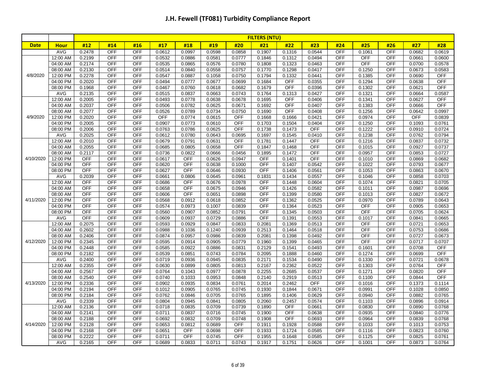|             |                      | <b>FILTERS (NTU)</b> |                          |                          |                  |                  |                  |                  |                  |                  |                  |                   |                      |                          |                  |                  |
|-------------|----------------------|----------------------|--------------------------|--------------------------|------------------|------------------|------------------|------------------|------------------|------------------|------------------|-------------------|----------------------|--------------------------|------------------|------------------|
| <b>Date</b> | <b>Hour</b>          | #12                  | #14                      | #16                      | #17              | #18              | #19              | #20              | #21              | #22              | #23              | #24               | #25                  | #26                      | #27              | #28              |
|             | AVG                  | 0.2478               | <b>OFF</b>               | OFF                      | 0.0612           | 0.0997           | 0.0598           | 0.0858           | 0.1907           | 0.1316           | 0.0544           | OFF               | 0.1061               | <b>OFF</b>               | 0.0682           | 0.0619           |
|             | 12:00 AM             | 0.2199               | <b>OFF</b>               | <b>OFF</b>               | 0.0532           | 0.0886           | 0.0581           | 0.0777           | 0.1846           | 0.1312           | 0.0494           | <b>OFF</b>        | <b>OFF</b>           | <b>OFF</b>               | 0.0661           | 0.0600           |
|             | 04:00 AM             | 0.2174               | <b>OFF</b>               | <b>OFF</b>               | 0.0535           | 0.0865           | 0.0576           | 0.0780           | 0.1808           | 0.1323           | 0.0463           | OFF               | OFF                  | <b>OFF</b>               | 0.0700           | 0.0578           |
|             | 08:00 AM             | 0.2130               | <b>OFF</b>               | OFF                      | 0.0514           | 0.0840           | 0.0558           | 0.0757           | 0.1770           | 0.1298           | 0.0417           | <b>OFF</b>        | 0.1250               | <b>OFF</b>               | 0.0673           | 0.0583           |
| 4/8/2020    | 12:00 PM             | 0.2278               | <b>OFF</b>               | <b>OFF</b>               | 0.0547           | 0.0887           | 0.1058           | 0.0750           | 0.1794           | 0.1332           | 0.0441           | OFF               | 0.1385               | <b>OFF</b>               | 0.0690           | <b>OFF</b>       |
|             | 04:00 PM             | 0.2020               | <b>OFF</b>               | OFF                      | 0.0494           | 0.0777           | 0.0677           | 0.0699           | 0.1684           | <b>OFF</b>       | 0.0355           | OFF               | 0.1294               | <b>OFF</b>               | 0.0638           | <b>OFF</b>       |
|             | 08:00 PM             | 0.1968               | <b>OFF</b>               | <b>OFF</b>               | 0.0467           | 0.0760           | 0.0618           | 0.0682           | 0.1679           | <b>OFF</b>       | 0.0396           | <b>OFF</b>        | 0.1302               | <b>OFF</b>               | 0.0621           | OFF              |
|             | AVG                  | 0.2135               | <b>OFF</b>               | <b>OFF</b>               | 0.0515           | 0.0837           | 0.0663           | 0.0743           | 0.1764           | 0.1313           | 0.0427           | <b>OFF</b>        | 0.1321               | <b>OFF</b>               | 0.0664           | 0.0587           |
|             | 12:00 AM             | 0.2005               | <b>OFF</b>               | <b>OFF</b>               | 0.0493           | 0.0778           | 0.0638           | 0.0678           | 0.1695           | <b>OFF</b>       | 0.0406           | <b>OFF</b>        | 0.1341               | <b>OFF</b>               | 0.0627           | <b>OFF</b>       |
|             | 04:00 AM             | 0.2037               | <b>OFF</b>               | <b>OFF</b>               | 0.0506           | 0.0782           | 0.0625           | 0.0671           | 0.1692           | <b>OFF</b>       | 0.0407           | OFF               | 0.1383               | <b>OFF</b>               | 0.0666           | OFF              |
|             | 08:00 AM             | 0.2077               | <b>OFF</b>               | <b>OFF</b>               | 0.0526           | 0.0789           | 0.0734           | 0.0750           | 0.1690           | <b>OFF</b>       | 0.0408           | <b>OFF</b>        | 0.1256               | <b>OFF</b>               | 0.0642           | 0.0997           |
| 4/9/2020    | 12:00 PM             | 0.2020               | OFF                      | <b>OFF</b>               | OFF              | 0.0774           | 0.0615           | OFF              | 0.1668           | 0.1666           | 0.0421           | OFF               | 0.0974               | OFF                      | OFF              | 0.0839           |
|             | 04:00 PM             | 0.2005               | <b>OFF</b>               | <b>OFF</b>               | 0.0907           | 0.0773           | 0.0610           | <b>OFF</b>       | 0.1703           | 0.1504           | 0.0404           | OFF               | 0.1250               | <b>OFF</b>               | 0.1093           | 0.0761           |
|             | 08:00 PM             | 0.2006               | <b>OFF</b>               | <b>OFF</b>               | 0.0763           | 0.0786           | 0.0625           | <b>OFF</b>       | 0.1738           | 0.1473           | <b>OFF</b>       | <b>OFF</b>        | 0.1222               | <b>OFF</b>               | 0.0910           | 0.0724           |
|             | AVG                  | 0.2025               | OFF                      | <b>OFF</b>               | 0.0612           | 0.0780           | 0.0643           | 0.0695           | 0.1697           | 0.1545           | 0.0410           | OFF               | 0.1238               | OFF                      | 0.0762           | 0.0794           |
|             | 12:00 AM             | 0.2010               | <b>OFF</b>               | <b>OFF</b>               | 0.0679           | 0.0791           | 0.0631           | <b>OFF</b>       | 0.1781           | 0.1447           | <b>OFF</b>       | <b>OFF</b>        | 0.1216               | <b>OFF</b>               | 0.0837           | 0.0732           |
|             | 04:00 AM             | 0.2055               | <b>OFF</b>               | <b>OFF</b>               | 0.0685           | 0.0805           | 0.0658           | <b>OFF</b>       | 0.1847           | 0.1468           | <b>OFF</b>       | <b>OFF</b>        | 0.1015               | <b>OFF</b>               | 0.0927           | 0.0737           |
|             | 08:00 AM             | 0.2117               | <b>OFF</b>               | OFF                      | 0.0736           | 0.0822           | 0.0666           | 0.0456           | 0.1895           | 0.1472           | <b>OFF</b>       | <b>OFF</b>        | 0.0957               | <b>OFF</b>               | 0.0853           | 0.0727           |
| 4/10/2020   | 12:00 PM             | <b>OFF</b>           | <b>OFF</b>               | <b>OFF</b>               | 0.0617           | <b>OFF</b>       | 0.0626           | 0.0947           | OFF              | 0.1401           | OFF              | <b>OFF</b>        | 0.1010               | <b>OFF</b>               | 0.0869           | 0.0682           |
|             | 04:00 PM             | <b>OFF</b>           | <b>OFF</b>               | <b>OFF</b>               | 0.0620           | <b>OFF</b>       | 0.0638           | 0.1000           | <b>OFF</b>       | 0.1407           | 0.0542           | OFF               | 0.1022               | <b>OFF</b>               | 0.0793           | 0.0677           |
|             | 08:00 PM             | <b>OFF</b>           | <b>OFF</b>               | <b>OFF</b>               | 0.0627           | <b>OFF</b>       | 0.0646           | 0.0930           | <b>OFF</b>       | 0.1406           | 0.0561           | <b>OFF</b>        | 0.1053               | <b>OFF</b>               | 0.0863           | 0.0670           |
|             | AVG                  | 0.2039               | <b>OFF</b>               | <b>OFF</b>               | 0.0661           | 0.0806           | 0.0645           | 0.0961           | 0.1831           | 0.1434           | 0.0557           | OFF               | 0.1046               | <b>OFF</b>               | 0.0858           | 0.0703           |
|             | 12:00 AM             | <b>OFF</b>           | <b>OFF</b>               | <b>OFF</b>               | 0.0686           | <b>OFF</b>       | 0.0676           | 0.0978           | OFF              | 0.1448           | 0.0604           | OFF               | 0.1074               | <b>OFF</b>               | 0.0821           | 0.0705           |
|             | 04:00 AM             | <b>OFF</b>           | <b>OFF</b>               | <b>OFF</b>               | 0.0658           | OFF              | 0.0675           | 0.0946           | <b>OFF</b>       | 0.1426           | 0.0582           | OFF               | 0.1011               | <b>OFF</b>               | 0.0987           | 0.0696           |
|             | 08:00 AM             | <b>OFF</b>           | <b>OFF</b>               | <b>OFF</b>               | 0.0606           | <b>OFF</b>       | 0.0651           | 0.0898           | <b>OFF</b>       | 0.1399           | 0.0580           | <b>OFF</b>        | 0.1013               | <b>OFF</b>               | 0.0827           | 0.0672           |
| 4/11/2020   | 12:00 PM             | <b>OFF</b>           | <b>OFF</b>               | <b>OFF</b>               | 0.0568           | 0.0912           | 0.0618           | 0.0852           | <b>OFF</b>       | 0.1362           | 0.0525           | <b>OFF</b>        | 0.0970               | <b>OFF</b>               | 0.0789           | 0.0643           |
|             | 04:00 PM             | <b>OFF</b>           | <b>OFF</b>               | <b>OFF</b>               | 0.0574           | 0.0973           | 0.1007           | 0.0839           | <b>OFF</b>       | 0.1364           | 0.0523           | <b>OFF</b>        | <b>OFF</b>           | <b>OFF</b>               | 0.0905           | 0.0653           |
|             | 08:00 PM             | <b>OFF</b>           | <b>OFF</b>               | <b>OFF</b>               | 0.0560           | 0.0907           | 0.0852           | 0.0791           | <b>OFF</b>       | 0.1345           | 0.0503           | <b>OFF</b>        | OFF                  | <b>OFF</b>               | 0.0705           | 0.0624           |
|             | AVG                  | <b>OFF</b>           | <b>OFF</b><br><b>OFF</b> | <b>OFF</b><br><b>OFF</b> | 0.0609           | 0.0937           | 0.0729           | 0.0886           | <b>OFF</b>       | 0.1391           | 0.0553           | <b>OFF</b><br>OFF | 0.1017<br><b>OFF</b> | <b>OFF</b><br><b>OFF</b> | 0.0841           | 0.0665           |
|             | 12:00 AM             | 0.2075               |                          |                          | 0.0593           | 0.0929           | 0.0847           | 0.0833           | 0.2081           | 0.1369           | 0.0513           |                   | OFF                  |                          | 0.0721           | 0.0653           |
|             | 04:00 AM             | 0.2602               | <b>OFF</b><br><b>OFF</b> | <b>OFF</b><br><b>OFF</b> | 0.0988           | 0.1036           | 0.1240<br>0.0986 | 0.0939<br>0.0839 | 0.2513           | 0.1464           | 0.0518<br>0.0492 | OFF<br>OFF        | OFF                  | <b>OFF</b><br><b>OFF</b> | 0.0753           | 0.0686           |
| 4/12/2020   | 08:00 AM<br>12:00 PM | 0.2406<br>0.2345     | <b>OFF</b>               | <b>OFF</b>               | 0.0874<br>0.0595 | 0.0957<br>0.0914 | 0.0905           | 0.0779           | 0.2081<br>0.1960 | 0.1398<br>0.1399 | 0.0465           | <b>OFF</b>        | <b>OFF</b>           | <b>OFF</b>               | 0.0727<br>0.0717 | 0.0673<br>0.0707 |
|             | 04:00 PM             | 0.2448               | <b>OFF</b>               | <b>OFF</b>               | 0.0585           | 0.0922           | 0.0886           | 0.0831           | 0.2129           | 0.1541           | 0.0493           | <b>OFF</b>        | 0.1601               | <b>OFF</b>               | 0.0708           | <b>OFF</b>       |
|             | 08:00 PM             | 0.2182               | <b>OFF</b>               | <b>OFF</b>               | 0.0539           | 0.0851           | 0.0743           | 0.0784           | 0.2095           | 0.1888           | 0.0460           | <b>OFF</b>        | 0.1274               | <b>OFF</b>               | 0.0699           | <b>OFF</b>       |
|             | AVG                  | 0.2400               | <b>OFF</b>               | <b>OFF</b>               | 0.0719           | 0.0936           | 0.0945           | 0.0835           | 0.2171           | 0.1534           | 0.0490           | <b>OFF</b>        | 0.1330               | <b>OFF</b>               | 0.0721           | 0.0678           |
|             | 12:00 AM             | 0.2355               | <b>OFF</b>               | OFF                      | 0.0630           | 0.0899           | 0.0805           | 0.0813           | 0.2167           | 0.2362           | 0.0522           | <b>OFF</b>        | 0.1303               | <b>OFF</b>               | 0.0764           | <b>OFF</b>       |
|             | 04:00 AM             | 0.2567               | <b>OFF</b>               | <b>OFF</b>               | 0.0764           | 0.1043           | 0.0977           | 0.0878           | 0.2255           | 0.2685           | 0.0537           | OFF               | 0.1271               | <b>OFF</b>               | 0.0820           | <b>OFF</b>       |
|             | 08:00 AM             | 0.2540               | <b>OFF</b>               | <b>OFF</b>               | 0.0740           | 0.1033           | 0.0953           | 0.0848           | 0.2140           | 0.2919           | 0.0513           | <b>OFF</b>        | 0.1100               | <b>OFF</b>               | 0.0844           | OFF              |
| 4/13/2020   | 12:00 PM             | 0.2336               | <b>OFF</b>               | <b>OFF</b>               | 0.0902           | 0.0935           | 0.0834           | 0.0761           | 0.2014           | 0.2462           | <b>OFF</b>       | <b>OFF</b>        | 0.1016               | <b>OFF</b>               | 0.1373           | 0.1114           |
|             | 04:00 PM             | 0.2194               | <b>OFF</b>               | <b>OFF</b>               | 0.1012           | 0.0905           | 0.0765           | 0.0745           | 0.1930           | 0.1844           | 0.0671           | OFF               | 0.0991               | <b>OFF</b>               | 0.1028           | 0.0850           |
|             | 08:00 PM             | 0.2184               | <b>OFF</b>               | <b>OFF</b>               | 0.0762           | 0.0846           | 0.0705           | 0.0765           | 0.1895           | 0.1406           | 0.0629           | <b>OFF</b>        | 0.0940               | <b>OFF</b>               | 0.0882           | 0.0765           |
|             | AVG                  | 0.2339               | OFF                      | <b>OFF</b>               | 0.0804           | 0.0945           | 0.0841           | 0.0805           | 0.2060           | 0.2457           | 0.0574           | <b>OFF</b>        | 0.1103               | OFF                      | 0.0896           | 0.0914           |
|             | 12:00 AM             | 0.2136               | <b>OFF</b>               | <b>OFF</b>               | 0.0718           | 0.0835           | 0.0709           | 0.0739           | 0.1890           | <b>OFF</b>       | 0.0661           | <b>OFF</b>        | 0.0830               | <b>OFF</b>               | 0.0890           | 0.0768           |
|             | 04:00 AM             | 0.2141               | <b>OFF</b>               | <b>OFF</b>               | 0.0711           | 0.0837           | 0.0716           | 0.0745           | 0.1900           | <b>OFF</b>       | 0.0638           | <b>OFF</b>        | 0.0935               | <b>OFF</b>               | 0.0840           | 0.0776           |
|             | 08:00 AM             | 0.2188               | <b>OFF</b>               | <b>OFF</b>               | 0.0692           | 0.0832           | 0.0709           | 0.0748           | 0.1908           | <b>OFF</b>       | 0.0693           | <b>OFF</b>        | 0.0964               | <b>OFF</b>               | 0.0839           | 0.0768           |
| 4/14/2020   | 12:00 PM             | 0.2128               | <b>OFF</b>               | <b>OFF</b>               | 0.0653           | 0.0812           | 0.0689           | <b>OFF</b>       | 0.1911           | 0.1928           | 0.0588           | OFF               | 0.1033               | <b>OFF</b>               | 0.1013           | 0.0753           |
|             | 04:00 PM             | 0.2168               | <b>OFF</b>               | <b>OFF</b>               | 0.0651           | <b>OFF</b>       | 0.0698           | <b>OFF</b>       | 0.1933           | 0.1724           | 0.0585           | <b>OFF</b>        | 0.1116               | <b>OFF</b>               | 0.0823           | 0.0760           |
|             | 08:00 PM             | 0.2222               | <b>OFF</b>               | <b>OFF</b>               | 0.0711           | <b>OFF</b>       | 0.0745           | <b>OFF</b>       | 0.1955           | 0.1648           | 0.0585           | OFF               | 0.1125               | <b>OFF</b>               | 0.0825           | 0.0761           |
|             | AVG                  | 0.2165               | OFF                      | <b>OFF</b>               | 0.0689           | 0.0833           | 0.0711           | 0.0743           | 0.1917           | 0.1751           | 0.0626           | <b>OFF</b>        | 0.1001               | <b>OFF</b>               | 0.0873           | 0.0764           |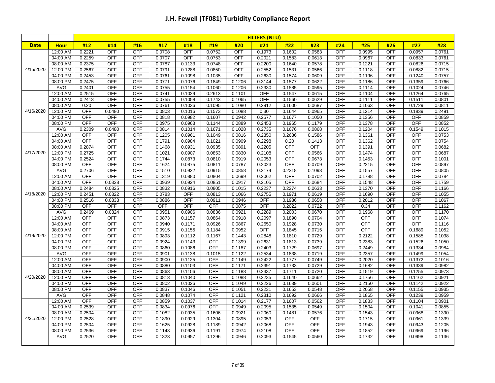|             |                      | <b>FILTERS (NTU)</b>     |                      |                          |                  |                  |                  |                  |                  |                   |                  |                          |                  |                          |                          |                  |
|-------------|----------------------|--------------------------|----------------------|--------------------------|------------------|------------------|------------------|------------------|------------------|-------------------|------------------|--------------------------|------------------|--------------------------|--------------------------|------------------|
| <b>Date</b> | <b>Hour</b>          | #12                      | #14                  | #16                      | #17              | #18              | #19              | #20              | #21              | #22               | #23              | #24                      | #25              | #26                      | #27                      | #28              |
|             | 12:00 AM             | 0.2221                   | <b>OFF</b>           | OFF                      | 0.0708           | <b>OFF</b>       | 0.0752           | <b>OFF</b>       | 0.1973           | 0.1602            | 0.0583           | OFF                      | 0.0995           | <b>OFF</b>               | 0.0957                   | 0.0761           |
|             | 04:00 AM             | 0.2259                   | <b>OFF</b>           | <b>OFF</b>               | 0.0707           | <b>OFF</b>       | 0.0753           | <b>OFF</b>       | 0.2021           | 0.1583            | 0.0613           | <b>OFF</b>               | 0.0967           | <b>OFF</b>               | 0.0833                   | 0.0761           |
|             | 08:00 AM             | 0.2375                   | <b>OFF</b>           | <b>OFF</b>               | 0.0787           | 0.1133           | 0.0748           | <b>OFF</b>       | 0.2200           | 0.1640            | 0.0578           | OFF                      | 0.1221           | <b>OFF</b>               | 0.0826                   | 0.0715           |
| 4/15/2020   | 12:00 PM             | 0.2567                   | <b>OFF</b>           | <b>OFF</b>               | 0.0791           | 0.1288           | 0.0850           | <b>OFF</b>       | 0.2552           | 0.1531            | 0.0566           | OFF                      | 0.1118           | <b>OFF</b>               | 0.0882                   | 0.0715           |
|             | 04:00 PM             | 0.2453                   | <b>OFF</b>           | <b>OFF</b>               | 0.0761           | 0.1098           | 0.1035           | <b>OFF</b>       | 0.2630           | 0.1574            | 0.0609           | <b>OFF</b>               | 0.1196           | <b>OFF</b>               | 0.1240                   | 0.0757           |
|             | 08:00 PM             | 0.2475                   | <b>OFF</b>           | OFF                      | 0.0771           | 0.1076           | 0.1849           | 0.1206           | 0.3144           | 0.1577            | 0.0622           | <b>OFF</b>               | 0.1186           | <b>OFF</b>               | 0.1359                   | 0.0766           |
|             | AVG                  | 0.2401                   | <b>OFF</b>           | <b>OFF</b>               | 0.0755           | 0.1154           | 0.1060           | 0.1206           | 0.2330           | 0.1585            | 0.0595           | OFF                      | 0.1114           | <b>OFF</b>               | 0.1024                   | 0.0746           |
|             | 12:00 AM             | 0.2515                   | <b>OFF</b>           | <b>OFF</b>               | 0.0741           | 0.1029           | 0.2613           | 0.1101           | <b>OFF</b>       | 0.1547            | 0.0615           | <b>OFF</b>               | 0.1104           | <b>OFF</b>               | 0.1264                   | 0.0765           |
|             | 04:00 AM             | 0.2413                   | <b>OFF</b>           | <b>OFF</b>               | 0.0755           | 0.1058           | 0.1743           | 0.1065           | <b>OFF</b>       | 0.1560            | 0.0629           | <b>OFF</b>               | 0.1111           | <b>OFF</b>               | 0.1511                   | 0.0801           |
|             | 08:00 AM             | 0.20                     | <b>OFF</b>           | <b>OFF</b>               | 0.0761           | 0.1036           | 0.1095           | 0.1080           | 0.2912           | 0.1600            | 0.0687           | OFF                      | 0.1063           | <b>OFF</b>               | 0.1729                   | 0.0811           |
| 4/16/2020   | 12:00 PM             | <b>OFF</b>               | 0.0480               | <b>OFF</b>               | 0.0803           | 0.1016           | 0.1573           | 0.1088           | 0.30             | 0.1644            | 0.0965           | OFF                      | 0.1214           | <b>OFF</b>               | 0.1839                   | 0.2491           |
|             | 04:00 PM             | <b>OFF</b>               | <b>OFF</b>           | <b>OFF</b>               | 0.0818           | 0.0982           | 0.1607           | 0.0942           | 0.2577           | 0.1677            | 0.1050           | <b>OFF</b>               | 0.1356           | <b>OFF</b>               | <b>OFF</b>               | 0.0859           |
|             | 08:00 PM             | <b>OFF</b>               | <b>OFF</b>           | <b>OFF</b>               | 0.0975           | 0.0963           | 0.1144           | 0.0889           | 0.2453           | 0.1965            | 0.1179           | OFF                      | 0.1378           | <b>OFF</b>               | <b>OFF</b>               | 0.0852           |
|             | AVG                  | 0.2309                   | 0.0480               | <b>OFF</b>               | 0.0814           | 0.1014           | 0.1671           | 0.1028           | 0.2735           | 0.1676            | 0.0868           | <b>OFF</b>               | 0.1204           | <b>OFF</b>               | 0.1549                   | 0.1015           |
|             | 12:00 AM             | <b>OFF</b>               | OFF                  | <b>OFF</b>               | 0.1205           | 0.0961           | 0.1049           | 0.0816           | 0.2350           | 0.2636            | 0.1586           | OFF                      | 0.1361           | <b>OFF</b>               | <b>OFF</b>               | 0.0753           |
|             | 04:00 AM             | <b>OFF</b>               | <b>OFF</b>           | <b>OFF</b>               | 0.1791           | 0.0984           | 0.1021           | 0.0909           | 0.2298           | 0.20              | 0.1413           | <b>OFF</b>               | 0.1362           | <b>OFF</b>               | <b>OFF</b>               | 0.0754           |
|             | 08:00 AM             | 0.2874                   | <b>OFF</b>           | <b>OFF</b>               | 0.1468           | 0.0931           | 0.0935           | 0.0891           | 0.2205           | OFF               | <b>OFF</b>       | <b>OFF</b>               | 0.1391           | <b>OFF</b>               | <b>OFF</b>               | 0.0682           |
| 4/17/2020   | 12:00 PM             | 0.2725                   | <b>OFF</b>           | OFF                      | 0.1021           | 0.0907           | 0.0853           | 0.0830           | 0.2108           | <b>OFF</b>        | 0.0566           | <b>OFF</b>               | 0.1474           | <b>OFF</b>               | <b>OFF</b>               | 0.0687           |
|             | 04:00 PM             | 0.2524                   | <b>OFF</b>           | OFF                      | 0.1744           | 0.0873           | 0.0810           | 0.0919           | 0.2053           | OFF               | 0.0673           | <b>OFF</b>               | 0.1453           | <b>OFF</b>               | <b>OFF</b>               | 0.1001           |
|             | 08:00 PM             | <b>OFF</b>               | <b>OFF</b>           | <b>OFF</b>               | 0.1624           | 0.0875           | 0.0811           | 0.0787           | 0.2023           | <b>OFF</b>        | 0.0709           | <b>OFF</b>               | 0.2215           | <b>OFF</b>               | <b>OFF</b>               | 0.0897           |
|             | <b>AVG</b>           | 0.2706                   | <b>OFF</b>           | <b>OFF</b>               | 0.1510           | 0.0922           | 0.0915           | 0.0858           | 0.2174           | 0.2318            | 0.1093           | <b>OFF</b>               | 0.1557           | <b>OFF</b>               | <b>OFF</b>               | 0.0805           |
|             | 12:00 AM             | <b>OFF</b><br><b>OFF</b> | <b>OFF</b><br>0.0328 | <b>OFF</b><br><b>OFF</b> | 0.1319           | 0.0880           | 0.0804           | 0.0699<br>0.0917 | 0.2062           | <b>OFF</b><br>OFF | 0.0702           | <b>OFF</b><br><b>OFF</b> | 0.1788           | <b>OFF</b><br><b>OFF</b> | <b>OFF</b><br><b>OFF</b> | 0.0784           |
|             | 04:00 AM<br>08:00 AM | 0.2484                   | 0.0325               | <b>OFF</b>               | 0.0939<br>0.0832 | 0.0924<br>0.0916 | 0.0851<br>0.0805 | 0.1015           | 0.2105           | 0.2274            | 0.0684<br>0.0633 | <b>OFF</b>               | 0.1548<br>0.1370 | <b>OFF</b>               | <b>OFF</b>               | 0.1759<br>0.1166 |
| 4/18/2020   | 12:00 PM             | 0.2451                   | 0.0322               | OFF                      | 0.0783           | <b>OFF</b>       | 0.0813           | 0.1066           | 0.2237<br>0.2755 | 0.1971            | 0.0619           | <b>OFF</b>               | 0.1690           | <b>OFF</b>               | OFF                      | 0.1055           |
|             | 04:00 PM             | 0.2516                   | 0.0333               | <b>OFF</b>               | 0.0886           | OFF              | 0.0911           | 0.0946           | <b>OFF</b>       | 0.1936            | 0.0658           | <b>OFF</b>               | 0.2012           | <b>OFF</b>               | <b>OFF</b>               | 0.1067           |
|             | 08:00 PM             | <b>OFF</b>               | <b>OFF</b>           | <b>OFF</b>               | <b>OFF</b>       | <b>OFF</b>       | OFF              | 0.0875           | <b>OFF</b>       | 0.2022            | 0.0722           | OFF                      | 0.34             | <b>OFF</b>               | <b>OFF</b>               | 0.1162           |
|             | AVG                  | 0.2469                   | 0.0324               | <b>OFF</b>               | 0.0951           | 0.0906           | 0.0836           | 0.0921           | 0.2289           | 0.2003            | 0.0670           | <b>OFF</b>               | 0.1968           | <b>OFF</b>               | <b>OFF</b>               | 0.1170           |
|             | 12:00 AM             | <b>OFF</b>               | <b>OFF</b>           | <b>OFF</b>               | 0.0873           | 0.1157           | 0.0864           | 0.0918           | 0.2097           | 0.1890            | 0.0704           | OFF                      | <b>OFF</b>       | <b>OFF</b>               | <b>OFF</b>               | 0.1074           |
|             | 04:00 AM             | <b>OFF</b>               | <b>OFF</b>           | OFF                      | 0.0940           | 0.1171           | 0.0926           | 0.0867           | 0.2650           | 0.1928            | 0.0730           | <b>OFF</b>               | <b>OFF</b>       | <b>OFF</b>               | <b>OFF</b>               | 0.1116           |
|             | 08:00 AM             | <b>OFF</b>               | <b>OFF</b>           | <b>OFF</b>               | 0.0915           | 0.1155           | 0.1184           | 0.0952           | <b>OFF</b>       | 0.1845            | 0.0715           | <b>OFF</b>               | <b>OFF</b>       | <b>OFF</b>               | 0.1689                   | 0.1052           |
| 4/19/2020   | 12:00 PM             | <b>OFF</b>               | <b>OFF</b>           | <b>OFF</b>               | 0.0893           | 0.1112           | 0.1167           | 0.1443           | 0.2848           | 0.1810            | 0.0729           | OFF                      | 0.2122           | <b>OFF</b>               | 0.1585                   | 0.1038           |
|             | 04:00 PM             | OFF                      | <b>OFF</b>           | OFF                      | 0.0924           | 0.1143           | <b>OFF</b>       | 0.1399           | 0.2631           | 0.1813            | 0.0739           | OFF                      | 0.2383           | <b>OFF</b>               | 0.1526                   | 0.1050           |
|             | 08:00 PM             | <b>OFF</b>               | <b>OFF</b>           | <b>OFF</b>               | 0.0860           | 0.1086           | <b>OFF</b>       | 0.1187           | 0.2403           | 0.1729            | 0.0697           | <b>OFF</b>               | 0.2449           | <b>OFF</b>               | 0.1334                   | 0.0984           |
|             | <b>AVG</b>           | <b>OFF</b>               | <b>OFF</b>           | <b>OFF</b>               | 0.0901           | 0.1138           | 0.1015           | 0.1122           | 0.2534           | 0.1838            | 0.0719           | <b>OFF</b>               | 0.2357           | <b>OFF</b>               | 0.1499                   | 0.1054           |
|             | 12:00 AM             | OFF                      | OFF                  | <b>OFF</b>               | 0.0900           | 0.1125           | <b>OFF</b>       | 0.1149           | 0.2422           | 0.1777            | 0.0749           | <b>OFF</b>               | 0.2020           | OFF                      | 0.1372                   | 0.1016           |
|             | 04:00 AM             | <b>OFF</b>               | <b>OFF</b>           | <b>OFF</b>               | 0.0880           | 0.1103           | <b>OFF</b>       | 0.1171           | 0.2391           | 0.1733            | 0.0729           | <b>OFF</b>               | 0.1682           | <b>OFF</b>               | 0.1339                   | 0.0982           |
|             | 08:00 AM             | <b>OFF</b>               | <b>OFF</b>           | <b>OFF</b>               | 0.0863           | 0.1106           | OFF              | 0.1188           | 0.2337           | 0.1711            | 0.0720           | <b>OFF</b>               | 0.1519           | <b>OFF</b>               | 0.1255                   | 0.0973           |
| 4/20/2020   | 12:00 PM             | <b>OFF</b>               | <b>OFF</b>           | <b>OFF</b>               | 0.0813           | 0.1040           | <b>OFF</b>       | 0.1088           | 0.2235           | 0.1640            | 0.0662           | <b>OFF</b>               | 0.1756           | OFF                      | 0.1162                   | 0.0921           |
|             | 04:00 PM             | OFF                      | <b>OFF</b>           | <b>OFF</b>               | 0.0802           | 0.1026           | OFF              | 0.1049           | 0.2226           | 0.1639            | 0.0601           | OFF                      | 0.2150           | <b>OFF</b>               | 0.1142                   | 0.0922           |
|             | 08:00 PM             | <b>OFF</b>               | <b>OFF</b>           | <b>OFF</b>               | 0.0837           | 0.1046           | <b>OFF</b>       | 0.1051           | 0.2231           | 0.1653            | 0.0548           | OFF                      | 0.2058           | <b>OFF</b>               | 0.1155                   | 0.0935           |
|             | <b>AVG</b>           | <b>OFF</b>               | <b>OFF</b>           | <b>OFF</b>               | 0.0848           | 0.1074           | <b>OFF</b>       | 0.1121           | 0.2310           | 0.1692            | 0.0666           | OFF                      | 0.1865           | <b>OFF</b>               | 0.1239                   | 0.0959           |
|             | 12:00 AM             | <b>OFF</b>               | <b>OFF</b>           | <b>OFF</b>               | 0.0859           | 0.1037           | <b>OFF</b>       | 0.1014           | 0.2177           | 0.1607            | 0.0562           | <b>OFF</b>               | 0.1833           | <b>OFF</b>               | 0.1104                   | 0.0901           |
|             | 04:00 AM             | 0.2539                   | OFF                  | <b>OFF</b>               | 0.0834           | 0.0976           | OFF              | 0.0949           | 0.2095           | 0.1535            | 0.0549           | OFF                      | 0.1504           | OFF                      | 0.1041                   | 0.0855           |
|             | 08:00 AM             | 0.2504                   | <b>OFF</b>           | <b>OFF</b>               | 0.1082           | 0.0935           | 0.1606           | 0.0921           | 0.2060           | 0.1481            | 0.0576           | OFF                      | 0.1543           | <b>OFF</b>               | 0.0968                   | 0.1390           |
| 4/21/2020   | 12:00 PM             | 0.2528                   | <b>OFF</b>           | <b>OFF</b>               | 0.1890           | 0.0929           | 0.1304           | 0.0895           | 0.2053           | OFF               | <b>OFF</b>       | OFF                      | 0.1715           | <b>OFF</b>               | 0.0961                   | 0.1339           |
|             | 04:00 PM             | 0.2504                   | <b>OFF</b>           | <b>OFF</b>               | 0.1625           | 0.0928           | 0.1189           | 0.0942           | 0.2068           | <b>OFF</b>        | <b>OFF</b>       | <b>OFF</b>               | 0.1943           | <b>OFF</b>               | 0.0943                   | 0.1205           |
|             | 08:00 PM             | 0.2536                   | OFF                  | <b>OFF</b>               | 0.1143           | 0.0936           | 0.1191           | 0.0974           | 0.2108           | <b>OFF</b>        | OFF              | OFF                      | 0.1852           | OFF                      | 0.0969                   | 0.1196           |
|             | AVG                  | 0.2520                   | <b>OFF</b>           | <b>OFF</b>               | 0.1323           | 0.0957           | 0.1296           | 0.0946           | 0.2093           | 0.1545            | 0.0560           | <b>OFF</b>               | 0.1732           | <b>OFF</b>               | 0.0998                   | 0.1136           |
|             |                      |                          |                      |                          |                  |                  |                  |                  |                  |                   |                  |                          |                  |                          |                          |                  |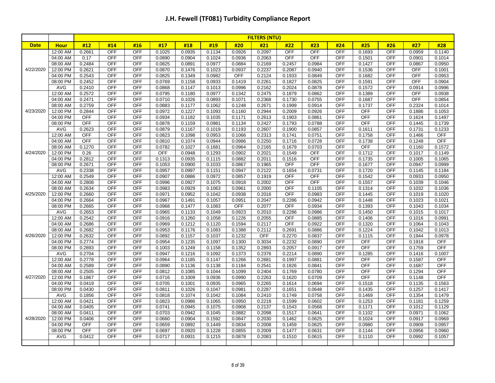|             |                        | <b>FILTERS (NTU)</b> |                          |                          |                  |                  |                  |                  |                  |                  |                  |            |                      |                          |                  |                      |
|-------------|------------------------|----------------------|--------------------------|--------------------------|------------------|------------------|------------------|------------------|------------------|------------------|------------------|------------|----------------------|--------------------------|------------------|----------------------|
| <b>Date</b> | <b>Hour</b>            | #12                  | #14                      | #16                      | #17              | #18              | #19              | #20              | #21              | #22              | #23              | #24        | #25                  | #26                      | #27              | #28                  |
|             | 12:00 AM               | 0.2661               | <b>OFF</b>               | OFF                      | 0.1025           | 0.0935           | 0.1134           | 0.0926           | 0.2097           | <b>OFF</b>       | <b>OFF</b>       | OFF        | 0.1693               | <b>OFF</b>               | 0.0959           | 0.1140               |
|             | 04:00 AM               | 0.17                 | <b>OFF</b>               | <b>OFF</b>               | 0.0890           | 0.0904           | 0.1024           | 0.0936           | 0.2063           | <b>OFF</b>       | <b>OFF</b>       | <b>OFF</b> | 0.1501               | <b>OFF</b>               | 0.0901           | 0.1014               |
|             | 08:00 AM               | 0.2484               | <b>OFF</b>               | <b>OFF</b>               | 0.0825           | 0.0891           | 0.0977           | 0.0884           | 0.2169           | 0.2457           | 0.0984           | OFF        | 0.1427               | <b>OFF</b>               | 0.0867           | 0.0950               |
| 4/22/2020   | 12:00 PM               | 0.2621               | <b>OFF</b>               | <b>OFF</b>               | 0.0870           | 0.1476           | 0.1023           | 0.0937           | 0.2237           | 0.2087           | 0.0940           | <b>OFF</b> | 0.1536               | <b>OFF</b>               | OFF              | 0.1001               |
|             | 04:00 PM               | 0.2543               | <b>OFF</b>               | <b>OFF</b>               | 0.0825           | 0.1349           | 0.0982           | <b>OFF</b>       | 0.2124           | 0.1933           | 0.0849           | OFF        | 0.1682               | <b>OFF</b>               | OFF              | 0.0953               |
|             | 08:00 PM               | 0.2452               | <b>OFF</b>               | OFF                      | 0.0769           | 0.1158           | 0.0933           | 0.1419           | 0.2261           | 0.1827           | 0.0825           | <b>OFF</b> | 0.1591               | <b>OFF</b>               | OFF              | 0.0904               |
|             | <b>AVG</b>             | 0.2410               | <b>OFF</b>               | <b>OFF</b>               | 0.0868           | 0.1147           | 0.1013           | 0.0996           | 0.2162           | 0.2024           | 0.0878           | OFF        | 0.1572               | <b>OFF</b>               | 0.0914           | 0.0996               |
|             | 12:00 AM               | 0.2572               | <b>OFF</b>               | <b>OFF</b>               | 0.0795           | 0.1180           | 0.0977           | 0.1342           | 0.2475           | 0.1879           | 0.0862           | <b>OFF</b> | 0.1389               | <b>OFF</b>               | OFF              | 0.0938               |
|             | 04:00 AM               | 0.2471               | OFF                      | <b>OFF</b>               | 0.0710           | 0.1026           | 0.0893           | 0.1071           | 0.2368           | 0.1730           | 0.0755           | <b>OFF</b> | 0.1687               | OFF                      | <b>OFF</b>       | 0.0854               |
|             | 08:00 AM               | 0.2759               | <b>OFF</b>               | <b>OFF</b>               | 0.0883           | 0.1177           | 0.1062           | 0.1248           | 0.2671           | 0.1999           | 0.0914           | OFF        | 0.1737               | <b>OFF</b>               | 0.2324           | 0.1014               |
| 4/23/2020   | 12:00 PM               | 0.2844               | <b>OFF</b>               | <b>OFF</b>               | 0.0972           | 0.1227           | 0.1093           | 0.1160           | 0.2944           | 0.2009           | 0.0926           | OFF        | <b>OFF</b>           | <b>OFF</b>               | 0.1886           | 0.1053               |
|             | 04:00 PM               | <b>OFF</b>           | <b>OFF</b>               | OFF                      | 0.0934           | 0.1182           | 0.1035           | 0.1171           | 0.2613           | 0.1903           | 0.0861           | OFF        | <b>OFF</b>           | <b>OFF</b>               | 0.1624           | 0.1497               |
|             | 08:00 PM               | <b>OFF</b>           | <b>OFF</b>               | OFF                      | 0.0878           | 0.1159           | 0.0981           | 0.1134           | 0.2427           | 0.1793           | 0.0788           | <b>OFF</b> | <b>OFF</b>           | <b>OFF</b>               | 0.1445           | 0.1739               |
|             | <b>AVG</b>             | 0.2623               | <b>OFF</b>               | <b>OFF</b>               | 0.0879           | 0.1167           | 0.1019           | 0.1193           | 0.2607           | 0.1900           | 0.0857           | OFF        | 0.1611               | <b>OFF</b>               | 0.1731           | 0.1233               |
|             | 12:00 AM               | <b>OFF</b>           | <b>OFF</b>               | <b>OFF</b>               | 0.0823           | 0.1098           | 0.0953           | 0.1066           | 0.2313           | 0.1741           | 0.0751           | OFF        | 0.1758               | <b>OFF</b>               | 0.1466           | <b>OFF</b>           |
|             | 04:00 AM               | <b>OFF</b>           | <b>OFF</b>               | <b>OFF</b>               | 0.0810           | 0.1074           | 0.0944           | 0.0986           | 0.2250           | 0.1716           | 0.0728           | <b>OFF</b> | 0.1738               | <b>OFF</b>               | 0.1248           | <b>OFF</b>           |
|             | 08:00 AM               | 0.1270               | <b>OFF</b>               | OFF                      | 0.0782           | 0.1027           | 0.1681           | 0.0964           | 0.2165           | 0.1679           | 0.0703           | <b>OFF</b> | <b>OFF</b>           | <b>OFF</b>               | 0.1160           | 0.1572               |
| 4/24/2020   | 12:00 PM               | 0.26                 | <b>OFF</b>               | <b>OFF</b>               | OFF              | 0.0948           | 0.1293           | 0.0902           | 0.2021           | 0.1549           | <b>OFF</b>       | OFF        | 0.1712               | <b>OFF</b>               | 0.1017           | 0.1149               |
|             | 04:00 PM               | 0.2812               | <b>OFF</b>               | <b>OFF</b>               | 0.1313           | 0.0935           | 0.1115           | 0.0882           | 0.2011           | 0.1516           | <b>OFF</b>       | <b>OFF</b> | 0.1735               | <b>OFF</b>               | 0.1005           | 0.1065               |
|             | 08:00 PM               | 0.2671               | <b>OFF</b>               | OFF                      | 0.1053           | 0.0900           | 0.1033           | 0.0867           | 0.1965           | <b>OFF</b>       | <b>OFF</b>       | <b>OFF</b> | 0.1677               | <b>OFF</b>               | 0.0947           | 0.0999               |
|             | <b>AVG</b>             | 0.2338               | <b>OFF</b>               | <b>OFF</b>               | 0.0957           | 0.0997           | 0.1151           | 0.0947           | 0.2122           | 0.1654           | 0.0731           | <b>OFF</b> | 0.1720               | <b>OFF</b>               | 0.1145           | 0.1184               |
|             | 12:00 AM               | 0.2549               | OFF                      | <b>OFF</b>               | 0.0907           | 0.0886           | 0.0972           | 0.0857           | 0.1919           | <b>OFF</b>       | <b>OFF</b>       | <b>OFF</b> | 0.1542               | OFF                      | 0.0933           | 0.0950               |
|             | 04:00 AM               | 0.2808               | <b>OFF</b>               | <b>OFF</b>               | 0.0996           | 0.0927           | 0.1075           | 0.0918           | 0.2002           | <b>OFF</b>       | <b>OFF</b>       | <b>OFF</b> | 0.1557               | <b>OFF</b>               | 0.1039           | 0.1046               |
|             | 08:00 AM               | 0.2634               | <b>OFF</b>               | <b>OFF</b>               | 0.0983           | 0.0929           | 0.1063           | 0.0961           | 0.2000           | <b>OFF</b>       | 0.1105           | <b>OFF</b> | 0.1314               | <b>OFF</b>               | 0.1032           | 0.1036               |
| 4/25/2020   | 12:00 PM               | 0.2660               | <b>OFF</b>               | OFF                      | 0.0971           | 0.0952           | 0.1042           | 0.0938           | 0.2016           | OFF              | 0.0983           | <b>OFF</b> | 0.1445               | <b>OFF</b>               | 0.1019           | 0.1020               |
|             | 04:00 PM               | 0.2664               | <b>OFF</b>               | <b>OFF</b>               | 0.0967           | 0.1491           | 0.1057           | 0.0951           | 0.2047           | 0.2286           | 0.0942           | <b>OFF</b> | 0.1448               | <b>OFF</b>               | 0.1023           | 0.1021               |
|             | 08:00 PM               | 0.2665               | <b>OFF</b>               | <b>OFF</b>               | 0.0968           | 0.1477           | 0.1083           | <b>OFF</b>       | 0.2077           | <b>OFF</b>       | 0.0934           | <b>OFF</b> | 0.1393               | <b>OFF</b>               | 0.1043           | 0.1034               |
|             | AVG                    | 0.2653               | <b>OFF</b>               | OFF                      | 0.0965           | 0.1133           | 0.1049           | 0.0923           | 0.2010           | 0.2286           | 0.0986           | <b>OFF</b> | 0.1450               | <b>OFF</b>               | 0.1015           | 0.1017               |
|             | 12:00 AM               | 0.2542               | <b>OFF</b>               | <b>OFF</b>               | 0.0916           | 0.1260           | 0.1058           | 0.1226           | 0.2055           | OFF              | 0.0885           | <b>OFF</b> | 0.1406               | <b>OFF</b>               | 0.1016           | 0.0991               |
|             | 04:00 AM               | 0.2686               | <b>OFF</b>               | <b>OFF</b>               | 0.0969           | 0.1212           | 0.1120           | 0.1594           | 0.2117           | <b>OFF</b>       | 0.0922           | OFF        | 0.1320               | <b>OFF</b>               | 0.1064           | 0.1043               |
|             | 08:00 AM               | 0.2682               | <b>OFF</b>               | <b>OFF</b>               | 0.0953           | 0.1176           | 0.1083           | 0.1388           | 0.2112           | 0.2691           | 0.0886           | <b>OFF</b> | 0.1224               | <b>OFF</b>               | 0.1042           | 0.1013               |
| 4/26/2020   | 12:00 PM               | 0.2632               | <b>OFF</b>               | OFF                      | 0.0892           | 0.1157           | 0.1037           | 0.1232           | <b>OFF</b>       | 0.2270           | 0.0837           | OFF        | 0.1115               | <b>OFF</b>               | 0.1944           | 0.0978               |
|             | 04:00 PM               | 0.2774               | <b>OFF</b>               | OFF                      | 0.0954           | 0.1235           | 0.1097           | 0.1300           | 0.3034           | 0.2232           | 0.0890           | <b>OFF</b> | <b>OFF</b>           | <b>OFF</b>               | 0.1918           | OFF                  |
|             | 08:00 PM<br><b>AVG</b> | 0.2893               | <b>OFF</b><br><b>OFF</b> | <b>OFF</b><br><b>OFF</b> | 0.1003           | 0.1249           | 0.1158           | 0.1352           | 0.2893           | 0.2057           | 0.0917           | OFF<br>OFF | OFF                  | <b>OFF</b><br><b>OFF</b> | 0.1759           | OFF                  |
|             | 12:00 AM               | 0.2704<br>0.2778     | <b>OFF</b>               | OFF                      | 0.0947<br>0.0964 | 0.1216<br>0.1185 | 0.1092<br>0.1147 | 0.1373<br>0.1266 | 0.2376<br>0.2681 | 0.2214<br>0.1997 | 0.0890<br>0.0881 | <b>OFF</b> | 0.1285<br><b>OFF</b> | <b>OFF</b>               | 0.1416<br>0.1587 | 0.1007<br><b>OFF</b> |
|             | 04:00 AM               | 0.2589               | OFF                      | <b>OFF</b>               | 0.0890           | 0.1136           | 0.1138           | 0.1184           | 0.2541           | 0.1826           | 0.0841           | OFF        | <b>OFF</b>           | <b>OFF</b>               | 0.1687           | <b>OFF</b>           |
|             | 08:00 AM               | 0.2505               | <b>OFF</b>               | <b>OFF</b>               | 0.0812           | 0.1085           | 0.1044           | 0.1099           | 0.2404           | 0.1769           | 0.0780           | <b>OFF</b> | <b>OFF</b>           | <b>OFF</b>               | 0.1294           | <b>OFF</b>           |
| 4/27/2020   | 12:00 PM               | 0.1867               | <b>OFF</b>               | OFF                      | 0.0716           | 0.1009           | 0.0936           | 0.0990           | 0.2263           | 0.1620           | 0.0709           | <b>OFF</b> | <b>OFF</b>           | <b>OFF</b>               | 0.1148           | OFF                  |
|             | 04:00 PM               | 0.0419               | <b>OFF</b>               | OFF                      | 0.0705           | 0.1001           | 0.0935           | 0.0965           | 0.2265           | 0.1614           | 0.0694           | <b>OFF</b> | 0.1518               | <b>OFF</b>               | 0.1135           | 0.1563               |
|             | 08:00 PM               | 0.0430               | OFF                      | <b>OFF</b>               | 0.0811           | 0.1026           | 0.1047           | 0.0981           | 0.2287           | 0.1651           | 0.0648           | <b>OFF</b> | 0.1435               | <b>OFF</b>               | 0.1257           | 0.1417               |
|             | <b>AVG</b>             | 0.1856               | <b>OFF</b>               | <b>OFF</b>               | 0.0818           | 0.1074           | 0.1042           | 0.1084           | 0.2410           | 0.1749           | 0.0758           | OFF        | 0.1469               | OFF                      | 0.1354           | 0.1479               |
|             | 12:00 AM               | 0.0421               | <b>OFF</b>               | <b>OFF</b>               | 0.0823           | 0.0986           | 0.1065           | 0.0950           | 0.2218           | 0.1599           | 0.0602           | <b>OFF</b> | 0.1253               | <b>OFF</b>               | 0.1181           | 0.1259               |
|             | 04:00 AM               | 0.0405               | <b>OFF</b>               | <b>OFF</b>               | 0.0741           | 0.0945           | 0.1075           | 0.0908           | 0.2137           | 0.1543           | 0.0568           | <b>OFF</b> | 0.1171               | <b>OFF</b>               | 0.1012           | 0.1129               |
|             | 08:00 AM               | 0.0411               | <b>OFF</b>               | OFF                      | 0.0703           | 0.0942           | 0.1045           | 0.0882           | 0.2098           | 0.1517           | 0.0641           | <b>OFF</b> | 0.1102               | <b>OFF</b>               | 0.0971           | 0.1062               |
| 4/28/2020   | 12:00 PM               | 0.0406               | <b>OFF</b>               | <b>OFF</b>               | 0.0660           | 0.0904           | 0.1592           | 0.0847           | 0.2030           | 0.1462           | 0.0625           | OFF        | 0.1024               | <b>OFF</b>               | 0.0917           | 0.0969               |
|             | 04:00 PM               | <b>OFF</b>           | <b>OFF</b>               | OFF                      | 0.0659           | 0.0892           | 0.1449           | 0.0834           | 0.2008           | 0.1459           | 0.0625           | <b>OFF</b> | 0.0980               | <b>OFF</b>               | 0.0909           | 0.0957               |
|             | 08:00 PM               | OFF                  | OFF                      | <b>OFF</b>               | 0.0697           | 0.0920           | 0.1228           | 0.0855           | 0.2009           | 0.1477           | 0.0631           | <b>OFF</b> | 0.1144               | OFF                      | 0.0956           | 0.0960               |
|             | <b>AVG</b>             | 0.0412               | OFF                      | <b>OFF</b>               | 0.0717           | 0.0931           | 0.1215           | 0.0878           | 0.2083           | 0.1510           | 0.0615           | <b>OFF</b> | 0.1110               | OFF                      | 0.0992           | 0.1057               |
|             |                        |                      |                          |                          |                  |                  |                  |                  |                  |                  |                  |            |                      |                          |                  |                      |
|             |                        |                      |                          |                          |                  |                  |                  |                  |                  |                  |                  |            |                      |                          |                  |                      |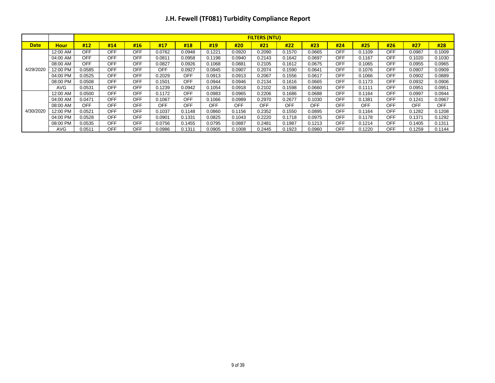|             |             |            | <b>FILTERS (NTU)</b> |            |            |            |            |        |            |        |            |            |        |            |        |            |
|-------------|-------------|------------|----------------------|------------|------------|------------|------------|--------|------------|--------|------------|------------|--------|------------|--------|------------|
| <b>Date</b> | <b>Hour</b> | #12        | #14                  | #16        | #17        | #18        | #19        | #20    | #21        | #22    | #23        | #24        | #25    | #26        | #27    | #28        |
|             | 12:00 AM    | OFF        | <b>OFF</b>           | <b>OFF</b> | 0.0762     | 0.0948     | 0.1221     | 0.0920 | 0.2090     | 0.1570 | 0.0665     | <b>OFF</b> | 0.1109 | <b>OFF</b> | 0.0987 | 0.1009     |
|             | 04:00 AM    | <b>OFF</b> | <b>OFF</b>           | <b>OFF</b> | 0.0811     | 0.0958     | 0.1198     | 0.0940 | 0.2143     | 0.1642 | 0.0697     | <b>OFF</b> | 0.1167 | <b>OFF</b> | 0.1020 | 0.1030     |
|             | 08:00 AM    | <b>OFF</b> | <b>OFF</b>           | <b>OFF</b> | 0.0827     | 0.0926     | 0.1068     | 0.0881 | 0.2105     | 0.1612 | 0.0675     | <b>OFF</b> | 0.1065 | <b>OFF</b> | 0.0955 | 0.0965     |
| 4/29/2020   | 12:00 PM    | 0.0585     | <b>OFF</b>           | <b>OFF</b> | OFF        | 0.0927     | 0.0945     | 0.0907 | 0.2074     | 0.1590 | 0.0641     | <b>OFF</b> | 0.1076 | <b>OFF</b> | 0.0907 | 0.0909     |
|             | 04:00 PM    | 0.0525     | <b>OFF</b>           | <b>OFF</b> | 0.2029     | <b>OFF</b> | 0.0913     | 0.0913 | 0.2067     | 0.1556 | 0.0617     | <b>OFF</b> | 0.1066 | <b>OFF</b> | 0.0902 | 0.0889     |
|             | 08:00 PM    | 0.0508     | <b>OFF</b>           | OFF        | 0.1501     | <b>OFF</b> | 0.0944     | 0.0946 | 0.2134     | 0.1616 | 0.0665     | OFF        | 0.1173 | <b>OFF</b> | 0.0932 | 0.0906     |
|             | <b>AVG</b>  | 0.0531     | <b>OFF</b>           | <b>OFF</b> | 0.1239     | 0.0942     | 0.1054     | 0.0918 | 0.2102     | 0.1598 | 0.0660     | <b>OFF</b> | 0.1111 | <b>OFF</b> | 0.0951 | 0.0951     |
|             | 12:00 AM    | 0.0500     | <b>OFF</b>           | <b>OFF</b> | 0.1172     | <b>OFF</b> | 0.0983     | 0.0965 | 0.2206     | 0.1686 | 0.0688     | <b>OFF</b> | 0.1164 | <b>OFF</b> | 0.0997 | 0.0944     |
|             | 04:00 AM    | 0.0471     | <b>OFF</b>           | <b>OFF</b> | 0.1067     | <b>OFF</b> | 0.1066     | 0.0989 | 0.2970     | 0.2677 | 0.1030     | <b>OFF</b> | 0.1381 | <b>OFF</b> | 0.1241 | 0.0967     |
|             | 08:00 AM    | OFF        | <b>OFF</b>           | OFF        | <b>OFF</b> | <b>OFF</b> | <b>OFF</b> | OFF    | <b>OFF</b> | OFF    | <b>OFF</b> | OFF        | OFF    | <b>OFF</b> | OFF    | <b>OFF</b> |
| 4/30/2020   | 12:00 PM    | 0.0521     | <b>OFF</b>           | OFF        | 0.1037     | 0.1148     | 0.0860     | 0.1156 | 0.2352     | 0.1550 | 0.0895     | <b>OFF</b> | 0.1164 | <b>OFF</b> | 0.1282 | 0.1208     |
|             | 04:00 PM    | 0.0528     | <b>OFF</b>           | <b>OFF</b> | 0.0901     | 0.1331     | 0.0825     | 0.1043 | 0.2220     | 0.1718 | 0.0975     | <b>OFF</b> | 0.1178 | <b>OFF</b> | 0.1371 | 0.1292     |
|             | 08:00 PM    | 0.0535     | <b>OFF</b>           | <b>OFF</b> | 0.0756     | 0.1455     | 0.0795     | 0.0887 | 0.2481     | 0.1987 | 0.1213     | <b>OFF</b> | 0.1214 | <b>OFF</b> | 0.1405 | 0.1311     |
|             | <b>AVG</b>  | 0.0511     | <b>OFF</b>           | <b>OFF</b> | 0.0986     | 0.1311     | 0.0905     | 0.1008 | 0.2445     | 0.1923 | 0.0960     | <b>OFF</b> | 0.1220 | <b>OFF</b> | 0.1259 | 0.1144     |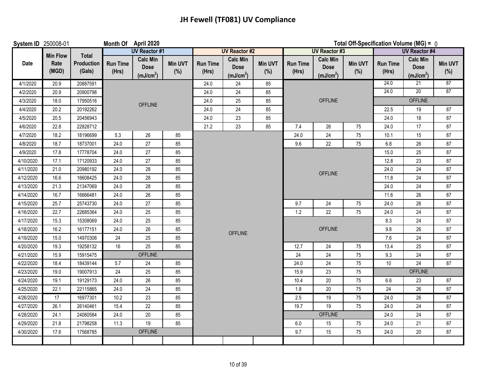| System ID 250008-01 |                 |                      | Month Of April 2020      |                                                         |                | Total Off-Specification Volume (MG) = 0 |                                                         |                |                          |                                                         |                |                          |                                                         |                       |
|---------------------|-----------------|----------------------|--------------------------|---------------------------------------------------------|----------------|-----------------------------------------|---------------------------------------------------------|----------------|--------------------------|---------------------------------------------------------|----------------|--------------------------|---------------------------------------------------------|-----------------------|
|                     | <b>Min Flow</b> | <b>Total</b>         |                          | <b>UV Reactor #1</b>                                    |                |                                         | <b>UV Reactor #2</b>                                    |                |                          | <b>UV Reactor #3</b>                                    |                |                          | <b>UV Reactor #4</b>                                    |                       |
| Date                | Rate<br>(MGD)   | Production<br>(Gals) | <b>Run Time</b><br>(Hrs) | <b>Calc Min</b><br><b>Dose</b><br>(mJ/cm <sup>2</sup> ) | Min UVT<br>(%) | <b>Run Time</b><br>(Hrs)                | <b>Calc Min</b><br><b>Dose</b><br>(mJ/cm <sup>2</sup> ) | Min UVT<br>(%) | <b>Run Time</b><br>(Hrs) | <b>Calc Min</b><br><b>Dose</b><br>(mJ/cm <sup>2</sup> ) | Min UVT<br>(%) | <b>Run Time</b><br>(Hrs) | <b>Calc Min</b><br><b>Dose</b><br>(mJ/cm <sup>2</sup> ) | <b>Min UVT</b><br>(%) |
| 4/1/2020            | 20.9            | 20887591             |                          |                                                         |                | 24.0                                    | 24                                                      | 85             |                          |                                                         |                | 24.0                     | 21                                                      | 87                    |
| 4/2/2020            | 20.9            | 20900798             |                          |                                                         |                | 24.0                                    | 24                                                      | 85             |                          |                                                         |                | 24.0                     | 20                                                      | 87                    |
| 4/3/2020            | 18.0            | 17950516             |                          | <b>OFFLINE</b>                                          |                | 24.0                                    | 25                                                      | 85             |                          | <b>OFFLINE</b>                                          |                |                          | <b>OFFLINE</b>                                          |                       |
| 4/4/2020            | 20.2            | 20192262             |                          |                                                         |                | 24.0                                    | 24                                                      | 85             |                          |                                                         |                | 22.5                     | 19                                                      | 87                    |
| 4/5/2020            | 20.5            | 20456943             |                          |                                                         |                | 24.0                                    | 23                                                      | 85             |                          |                                                         |                | 24.0                     | 18                                                      | 87                    |
| 4/6/2020            | 22.8            | 22828712             |                          |                                                         |                | 21.2                                    | 23                                                      | 85             | 7.4                      | 26                                                      | 75             | 24.0                     | 17                                                      | 87                    |
| 4/7/2020            | 18.2            | 18196699             | 5.3                      | $26\,$                                                  | 85             |                                         |                                                         |                | 24.0                     | 24                                                      | 75             | 10.1                     | 15                                                      | 87                    |
| 4/8/2020            | 18.7            | 18737001             | 24.0                     | 27                                                      | 85             |                                         |                                                         |                | 9.6                      | 22                                                      | 75             | 6.8                      | 26                                                      | 87                    |
| 4/9/2020            | 17.8            | 17778704             | 24.0                     | 27                                                      | 85             |                                         |                                                         |                |                          |                                                         |                | 15.0                     | 25                                                      | 87                    |
| 4/10/2020           | 17.1            | 17120933             | 24.0                     | $27\,$                                                  | 85             |                                         |                                                         |                |                          |                                                         |                | 12.8                     | 23                                                      | 87                    |
| 4/11/2020           | 21.0            | 20980192             | 24.0                     | 28                                                      | 85             |                                         |                                                         |                |                          | <b>OFFLINE</b>                                          |                | 24.0                     | 24                                                      | 87                    |
| 4/12/2020           | 16.6            | 16608425             | 24.0                     | 28                                                      | 85             |                                         |                                                         |                |                          |                                                         |                | 11.8                     | 24                                                      | 87                    |
| 4/13/2020           | 21.3            | 21347069             | 24.0                     | 28                                                      | 85             |                                         |                                                         |                |                          |                                                         |                | 24.0                     | 24                                                      | 87                    |
| 4/14/2020           | 16.7            | 16666481             | 24.0                     | 26                                                      | 85             |                                         |                                                         |                |                          |                                                         |                | 11.6                     | 26                                                      | 87                    |
| 4/15/2020           | 25.7            | 25743730             | 24.0                     | 27                                                      | 85             |                                         |                                                         |                | 9.7                      | 24                                                      | 75             | 24.0                     | 26                                                      | 87                    |
| 4/16/2020           | 22.7            | 22685364             | 24.0                     | 25                                                      | 85             |                                         |                                                         |                | 1.2<br>22                |                                                         | 75             | 24.0                     | 24                                                      | 87                    |
| 4/17/2020           | 15.3            | 15308069             | 24.0                     | 25                                                      | 85             |                                         |                                                         |                |                          |                                                         |                | 8.3                      | 24                                                      | 87                    |
| 4/18/2020           | 16.2            | 16177151             | 24.0                     | 26                                                      | 85             |                                         | <b>OFFLINE</b>                                          |                |                          | <b>OFFLINE</b>                                          |                | 9.8                      | 26                                                      | 87                    |
| 4/19/2020           | 15.0            | 14970308             | 24                       | 25                                                      | 85             |                                         |                                                         |                |                          |                                                         |                | 7.6                      | 24                                                      | 87                    |
| 4/20/2020           | 19.3            | 19258132             | 16                       | 25                                                      | 85             |                                         |                                                         |                | 12.7                     | 24                                                      | 75             | 13.4                     | 25                                                      | 87                    |
| 4/21/2020           | 15.9            | 15915475             |                          | <b>OFFLINE</b>                                          |                |                                         |                                                         |                | 24                       | 24                                                      | 75             | 9.3                      | 24                                                      | 87                    |
| 4/22/2020           | 18.4            | 18439144             | 5.7                      | 24                                                      | 85             |                                         |                                                         |                | 24.0                     | 24                                                      | 75             | 10                       | 24                                                      | 87                    |
| 4/23/2020           | 19.0            | 19007913             | 24                       | 25                                                      | 85             |                                         |                                                         |                | 15.9                     | 23                                                      | 75             |                          | <b>OFFLINE</b>                                          |                       |
| 4/24/2020           | 19.1            | 19129173             | 24.0                     | 26                                                      | 85             |                                         |                                                         |                | 10.4                     | $20\,$                                                  | 75             | 6.6                      | 23                                                      | 87                    |
| 4/25/2020           | 22.1            | 22115865             | 24.0                     | 24                                                      | 85             |                                         |                                                         |                | 1.8                      | 20                                                      | 75             | 24                       | 26                                                      | 87                    |
| 4/26/2020           | 17              | 16977301             | 10.2                     | 23                                                      | 85             |                                         |                                                         |                | 2.5                      | 19                                                      | 75             | 24.0                     | 26                                                      | 87                    |
| 4/27/2020           | 26.1            | 26140461             | 15.4                     | 22                                                      | 85             |                                         |                                                         |                | 19.7                     | 19                                                      | 75             | 24.0                     | 24                                                      | 87                    |
| 4/28/2020           | 24.1            | 24060584             | 24.0                     | $20\,$                                                  | 85             |                                         |                                                         |                |                          | <b>OFFLINE</b>                                          |                | 24.0                     | 24                                                      | 87                    |
| 4/29/2020           | 21.8            | 21798258             | 11.3                     | $19$                                                    | 85             |                                         |                                                         |                | 6.0                      | 15                                                      | 75             | 24.0                     | 21                                                      | $87\,$                |
| 4/30/2020           | 17.6            | 17568785             |                          | <b>OFFLINE</b>                                          |                |                                         |                                                         |                | 9.7                      | 15                                                      | 75             | 24.0                     | 20                                                      | 87                    |
|                     |                 |                      |                          |                                                         |                |                                         |                                                         |                |                          |                                                         |                |                          |                                                         |                       |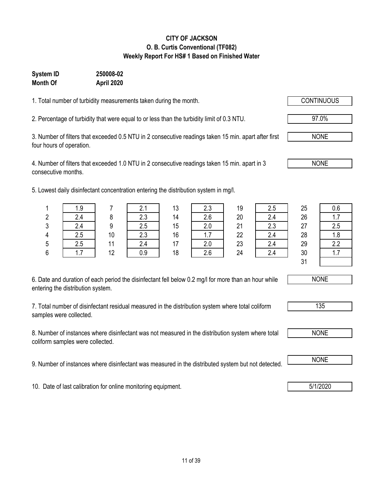| 6. Date and duration of each period the disinfectant fell below 0.2 mg/l for more than an hour while |
|------------------------------------------------------------------------------------------------------|
| entering the distribution system.                                                                    |

7. Total number of disinfectant residual measured in the distribution system where total coliform

8. Number of instances where disinfectant was not measured in the distribution system where total coliform samples were collected.

9. Number of instances where disinfectant was measured in the distributed system but not detected. NONE

10. Date of last calibration for online monitoring equipment. **1992 10. Date of last calibration for online monitoring equipment.** 

### **CITY OF JACKSON O. B. Curtis Conventional (TF082) Weekly Report For HS# 1 Based on Finished Water**

## **Month Of April 2020**

**System ID 250008-02**

1. Total number of turbidity measurements taken during the month.

2. Percentage of turbidity that were equal to or less than the turbidity limit of 0.3 NTU.

3. Number of filters that exceeded 0.5 NTU in 2 consecutive readings taken 15 min. apart after first four hours of operation.

4. Number of filters that exceeded 1.0 NTU in 2 consecutive readings taken 15 min. apart in 3 consecutive months.

5. Lowest daily disinfectant concentration entering the distribution system in mg/l.

| entering the distribution system. |  |  |
|-----------------------------------|--|--|
|                                   |  |  |

samples were collected.

|        | 1.9 |    | 2.1 | 13 | 2.3      | 19 | 2.5 | 25 | 0.6 |
|--------|-----|----|-----|----|----------|----|-----|----|-----|
| n<br>4 | 2.4 |    | 2.3 | 14 | 2.6      | 20 | 2.4 | 26 |     |
| 3      | 2.4 |    | 2.5 | 15 | 2.0      | 21 | 2.3 | 27 | 2.5 |
| 4      | 2.5 | 10 | 2.3 | 16 | ⇁<br>1.7 | 22 | 2.4 | 28 | 1.8 |
| 5      | 2.5 | 11 | 2.4 | 17 | 2.0      | 23 | 2.4 | 29 | າາ  |
| 6      | 1.7 | 12 | 0.9 | 18 | 2.6      | 24 | 2.4 | 30 | .   |
|        |     |    |     |    |          |    |     | 21 |     |



NONE



NONE

97.0%

NONE

NONE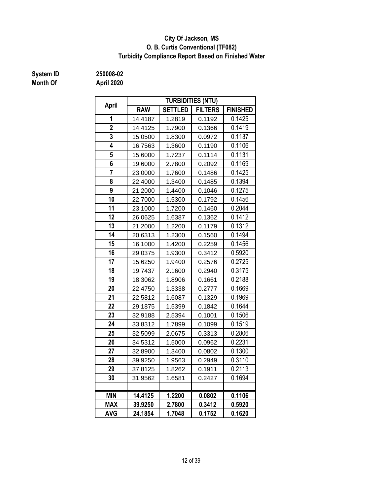### **O. B. Curtis Conventional (TF082) City Of Jackson, MS Turbidity Compliance Report Based on Finished Water**

# **System ID 250008-02**

| April          |            |                | <b>TURBIDITIES (NTU)</b> |                 |  |
|----------------|------------|----------------|--------------------------|-----------------|--|
|                | <b>RAW</b> | <b>SETTLED</b> | <b>FILTERS</b>           | <b>FINISHED</b> |  |
| 1              | 14.4187    | 1.2819         | 0.1192                   | 0.1425          |  |
| $\overline{2}$ | 14.4125    | 1.7900         | 0.1366                   | 0.1419          |  |
| 3              | 15.0500    | 1.8300         | 0.0972                   | 0.1137          |  |
| 4              | 16.7563    | 1.3600         | 0.1190                   | 0.1106          |  |
| 5              | 15.6000    | 1.7237         | 0.1114                   | 0.1131          |  |
| 6              | 19.6000    | 2.7800         | 0.2092                   | 0.1169          |  |
| $\overline{7}$ | 23.0000    | 1.7600         | 0.1486                   | 0.1425          |  |
| 8              | 22.4000    | 1.3400         | 0.1485                   | 0.1394          |  |
| 9              | 21.2000    | 1.4400         | 0.1046                   | 0.1275          |  |
| 10             | 22.7000    | 1.5300         | 0.1792                   | 0.1456          |  |
| 11             | 23.1000    | 1.7200         | 0.1460                   | 0.2044          |  |
| 12             | 26.0625    | 1.6387         | 0.1362                   | 0.1412          |  |
| 13             | 21.2000    | 1.2200         | 0.1179                   | 0.1312          |  |
| 14             | 20.6313    | 1.2300         | 0.1560                   | 0.1494          |  |
| 15             | 16.1000    | 1.4200         | 0.2259                   | 0.1456          |  |
| 16             | 29.0375    | 1.9300         | 0.3412                   | 0.5920          |  |
| 17             | 15.6250    | 1.9400         | 0.2576                   | 0.2725          |  |
| 18             | 19.7437    | 2.1600         | 0.2940                   | 0.3175          |  |
| 19             | 18.3062    | 1.8906         | 0.1661                   | 0.2188          |  |
| 20             | 22.4750    | 1.3338         | 0.2777                   | 0.1669          |  |
| 21             | 22.5812    | 1.6087         | 0.1329                   | 0.1969          |  |
| 22             | 29.1875    | 1.5399         | 0.1842                   | 0.1644          |  |
| 23             | 32.9188    | 2.5394         | 0.1001                   | 0.1506          |  |
| 24             | 33.8312    | 1.7899         | 0.1099                   | 0.1519          |  |
| 25             | 32.5099    | 2.0675         | 0.3313                   | 0.2806          |  |
| 26             | 34.5312    | 1.5000         | 0.0962                   | 0.2231          |  |
| 27             | 32.8900    | 1.3400         | 0.0802                   | 0.1300          |  |
| 28             | 39.9250    | 1.9563         | 0.2949                   | 0.3110          |  |
| 29             | 37.8125    | 1.8262         | 0.1911                   | 0.2113          |  |
| 30             | 31.9562    | 1.6581         | 0.2427                   | 0.1694          |  |
|                |            |                |                          |                 |  |
| <b>MIN</b>     | 14.4125    | 1.2200         | 0.0802                   | 0.1106          |  |
| <b>MAX</b>     | 39.9250    | 2.7800         | 0.3412                   | 0.5920          |  |
| <b>AVG</b>     | 24.1854    | 1.7048         | 0.1752                   | 0.1620          |  |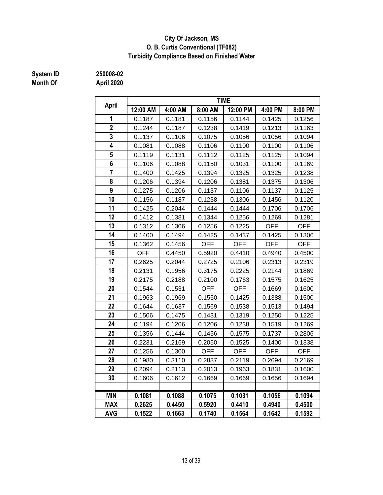### **City Of Jackson, MS O. B. Curtis Conventional (TF082) Turbidity Compliance Based on Finished Water**

# **System ID 250008-02**

|                |            |         |            | <b>TIME</b> |            |            |
|----------------|------------|---------|------------|-------------|------------|------------|
| April          | 12:00 AM   | 4:00 AM | 8:00 AM    | 12:00 PM    | 4:00 PM    | 8:00 PM    |
| 1              | 0.1187     | 0.1181  | 0.1156     | 0.1144      | 0.1425     | 0.1256     |
| $\overline{2}$ | 0.1244     | 0.1187  | 0.1238     | 0.1419      | 0.1213     | 0.1163     |
| 3              | 0.1137     | 0.1106  | 0.1075     | 0.1056      | 0.1056     | 0.1094     |
| 4              | 0.1081     | 0.1088  | 0.1106     | 0.1100      | 0.1100     | 0.1106     |
| 5              | 0.1119     | 0.1131  | 0.1112     | 0.1125      | 0.1125     | 0.1094     |
| 6              | 0.1106     | 0.1088  | 0.1150     | 0.1031      | 0.1100     | 0.1169     |
| $\overline{7}$ | 0.1400     | 0.1425  | 0.1394     | 0.1325      | 0.1325     | 0.1238     |
| 8              | 0.1206     | 0.1394  | 0.1206     | 0.1381      | 0.1375     | 0.1306     |
| 9              | 0.1275     | 0.1206  | 0.1137     | 0.1106      | 0.1137     | 0.1125     |
| 10             | 0.1156     | 0.1187  | 0.1238     | 0.1306      | 0.1456     | 0.1120     |
| 11             | 0.1425     | 0.2044  | 0.1444     | 0.1444      | 0.1706     | 0.1706     |
| 12             | 0.1412     | 0.1381  | 0.1344     | 0.1256      | 0.1269     | 0.1281     |
| 13             | 0.1312     | 0.1306  | 0.1256     | 0.1225      | <b>OFF</b> | <b>OFF</b> |
| 14             | 0.1400     | 0.1494  | 0.1425     | 0.1437      | 0.1425     | 0.1306     |
| 15             | 0.1362     | 0.1456  | <b>OFF</b> | <b>OFF</b>  | <b>OFF</b> | <b>OFF</b> |
| 16             | <b>OFF</b> | 0.4450  | 0.5920     | 0.4410      | 0.4940     | 0.4500     |
| 17             | 0.2625     | 0.2044  | 0.2725     | 0.2106      | 0.2313     | 0.2319     |
| 18             | 0.2131     | 0.1956  | 0.3175     | 0.2225      | 0.2144     | 0.1869     |
| 19             | 0.2175     | 0.2188  | 0.2100     | 0.1763      | 0.1575     | 0.1625     |
| 20             | 0.1544     | 0.1531  | <b>OFF</b> | OFF         | 0.1669     | 0.1600     |
| 21             | 0.1963     | 0.1969  | 0.1550     | 0.1425      | 0.1388     | 0.1500     |
| 22             | 0.1644     | 0.1637  | 0.1569     | 0.1538      | 0.1513     | 0.1494     |
| 23             | 0.1506     | 0.1475  | 0.1431     | 0.1319      | 0.1250     | 0.1225     |
| 24             | 0.1194     | 0.1206  | 0.1206     | 0.1238      | 0.1519     | 0.1269     |
| 25             | 0.1356     | 0.1444  | 0.1456     | 0.1575      | 0.1737     | 0.2806     |
| 26             | 0.2231     | 0.2169  | 0.2050     | 0.1525      | 0.1400     | 0.1338     |
| 27             | 0.1256     | 0.1300  | <b>OFF</b> | <b>OFF</b>  | <b>OFF</b> | <b>OFF</b> |
| 28             | 0.1980     | 0.3110  | 0.2837     | 0.2119      | 0.2694     | 0.2169     |
| 29             | 0.2094     | 0.2113  | 0.2013     | 0.1963      | 0.1831     | 0.1600     |
| 30             | 0.1606     | 0.1612  | 0.1669     | 0.1669      | 0.1656     | 0.1694     |
|                |            |         |            |             |            |            |
| <b>MIN</b>     | 0.1081     | 0.1088  | 0.1075     | 0.1031      | 0.1056     | 0.1094     |
| <b>MAX</b>     | 0.2625     | 0.4450  | 0.5920     | 0.4410      | 0.4940     | 0.4500     |
| <b>AVG</b>     | 0.1522     | 0.1663  | 0.1740     | 0.1564      | 0.1642     | 0.1592     |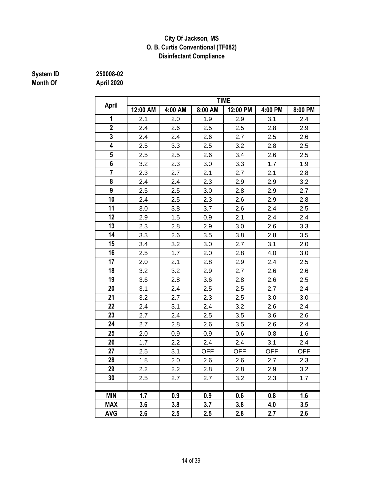### **Disinfectant Compliance City Of Jackson, MS O. B. Curtis Conventional (TF082)**

# **System ID 250008-02**

|                |          |         |            | <b>TIME</b> |            |            |
|----------------|----------|---------|------------|-------------|------------|------------|
| April          | 12:00 AM | 4:00 AM | 8:00 AM    | 12:00 PM    | 4:00 PM    | 8:00 PM    |
| 1              | 2.1      | 2.0     | 1.9        | 2.9         | 3.1        | 2.4        |
| $\overline{2}$ | 2.4      | 2.6     | 2.5        | 2.5         | 2.8        | 2.9        |
| 3              | 2.4      | 2.4     | 2.6        | 2.7         | 2.5        | 2.6        |
| 4              | 2.5      | 3.3     | 2.5        | 3.2         | 2.8        | 2.5        |
| 5              | 2.5      | 2.5     | 2.6        | 3.4         | 2.6        | 2.5        |
| 6              | 3.2      | 2.3     | 3.0        | 3.3         | 1.7        | 1.9        |
| $\overline{7}$ | 2.3      | 2.7     | 2.1        | 2.7         | 2.1        | 2.8        |
| 8              | 2.4      | 2.4     | 2.3        | 2.9         | 2.9        | 3.2        |
| 9              | 2.5      | 2.5     | 3.0        | 2.8         | 2.9        | 2.7        |
| 10             | 2.4      | 2.5     | 2.3        | 2.6         | 2.9        | 2.8        |
| 11             | 3.0      | 3.8     | 3.7        | 2.6         | 2.4        | 2.5        |
| 12             | 2.9      | 1.5     | 0.9        | 2.1         | 2.4        | 2.4        |
| 13             | 2.3      | 2.8     | 2.9        | 3.0         | 2.6        | 3.3        |
| 14             | 3.3      | 2.6     | 3.5        | 3.8         | 2.8        | 3.5        |
| 15             | 3.4      | 3.2     | 3.0        | 2.7         | 3.1        | 2.0        |
| 16             | 2.5      | 1.7     | 2.0        | 2.8         | 4.0        | 3.0        |
| 17             | 2.0      | 2.1     | 2.8        | 2.9         | 2.4        | 2.5        |
| 18             | 3.2      | 3.2     | 2.9        | 2.7         | 2.6        | 2.6        |
| 19             | 3.6      | 2.8     | 3.6        | 2.8         | 2.6        | 2.5        |
| 20             | 3.1      | 2.4     | 2.5        | 2.5         | 2.7        | 2.4        |
| 21             | 3.2      | 2.7     | 2.3        | 2.5         | 3.0        | 3.0        |
| 22             | 2.4      | 3.1     | 2.4        | 3.2         | 2.6        | 2.4        |
| 23             | 2.7      | 2.4     | 2.5        | 3.5         | 3.6        | 2.6        |
| 24             | 2.7      | 2.8     | 2.6        | 3.5         | 2.6        | 2.4        |
| 25             | 2.0      | 0.9     | 0.9        | 0.6         | 0.8        | 1.6        |
| 26             | 1.7      | 2.2     | 2.4        | 2.4         | 3.1        | 2.4        |
| 27             | 2.5      | 3.1     | <b>OFF</b> | <b>OFF</b>  | <b>OFF</b> | <b>OFF</b> |
| 28             | 1.8      | 2.0     | 2.6        | 2.6         | 2.7        | 2.3        |
| 29             | 2.2      | 2.2     | 2.8        | 2.8         | 2.9        | 3.2        |
| 30             | 2.5      | 2.7     | 2.7        | 3.2         | 2.3        | 1.7        |
|                |          |         |            |             |            |            |
| <b>MIN</b>     | 1.7      | 0.9     | 0.9        | 0.6         | 0.8        | 1.6        |
| <b>MAX</b>     | 3.6      | 3.8     | 3.7        | 3.8         | 4.0        | 3.5        |
| <b>AVG</b>     | 2.6      | 2.5     | 2.5        | 2.8         | 2.7        | 2.6        |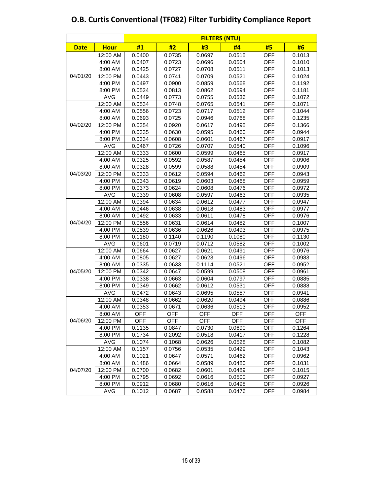|             |             | <b>FILTERS (NTU)</b> |        |        |            |            |        |  |  |  |  |  |  |
|-------------|-------------|----------------------|--------|--------|------------|------------|--------|--|--|--|--|--|--|
| <b>Date</b> | <b>Hour</b> | #1                   | #2     | #3     | #4         | #5         | #6     |  |  |  |  |  |  |
|             | 12:00 AM    | 0.0400               | 0.0735 | 0.0697 | 0.0515     | <b>OFF</b> | 0.1013 |  |  |  |  |  |  |
|             | 4:00 AM     | 0.0407               | 0.0723 | 0.0696 | 0.0504     | <b>OFF</b> | 0.1010 |  |  |  |  |  |  |
|             | 8:00 AM     | 0.0425               | 0.0727 | 0.0708 | 0.0511     | <b>OFF</b> | 0.1013 |  |  |  |  |  |  |
| 04/01/20    | 12:00 PM    | 0.0443               | 0.0741 | 0.0709 | 0.0521     | <b>OFF</b> | 0.1024 |  |  |  |  |  |  |
|             | 4:00 PM     | 0.0497               | 0.0900 | 0.0859 | 0.0568     | <b>OFF</b> | 0.1192 |  |  |  |  |  |  |
|             | 8:00 PM     | 0.0524               | 0.0813 | 0.0862 | 0.0594     | <b>OFF</b> | 0.1181 |  |  |  |  |  |  |
|             | <b>AVG</b>  | 0.0449               | 0.0773 | 0.0755 | 0.0536     | <b>OFF</b> | 0.1072 |  |  |  |  |  |  |
|             | 12:00 AM    | 0.0534               | 0.0748 | 0.0765 | 0.0541     | <b>OFF</b> | 0.1071 |  |  |  |  |  |  |
|             | 4:00 AM     | 0.0556               | 0.0723 | 0.0717 | 0.0512     | <b>OFF</b> | 0.1044 |  |  |  |  |  |  |
|             | 8:00 AM     | 0.0693               | 0.0725 | 0.0946 | 0.0768     | <b>OFF</b> | 0.1235 |  |  |  |  |  |  |
| 04/02/20    | 12:00 PM    | 0.0354               | 0.0920 | 0.0617 | 0.0495     | <b>OFF</b> | 0.1366 |  |  |  |  |  |  |
|             | 4:00 PM     | 0.0335               | 0.0630 | 0.0595 | 0.0460     | <b>OFF</b> | 0.0944 |  |  |  |  |  |  |
|             | 8:00 PM     | 0.0334               | 0.0608 | 0.0601 | 0.0467     | <b>OFF</b> | 0.0917 |  |  |  |  |  |  |
|             | AVG         | 0.0467               | 0.0726 | 0.0707 | 0.0540     | <b>OFF</b> | 0.1096 |  |  |  |  |  |  |
|             | 12:00 AM    | 0.0333               | 0.0600 | 0.0599 | 0.0465     | <b>OFF</b> | 0.0917 |  |  |  |  |  |  |
|             | 4:00 AM     | 0.0325               | 0.0592 | 0.0587 | 0.0454     | <b>OFF</b> | 0.0906 |  |  |  |  |  |  |
|             | 8:00 AM     | 0.0328               | 0.0599 | 0.0588 | 0.0454     | <b>OFF</b> | 0.0909 |  |  |  |  |  |  |
| 04/03/20    | 12:00 PM    | 0.0333               | 0.0612 | 0.0594 | 0.0462     | <b>OFF</b> | 0.0943 |  |  |  |  |  |  |
|             | 4:00 PM     | 0.0343               | 0.0619 | 0.0603 | 0.0468     | <b>OFF</b> | 0.0959 |  |  |  |  |  |  |
|             | 8:00 PM     | 0.0373               | 0.0624 | 0.0608 | 0.0476     | <b>OFF</b> | 0.0972 |  |  |  |  |  |  |
|             | <b>AVG</b>  | 0.0339               | 0.0608 | 0.0597 | 0.0463     | <b>OFF</b> | 0.0935 |  |  |  |  |  |  |
|             | 12:00 AM    | 0.0394               | 0.0634 | 0.0612 | 0.0477     | <b>OFF</b> | 0.0947 |  |  |  |  |  |  |
|             | 4:00 AM     | 0.0446               | 0.0638 | 0.0618 | 0.0483     | <b>OFF</b> | 0.0977 |  |  |  |  |  |  |
|             | 8:00 AM     | 0.0492               | 0.0633 | 0.0611 | 0.0478     | <b>OFF</b> | 0.0976 |  |  |  |  |  |  |
| 04/04/20    | 12:00 PM    | 0.0556               | 0.0631 | 0.0614 | 0.0482     | <b>OFF</b> | 0.1007 |  |  |  |  |  |  |
|             | 4:00 PM     | 0.0539               | 0.0636 | 0.0626 | 0.0493     | <b>OFF</b> | 0.0975 |  |  |  |  |  |  |
|             | 8:00 PM     | 0.1180               | 0.1140 | 0.1190 | 0.1080     | <b>OFF</b> | 0.1130 |  |  |  |  |  |  |
|             | AVG         | 0.0601               | 0.0719 | 0.0712 | 0.0582     | <b>OFF</b> | 0.1002 |  |  |  |  |  |  |
|             | 12:00 AM    | 0.0664               | 0.0627 | 0.0621 | 0.0491     | <b>OFF</b> | 0.0976 |  |  |  |  |  |  |
|             | 4:00 AM     | 0.0805               | 0.0627 | 0.0623 | 0.0496     | <b>OFF</b> | 0.0983 |  |  |  |  |  |  |
|             | 8:00 AM     | 0.0335               | 0.0633 | 0.1114 | 0.0521     | <b>OFF</b> | 0.0952 |  |  |  |  |  |  |
| 04/05/20    | 12:00 PM    | 0.0342               | 0.0647 | 0.0599 | 0.0508     | <b>OFF</b> | 0.0961 |  |  |  |  |  |  |
|             | 4:00 PM     | 0.0338               | 0.0663 | 0.0604 | 0.0797     | <b>OFF</b> | 0.0885 |  |  |  |  |  |  |
|             | 8:00 PM     | 0.0349               | 0.0662 | 0.0612 | 0.0531     | <b>OFF</b> | 0.0888 |  |  |  |  |  |  |
|             | <b>AVG</b>  | 0.0472               | 0.0643 | 0.0695 | 0.0557     | <b>OFF</b> | 0.0941 |  |  |  |  |  |  |
|             | 12:00 AM    | 0.0348               | 0.0662 | 0.0620 | 0.0494     | <b>OFF</b> | 0.0886 |  |  |  |  |  |  |
|             | 4:00 AM     | 0.0353               | 0.0671 | 0.0636 | 0.0513     | <b>OFF</b> | 0.0952 |  |  |  |  |  |  |
|             | 8:00 AM     | OFF                  | OFF    | OFF    | OFF        | <b>OFF</b> | OFF    |  |  |  |  |  |  |
| 04/06/20    | 12:00 PM    | OFF                  | OFF    | OFF    | <b>OFF</b> | <b>OFF</b> | OFF    |  |  |  |  |  |  |
|             | 4:00 PM     | 0.1135               | 0.0847 | 0.0730 | 0.0690     | <b>OFF</b> | 0.1264 |  |  |  |  |  |  |
|             | 8:00 PM     | 0.1734               | 0.2092 | 0.0518 | 0.0417     | <b>OFF</b> | 0.1228 |  |  |  |  |  |  |
|             | AVG         | 0.1074               | 0.1068 | 0.0626 | 0.0528     | <b>OFF</b> | 0.1082 |  |  |  |  |  |  |
|             | 12:00 AM    | 0.1157               | 0.0756 | 0.0535 | 0.0429     | <b>OFF</b> | 0.1043 |  |  |  |  |  |  |
|             | 4:00 AM     | 0.1021               | 0.0647 | 0.0571 | 0.0462     | OFF        | 0.0962 |  |  |  |  |  |  |
|             | 8:00 AM     | 0.1486               | 0.0664 | 0.0589 | 0.0480     | <b>OFF</b> | 0.1031 |  |  |  |  |  |  |
| 04/07/20    | 12:00 PM    | 0.0700               | 0.0682 | 0.0601 | 0.0489     | <b>OFF</b> | 0.1015 |  |  |  |  |  |  |
|             | 4:00 PM     | 0.0795               | 0.0692 | 0.0616 | 0.0500     | <b>OFF</b> | 0.0927 |  |  |  |  |  |  |
|             | 8:00 PM     | 0.0912               | 0.0680 | 0.0616 | 0.0498     | <b>OFF</b> | 0.0926 |  |  |  |  |  |  |
|             | AVG         | 0.1012               | 0.0687 | 0.0588 | 0.0476     | <b>OFF</b> | 0.0984 |  |  |  |  |  |  |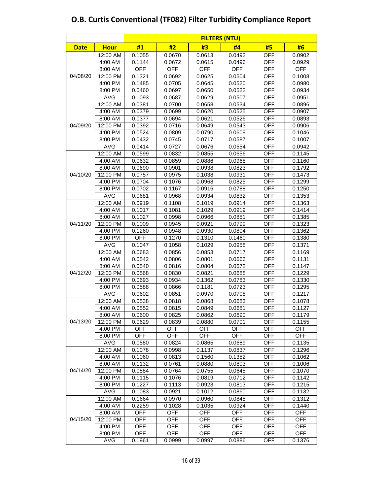|             |             | <b>FILTERS (NTU)</b> |            |            |            |            |            |  |  |  |  |  |  |
|-------------|-------------|----------------------|------------|------------|------------|------------|------------|--|--|--|--|--|--|
| <b>Date</b> | <b>Hour</b> | #1                   | #2         | #3         | #4         | #5         | #6         |  |  |  |  |  |  |
|             | 12:00 AM    | 0.1055               | 0.0670     | 0.0613     | 0.0492     | <b>OFF</b> | 0.0902     |  |  |  |  |  |  |
|             | 4:00 AM     | 0.1144               | 0.0672     | 0.0615     | 0.0496     | <b>OFF</b> | 0.0929     |  |  |  |  |  |  |
|             | 8:00 AM     | <b>OFF</b>           | <b>OFF</b> | <b>OFF</b> | <b>OFF</b> | <b>OFF</b> | <b>OFF</b> |  |  |  |  |  |  |
| 04/08/20    | 12:00 PM    | 0.1321               | 0.0692     | 0.0625     | 0.0504     | <b>OFF</b> | 0.1008     |  |  |  |  |  |  |
|             | 4:00 PM     | 0.1485               | 0.0705     | 0.0645     | 0.0520     | <b>OFF</b> | 0.0980     |  |  |  |  |  |  |
|             | 8:00 PM     | 0.0460               | 0.0697     | 0.0650     | 0.0522     | <b>OFF</b> | 0.0934     |  |  |  |  |  |  |
|             | <b>AVG</b>  | 0.1093               | 0.0687     | 0.0629     | 0.0507     | <b>OFF</b> | 0.0951     |  |  |  |  |  |  |
|             | 12:00 AM    | 0.0381               | 0.0700     | 0.0658     | 0.0534     | <b>OFF</b> | 0.0896     |  |  |  |  |  |  |
|             | 4:00 AM     | 0.0379               | 0.0699     | 0.0620     | 0.0525     | OFF        | 0.0907     |  |  |  |  |  |  |
|             | 8:00 AM     | 0.0377               | 0.0694     | 0.0621     | 0.0526     | <b>OFF</b> | 0.0893     |  |  |  |  |  |  |
| 04/09/20    | 12:00 PM    | 0.0392               | 0.0716     | 0.0649     | 0.0543     | <b>OFF</b> | 0.0906     |  |  |  |  |  |  |
|             | 4:00 PM     | 0.0524               | 0.0809     | 0.0790     | 0.0609     | <b>OFF</b> | 0.1046     |  |  |  |  |  |  |
|             | 8:00 PM     | 0.0432               | 0.0745     | 0.0717     | 0.0587     | <b>OFF</b> | 0.1007     |  |  |  |  |  |  |
|             | <b>AVG</b>  | 0.0414               | 0.0727     | 0.0676     | 0.0554     | <b>OFF</b> | 0.0942     |  |  |  |  |  |  |
|             | 12:00 AM    | 0.0599               | 0.0832     | 0.0855     | 0.0656     | <b>OFF</b> | 0.1145     |  |  |  |  |  |  |
|             | 4:00 AM     | 0.0632               | 0.0859     | 0.0886     | 0.0968     | <b>OFF</b> | 0.1160     |  |  |  |  |  |  |
| 04/10/20    | 8:00 AM     | 0.0690               | 0.0901     | 0.0938     | 0.0823     | <b>OFF</b> | 0.1792     |  |  |  |  |  |  |
|             | 12:00 PM    | 0.0757               | 0.0975     | 0.1038     | 0.0931     | <b>OFF</b> | 0.1473     |  |  |  |  |  |  |
|             | 4:00 PM     | 0.0704               | 0.1076     | 0.0968     | 0.0825     | <b>OFF</b> | 0.1299     |  |  |  |  |  |  |
|             | 8:00 PM     | 0.0702               | 0.1167     | 0.0916     | 0.0788     | <b>OFF</b> | 0.1250     |  |  |  |  |  |  |
|             | <b>AVG</b>  | 0.0681               | 0.0968     | 0.0934     | 0.0832     | <b>OFF</b> | 0.1353     |  |  |  |  |  |  |
|             | 12:00 AM    | 0.0919               | 0.1108     | 0.1019     | 0.0914     | <b>OFF</b> | 0.1363     |  |  |  |  |  |  |
|             | 4:00 AM     | 0.1017               | 0.1081     | 0.1029     | 0.0919     | <b>OFF</b> | 0.1414     |  |  |  |  |  |  |
|             | 8:00 AM     | 0.1027               | 0.0998     | 0.0966     | 0.0851     | <b>OFF</b> | 0.1385     |  |  |  |  |  |  |
| 04/11/20    | 12:00 PM    | 0.1009               | 0.0945     | 0.0921     | 0.0799     | <b>OFF</b> | 0.1323     |  |  |  |  |  |  |
|             | 4:00 PM     | 0.1260               | 0.0948     | 0.0930     | 0.0804     | <b>OFF</b> | 0.1362     |  |  |  |  |  |  |
|             | 8:00 PM     | <b>OFF</b>           | 0.1270     | 0.1310     | 0.1460     | <b>OFF</b> | 0.1380     |  |  |  |  |  |  |
|             | <b>AVG</b>  | 0.1047               | 0.1058     | 0.1029     | 0.0958     | <b>OFF</b> | 0.1371     |  |  |  |  |  |  |
|             | 12:00 AM    | 0.0683               | 0.0856     | 0.0853     | 0.0717     | <b>OFF</b> | 0.1169     |  |  |  |  |  |  |
|             | 4:00 AM     | 0.0542               | 0.0806     | 0.0801     | 0.0666     | <b>OFF</b> | 0.1131     |  |  |  |  |  |  |
|             | 8:00 AM     | 0.0540               | 0.0816     | 0.0804     | 0.0672     | <b>OFF</b> | 0.1147     |  |  |  |  |  |  |
| 04/12/20    | 12:00 PM    | 0.0568               | 0.0830     | 0.0821     | 0.0688     | <b>OFF</b> | 0.1229     |  |  |  |  |  |  |
|             | 4:00 PM     | 0.0693               | 0.0934     | 0.1362     | 0.0783     | <b>OFF</b> | 0.1330     |  |  |  |  |  |  |
|             | 8:00 PM     | 0.0588               | 0.0866     | 0.1181     | 0.0723     | <b>OFF</b> | 0.1295     |  |  |  |  |  |  |
|             | <b>AVG</b>  | 0.0602               | 0.0851     | 0.0970     | 0.0708     | <b>OFF</b> | 0.1217     |  |  |  |  |  |  |
|             | 12:00 AM    | 0.0538               | 0.0818     | 0.0868     | 0.0683     | <b>OFF</b> | 0.1078     |  |  |  |  |  |  |
|             | 4:00 AM     | 0.0552               | 0.0815     | 0.0849     | 0.0681     | <b>OFF</b> | 0.1127     |  |  |  |  |  |  |
|             | 8:00 AM     | 0.0600               | 0.0825     | 0.0862     | 0.0690     | OFF        | 0.1179     |  |  |  |  |  |  |
| 04/13/20    | 12:00 PM    | 0.0629               | 0.0839     | 0.0880     | 0.0701     | <b>OFF</b> | 0.1155     |  |  |  |  |  |  |
|             | 4:00 PM     | <b>OFF</b>           | <b>OFF</b> | <b>OFF</b> | <b>OFF</b> | <b>OFF</b> | <b>OFF</b> |  |  |  |  |  |  |
|             | 8:00 PM     | <b>OFF</b>           | <b>OFF</b> | OFF        | <b>OFF</b> | <b>OFF</b> | <b>OFF</b> |  |  |  |  |  |  |
|             | <b>AVG</b>  | 0.0580               | 0.0824     | 0.0865     | 0.0689     | OFF        | 0.1135     |  |  |  |  |  |  |
|             | 12:00 AM    | 0.1078               | 0.0998     | 0.1137     | 0.0837     | <b>OFF</b> | 0.1296     |  |  |  |  |  |  |
|             | 4:00 AM     | 0.1060               | 0.0813     | 0.1560     | 0.1352     | <b>OFF</b> | 0.1062     |  |  |  |  |  |  |
|             | 8:00 AM     | 0.1132               | 0.0761     | 0.0880     | 0.0803     | <b>OFF</b> | 0.1006     |  |  |  |  |  |  |
| 04/14/20    | 12:00 PM    | 0.0884               | 0.0764     | 0.0755     | 0.0645     | OFF        | 0.1070     |  |  |  |  |  |  |
|             | 4:00 PM     | 0.1115               | 0.1076     | 0.0819     | 0.0712     | OFF        | 0.1142     |  |  |  |  |  |  |
|             | 8:00 PM     | 0.1227               | 0.1113     | 0.0923     | 0.0813     | <b>OFF</b> | 0.1215     |  |  |  |  |  |  |
|             | AVG         | 0.1083               | 0.0921     | 0.1012     | 0.0860     | <b>OFF</b> | 0.1132     |  |  |  |  |  |  |
|             | 12:00 AM    | 0.1664               | 0.0970     | 0.0960     | 0.0848     | <b>OFF</b> | 0.1312     |  |  |  |  |  |  |
|             | 4:00 AM     | 0.2259               | 0.1028     | 0.1035     | 0.0924     | <b>OFF</b> | 0.1440     |  |  |  |  |  |  |
|             | 8:00 AM     | <b>OFF</b>           | <b>OFF</b> | <b>OFF</b> | <b>OFF</b> | <b>OFF</b> | <b>OFF</b> |  |  |  |  |  |  |
| 04/15/20    | 12:00 PM    | OFF                  | OFF        | OFF        | OFF        | <b>OFF</b> | <b>OFF</b> |  |  |  |  |  |  |
|             | 4:00 PM     | OFF                  | <b>OFF</b> | OFF        | OFF        | OFF        | <b>OFF</b> |  |  |  |  |  |  |
|             | 8:00 PM     | OFF                  | OFF        | OFF        | OFF        | OFF        | <b>OFF</b> |  |  |  |  |  |  |
|             | AVG         | 0.1961               | 0.0999     | 0.0997     | 0.0886     | <b>OFF</b> | 0.1376     |  |  |  |  |  |  |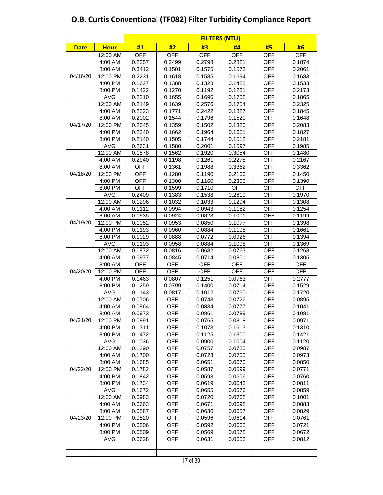|             |                     | <b>FILTERS (NTU)</b> |                          |                  |                  |                          |                  |  |  |  |  |  |  |  |
|-------------|---------------------|----------------------|--------------------------|------------------|------------------|--------------------------|------------------|--|--|--|--|--|--|--|
| <b>Date</b> | <b>Hour</b>         | #1                   | #2                       | #3               | #4               | #5                       | #6               |  |  |  |  |  |  |  |
|             | 12:00 AM            | <b>OFF</b>           | <b>OFF</b>               | <b>OFF</b>       | <b>OFF</b>       | <b>OFF</b>               | <b>OFF</b>       |  |  |  |  |  |  |  |
|             | 4:00 AM             | 0.2357               | 0.2499                   | 0.2798           | 0.2821           | <b>OFF</b>               | 0.1874           |  |  |  |  |  |  |  |
|             | 8:00 AM             | 0.3412               | 0.1501                   | 0.1575           | 0.1573           | <b>OFF</b>               | 0.2061           |  |  |  |  |  |  |  |
| 04/16/20    | 12:00 PM            | 0.2231               | 0.1618                   | 0.1585           | 0.1694           | <b>OFF</b>               | 0.1683           |  |  |  |  |  |  |  |
|             | 4:00 PM             | 0.1627               | 0.1388                   | 0.1328           | 0.1422           | <b>OFF</b>               | 0.1533           |  |  |  |  |  |  |  |
|             | 8:00 PM             | 0.1422               | 0.1270                   | 0.1192           | 0.1281           | <b>OFF</b>               | 0.2173           |  |  |  |  |  |  |  |
|             | <b>AVG</b>          | 0.2210               | 0.1655                   | 0.1696           | 0.1758           | <b>OFF</b>               | 0.1865           |  |  |  |  |  |  |  |
|             | 12:00 AM            | 0.2149               | 0.1639                   | 0.2576           | 0.1754           | <b>OFF</b>               | 0.2325           |  |  |  |  |  |  |  |
|             | 4:00 AM             | 0.2323               | 0.1771                   | 0.2422           | 0.1827           | <b>OFF</b>               | 0.1845           |  |  |  |  |  |  |  |
|             | 8:00 AM             | 0.2002               | 0.1544                   | 0.1796           | 0.1520           | <b>OFF</b>               | 0.1648           |  |  |  |  |  |  |  |
| 04/17/20    | 12:00 PM            | 0.2045               | 0.1359                   | 0.1502           | 0.1320           | <b>OFF</b>               | 0.2083           |  |  |  |  |  |  |  |
|             | 4:00 PM             | 0.2240               | 0.1662                   | 0.1964           | 0.1651           | <b>OFF</b>               | 0.1827           |  |  |  |  |  |  |  |
|             | 8:00 PM             | 0.2140               | 0.1505                   | 0.1744           | 0.1512           | <b>OFF</b>               | 0.2181           |  |  |  |  |  |  |  |
|             | AVG                 | 0.2631               | 0.1580                   | 0.2001           | 0.1597           | <b>OFF</b>               | 0.1985           |  |  |  |  |  |  |  |
|             | 12:00 AM            | 0.1878               | 0.1562                   | 0.1920           | 0.3054           | OFF                      | 0.1480           |  |  |  |  |  |  |  |
|             | 4:00 AM             | 0.2940               | 0.1198                   | 0.1261           | 0.2278           | <b>OFF</b>               | 0.2167           |  |  |  |  |  |  |  |
|             | 8:00 AM             | <b>OFF</b>           | 0.1361                   | 0.1988           | 0.3362           | <b>OFF</b>               | 0.3362           |  |  |  |  |  |  |  |
| 04/18/20    | 12:00 PM            | <b>OFF</b>           | 0.1280                   | 0.1190           | 0.2100           | <b>OFF</b>               | 0.1450           |  |  |  |  |  |  |  |
|             | 4:00 PM             | <b>OFF</b>           | 0.1300                   | 0.1160           | 0.2300           | <b>OFF</b>               | 0.1390           |  |  |  |  |  |  |  |
|             | 8:00 PM             | <b>OFF</b>           | 0.1599                   | 0.1710           | <b>OFF</b>       | <b>OFF</b>               | <b>OFF</b>       |  |  |  |  |  |  |  |
|             | <b>AVG</b>          | 0.2409               | 0.1383                   | 0.1538           | 0.2619           | <b>OFF</b>               | 0.1970           |  |  |  |  |  |  |  |
|             | 12:00 AM            | 0.1296               | 0.1032                   | 0.1033           | 0.1294           | <b>OFF</b>               | 0.1308           |  |  |  |  |  |  |  |
|             | 4:00 AM             | 0.1112               | 0.0994                   | 0.0943           | 0.1182           | <b>OFF</b>               | 0.1254           |  |  |  |  |  |  |  |
|             | 8:00 AM             | 0.0935               | 0.0924                   | 0.0823           | 0.1001           | <b>OFF</b>               | 0.1199           |  |  |  |  |  |  |  |
| 04/19/20    | 12:00 PM            | 0.1052               | 0.0953                   | 0.0850           | 0.1077           | <b>OFF</b>               | 0.1398           |  |  |  |  |  |  |  |
|             | 4:00 PM             | 0.1193               | 0.0960                   | 0.0884           | 0.1108           | <b>OFF</b>               | 0.1661           |  |  |  |  |  |  |  |
|             | 8:00 PM             | 0.1029               | 0.0888                   | 0.0772           | 0.0926           | <b>OFF</b>               | 0.1394           |  |  |  |  |  |  |  |
|             | <b>AVG</b>          | 0.1103               | 0.0958                   | 0.0884           | 0.1098           | <b>OFF</b>               | 0.1369           |  |  |  |  |  |  |  |
|             | 12:00 AM            | 0.0872               | 0.0816                   | 0.0682           | 0.0763           | <b>OFF</b>               | 0.1268           |  |  |  |  |  |  |  |
|             | 4:00 AM             | 0.0977               | 0.0845                   | 0.0714           | 0.0801           | <b>OFF</b>               | 0.1305           |  |  |  |  |  |  |  |
|             | 8:00 AM             | <b>OFF</b>           | <b>OFF</b>               | <b>OFF</b>       | <b>OFF</b>       | <b>OFF</b>               | <b>OFF</b>       |  |  |  |  |  |  |  |
| 04/20/20    | 12:00 PM            | <b>OFF</b>           | <b>OFF</b>               | <b>OFF</b>       | <b>OFF</b>       | <b>OFF</b>               | <b>OFF</b>       |  |  |  |  |  |  |  |
|             | 4:00 PM             | 0.1463               | 0.0807                   | 0.1251           | 0.0763           | <b>OFF</b>               | 0.2777           |  |  |  |  |  |  |  |
|             | 8:00 PM             | 0.1259               | 0.0799                   | 0.1400           | 0.0714           | <b>OFF</b>               | 0.1529           |  |  |  |  |  |  |  |
|             | <b>AVG</b>          | 0.1143               | 0.0817                   | 0.1012           | 0.0760           | <b>OFF</b>               | 0.1720           |  |  |  |  |  |  |  |
|             | 12:00 AM<br>4:00 AM | 0.0706<br>0.0864     | <b>OFF</b><br><b>OFF</b> | 0.0743           | 0.0726<br>0.0777 | <b>OFF</b><br><b>OFF</b> | 0.0895<br>0.1041 |  |  |  |  |  |  |  |
|             | 8:00 AM             | 0.0973               | <b>OFF</b>               | 0.0834<br>0.0861 | 0.0789           | <b>OFF</b>               | 0.1081           |  |  |  |  |  |  |  |
| 04/21/20    | 12:00 PM            | 0.0891               | <b>OFF</b>               | 0.0765           | 0.0818           | <b>OFF</b>               | 0.0971           |  |  |  |  |  |  |  |
|             | 4:00 PM             | 0.1311               | OFF                      | 0.1073           | 0.1613           | <b>OFF</b>               | 0.1310           |  |  |  |  |  |  |  |
|             | 8:00 PM             | 0.1472               | OFF                      | 0.1125           | 0.1300           | OFF                      | 0.1421           |  |  |  |  |  |  |  |
|             | <b>AVG</b>          | 0.1036               | <b>OFF</b>               | 0.0900           | 0.1004           | <b>OFF</b>               | 0.1120           |  |  |  |  |  |  |  |
|             | 12:00 AM            | 0.1290               | <b>OFF</b>               | 0.0757           | 0.0785           | OFF                      | 0.0987           |  |  |  |  |  |  |  |
|             | 4:00 AM             | 0.1700               | OFF                      | 0.0723           | 0.0755           | <b>OFF</b>               | 0.0973           |  |  |  |  |  |  |  |
|             | 8:00 AM             | 0.1685               | OFF                      | 0.0651           | 0.0670           | <b>OFF</b>               | 0.0850           |  |  |  |  |  |  |  |
| 04/22/20    | 12:00 PM            | 0.1782               | <b>OFF</b>               | 0.0587           | 0.0599           | <b>OFF</b>               | 0.0771           |  |  |  |  |  |  |  |
|             | $4:00$ PM           | 0.1842               | <b>OFF</b>               | 0.0593           | 0.0606           | <b>OFF</b>               | 0.0760           |  |  |  |  |  |  |  |
|             | 8:00 PM             | 0.1734               | <b>OFF</b>               | 0.0619           | 0.0643           | <b>OFF</b>               | 0.0811           |  |  |  |  |  |  |  |
|             | <b>AVG</b>          | 0.1672               | <b>OFF</b>               | 0.0655           | 0.0676           | <b>OFF</b>               | 0.0859           |  |  |  |  |  |  |  |
|             | 12:00 AM            | 0.0983               | <b>OFF</b>               | 0.0720           | 0.0768           | OFF                      | 0.1001           |  |  |  |  |  |  |  |
|             | 4:00 AM             | 0.0663               | OFF                      | 0.0671           | 0.0698           | OFF                      | 0.0883           |  |  |  |  |  |  |  |
|             | 8:00 AM             | 0.0587               | <b>OFF</b>               | 0.0636           | 0.0657           | OFF                      | 0.0829           |  |  |  |  |  |  |  |
| 04/23/20    | 12:00 PM            | 0.0520               | OFF                      | 0.0596           | 0.0614           | <b>OFF</b>               | 0.0761           |  |  |  |  |  |  |  |
|             | 4:00 PM             | 0.0506               | <b>OFF</b>               | 0.0592           | 0.0605           | <b>OFF</b>               | 0.0721           |  |  |  |  |  |  |  |
|             | 8:00 PM             | 0.0509               | <b>OFF</b>               | 0.0569           | 0.0578           | OFF                      | 0.0672           |  |  |  |  |  |  |  |
|             | AVG                 | 0.0628               | <b>OFF</b>               | 0.0631           | 0.0653           | <b>OFF</b>               | 0.0812           |  |  |  |  |  |  |  |
|             |                     |                      |                          |                  |                  |                          |                  |  |  |  |  |  |  |  |
|             |                     |                      |                          |                  |                  |                          |                  |  |  |  |  |  |  |  |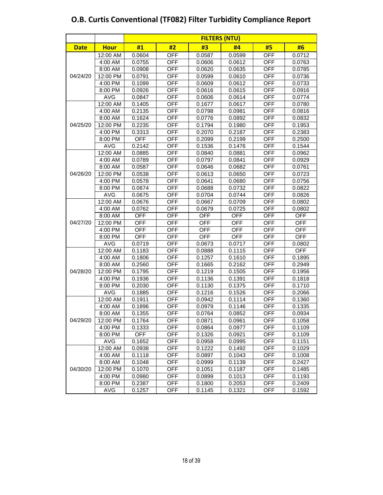|             |             | <b>FILTERS (NTU)</b> |            |            |            |            |            |  |  |  |  |  |  |
|-------------|-------------|----------------------|------------|------------|------------|------------|------------|--|--|--|--|--|--|
| <b>Date</b> | <b>Hour</b> | #1                   | #2         | #3         | #4         | #5         | #6         |  |  |  |  |  |  |
|             | 12:00 AM    | 0.0604               | <b>OFF</b> | 0.0587     | 0.0599     | <b>OFF</b> | 0.0712     |  |  |  |  |  |  |
|             | 4:00 AM     | 0.0755               | <b>OFF</b> | 0.0606     | 0.0612     | <b>OFF</b> | 0.0763     |  |  |  |  |  |  |
|             | 8:00 AM     | 0.0908               | <b>OFF</b> | 0.0620     | 0.0635     | <b>OFF</b> | 0.0785     |  |  |  |  |  |  |
| 04/24/20    | 12:00 PM    | 0.0791               | <b>OFF</b> | 0.0599     | 0.0610     | <b>OFF</b> | 0.0736     |  |  |  |  |  |  |
|             | 4:00 PM     | 0.1099               | <b>OFF</b> | 0.0609     | 0.0612     | <b>OFF</b> | 0.0733     |  |  |  |  |  |  |
|             | 8:00 PM     | 0.0926               | <b>OFF</b> | 0.0616     | 0.0615     | <b>OFF</b> | 0.0916     |  |  |  |  |  |  |
|             | <b>AVG</b>  | 0.0847               | <b>OFF</b> | 0.0606     | 0.0614     | OFF        | 0.0774     |  |  |  |  |  |  |
|             | 12:00 AM    | 0.1405               | <b>OFF</b> | 0.1677     | 0.0617     | <b>OFF</b> | 0.0780     |  |  |  |  |  |  |
|             | 4:00 AM     | 0.2135               | <b>OFF</b> | 0.0798     | 0.0981     | <b>OFF</b> | 0.0816     |  |  |  |  |  |  |
|             | 8:00 AM     | 0.1624               | <b>OFF</b> | 0.0776     | 0.0892     | <b>OFF</b> | 0.0832     |  |  |  |  |  |  |
| 04/25/20    | 12:00 PM    | 0.2235               | <b>OFF</b> | 0.1794     | 0.1980     | <b>OFF</b> | 0.1953     |  |  |  |  |  |  |
|             | 4:00 PM     | 0.3313               | <b>OFF</b> | 0.2070     | 0.2187     | <b>OFF</b> | 0.2383     |  |  |  |  |  |  |
|             | 8:00 PM     | <b>OFF</b>           | <b>OFF</b> | 0.2099     | 0.2199     | <b>OFF</b> | 0.2500     |  |  |  |  |  |  |
|             | AVG         | 0.2142               | <b>OFF</b> | 0.1536     | 0.1476     | <b>OFF</b> | 0.1544     |  |  |  |  |  |  |
|             | 12:00 AM    | 0.0885               | <b>OFF</b> | 0.0840     | 0.0881     | <b>OFF</b> | 0.0962     |  |  |  |  |  |  |
|             | 4:00 AM     | 0.0789               | <b>OFF</b> | 0.0797     | 0.0841     | <b>OFF</b> | 0.0929     |  |  |  |  |  |  |
|             | 8:00 AM     | 0.0587               | <b>OFF</b> | 0.0646     | 0.0682     | <b>OFF</b> | 0.0761     |  |  |  |  |  |  |
| 04/26/20    | 12:00 PM    | 0.0538               | <b>OFF</b> | 0.0613     | 0.0650     | <b>OFF</b> | 0.0723     |  |  |  |  |  |  |
|             | 4:00 PM     | 0.0578               | <b>OFF</b> | 0.0641     | 0.0680     | <b>OFF</b> | 0.0756     |  |  |  |  |  |  |
|             | 8:00 PM     | 0.0674               | <b>OFF</b> | 0.0688     | 0.0732     | <b>OFF</b> | 0.0822     |  |  |  |  |  |  |
|             | AVG         | 0.0675               | <b>OFF</b> | 0.0704     | 0.0744     | <b>OFF</b> | 0.0826     |  |  |  |  |  |  |
|             | 12:00 AM    | 0.0676               | <b>OFF</b> | 0.0667     | 0.0709     | <b>OFF</b> | 0.0802     |  |  |  |  |  |  |
|             | 4:00 AM     | 0.0762               | <b>OFF</b> | 0.0679     | 0.0725     | <b>OFF</b> | 0.0802     |  |  |  |  |  |  |
|             | 8:00 AM     | <b>OFF</b>           | <b>OFF</b> | <b>OFF</b> | <b>OFF</b> | <b>OFF</b> | <b>OFF</b> |  |  |  |  |  |  |
| 04/27/20    | 12:00 PM    | <b>OFF</b>           | <b>OFF</b> | <b>OFF</b> | <b>OFF</b> | <b>OFF</b> | <b>OFF</b> |  |  |  |  |  |  |
|             | 4:00 PM     | <b>OFF</b>           | <b>OFF</b> | <b>OFF</b> | <b>OFF</b> | <b>OFF</b> | <b>OFF</b> |  |  |  |  |  |  |
|             | 8:00 PM     | <b>OFF</b>           | <b>OFF</b> | <b>OFF</b> | <b>OFF</b> | <b>OFF</b> | <b>OFF</b> |  |  |  |  |  |  |
|             | AVG         | 0.0719               | <b>OFF</b> | 0.0673     | 0.0717     | <b>OFF</b> | 0.0802     |  |  |  |  |  |  |
|             | 12:00 AM    | 0.1183               | <b>OFF</b> | 0.0888     | 0.1115     | <b>OFF</b> | <b>OFF</b> |  |  |  |  |  |  |
|             | 4:00 AM     | 0.1806               | <b>OFF</b> | 0.1257     | 0.1610     | <b>OFF</b> | 0.1895     |  |  |  |  |  |  |
|             | 8:00 AM     | 0.2560               | <b>OFF</b> | 0.1665     | 0.2162     | <b>OFF</b> | 0.2949     |  |  |  |  |  |  |
| 04/28/20    | 12:00 PM    | 0.1795               | <b>OFF</b> | 0.1219     | 0.1505     | <b>OFF</b> | 0.1956     |  |  |  |  |  |  |
|             | 4:00 PM     | 0.1936               | <b>OFF</b> | 0.1136     | 0.1391     | <b>OFF</b> | 0.1818     |  |  |  |  |  |  |
|             | 8:00 PM     | 0.2030               | <b>OFF</b> | 0.1130     | 0.1375     | <b>OFF</b> | 0.1710     |  |  |  |  |  |  |
|             | <b>AVG</b>  | 0.1885               | <b>OFF</b> | 0.1216     | 0.1526     | <b>OFF</b> | 0.2066     |  |  |  |  |  |  |
|             | 12:00 AM    | 0.1911               | <b>OFF</b> | 0.0942     | 0.1114     | <b>OFF</b> | 0.1360     |  |  |  |  |  |  |
|             | 4:00 AM     | 0.1896               | <b>OFF</b> | 0.0979     | 0.1146     | <b>OFF</b> | 0.1335     |  |  |  |  |  |  |
|             | 8:00 AM     | 0.1355               | <b>OFF</b> | 0.0764     | 0.0852     | <b>OFF</b> | 0.0934     |  |  |  |  |  |  |
| 04/29/20    | 12:00 PM    | 0.1764               | <b>OFF</b> | 0.0871     | 0.0961     | <b>OFF</b> | 0.1058     |  |  |  |  |  |  |
|             | 4:00 PM     | 0.1333               | OFF        | 0.0864     | 0.0977     | <b>OFF</b> | 0.1109     |  |  |  |  |  |  |
|             | 8:00 PM     | <b>OFF</b>           | OFF        | 0.1326     | 0.0921     | <b>OFF</b> | 0.1109     |  |  |  |  |  |  |
|             | AVG         | 0.1652               | OFF        | 0.0958     | 0.0995     | OFF        | 0.1151     |  |  |  |  |  |  |
|             | 12:00 AM    | 0.0938               | OFF        | 0.1222     | 0.1492     | <b>OFF</b> | 0.1029     |  |  |  |  |  |  |
|             | 4:00 AM     | 0.1118               | OFF        | 0.0897     | 0.1043     | <b>OFF</b> | 0.1008     |  |  |  |  |  |  |
|             | 8:00 AM     | 0.1048               | OFF        | 0.0999     | 0.1139     | OFF        | 0.2427     |  |  |  |  |  |  |
| 04/30/20    | 12:00 PM    | 0.1070               | <b>OFF</b> | 0.1051     | 0.1187     | <b>OFF</b> | 0.1485     |  |  |  |  |  |  |
|             | 4:00 PM     | 0.0980               | <b>OFF</b> | 0.0899     | 0.1013     | <b>OFF</b> | 0.1193     |  |  |  |  |  |  |
|             | 8:00 PM     | 0.2387               | <b>OFF</b> | 0.1800     | 0.2053     | <b>OFF</b> | 0.2409     |  |  |  |  |  |  |
|             | <b>AVG</b>  | 0.1257               | OFF        | 0.1145     | 0.1321     | OFF        | 0.1592     |  |  |  |  |  |  |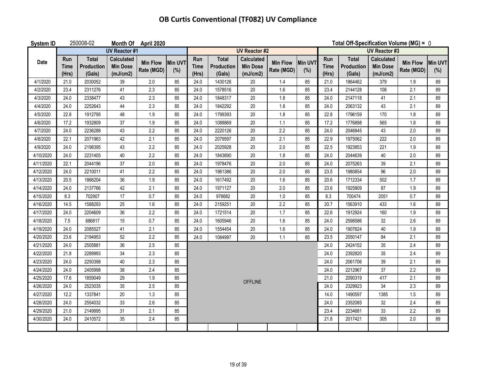| System ID |                      | 250008-02                     |                                                  | Month Of April 2020           |                       |                             |                                      |                                                  |                               |                      | Total Off-Specification Volume (MG) = 0 |                                      |                                                  |                               |                       |
|-----------|----------------------|-------------------------------|--------------------------------------------------|-------------------------------|-----------------------|-----------------------------|--------------------------------------|--------------------------------------------------|-------------------------------|----------------------|-----------------------------------------|--------------------------------------|--------------------------------------------------|-------------------------------|-----------------------|
|           |                      |                               | <b>UV Reactor #1</b>                             |                               |                       | <b>UV Reactor #2</b>        |                                      |                                                  |                               | <b>UV Reactor #3</b> |                                         |                                      |                                                  |                               |                       |
| Date      | Run<br>Time<br>(Hrs) | Total<br>Production<br>(Gals) | <b>Calculated</b><br><b>Min Dose</b><br>(mJ/cm2) | <b>Min Flow</b><br>Rate (MGD) | <b>Min UVT</b><br>(%) | Run<br><b>Time</b><br>(Hrs) | <b>Total</b><br>Production<br>(Gals) | <b>Calculated</b><br><b>Min Dose</b><br>(mJ/cm2) | <b>Min Flow</b><br>Rate (MGD) | Min UVT<br>(%)       | Run<br><b>Time</b><br>(Hrs)             | <b>Total</b><br>Production<br>(Gals) | <b>Calculated</b><br><b>Min Dose</b><br>(mJ/cm2) | <b>Min Flow</b><br>Rate (MGD) | <b>Min UVT</b><br>(%) |
| 4/1/2020  | 21.0                 | 2030052                       | 39                                               | $2.0\,$                       | 85                    | 24.0                        | 1430126                              | $20\,$                                           | 1.4                           | 85                   | 21.0                                    | 1864462                              | 379                                              | $1.9$                         | 89                    |
| 4/2/2020  | 23.4                 | 2311276                       | 41                                               | 2.3                           | 85                    | 24.0                        | 1578516                              | 20                                               | 1.6                           | 85                   | 23.4                                    | 2144128                              | 108                                              | 2.1                           | 89                    |
| 4/3/2020  | 24.0                 | 2338477                       | 43                                               | 2.3                           | 85                    | 24.0                        | 1848317                              | 20                                               | 1.8                           | 85                   | 24.0                                    | 2147118                              | 41                                               | 2.1                           | 89                    |
| 4/4/2020  | 24.0                 | 2252643                       | 44                                               | 2.3                           | 85                    | 24.0                        | 1842292                              | $20\,$                                           | 1.8                           | 85                   | 24.0                                    | 2063132                              | 43                                               | 2.1                           | 89                    |
| 4/5/2020  | 22.8                 | 1912795                       | 48                                               | 1.9                           | 85                    | 24.0                        | 1799393                              | 20                                               | 1.8                           | 85                   | 22.8                                    | 1796159                              | 170                                              | 1.8                           | 89                    |
| 4/6/2020  | 17.2                 | 1932809                       | 37                                               | $1.9$                         | 85                    | 24.0                        | 1088869                              | $20\,$                                           | 1.1                           | 85                   | 17.2                                    | 1776898                              | 565                                              | 1.8                           | 89                    |
| 4/7/2020  | 24.0                 | 2236288                       | 43                                               | 2.2                           | 85                    | 24.0                        | 2220126                              | 20                                               | 2.2                           | 85                   | 24.0                                    | 2046845                              | 43                                               | 2.0                           | 89                    |
| 4/8/2020  | 22.1                 | 2071963                       | 42                                               | 2.1                           | 85                    | 24.0                        | 2079597                              | 20                                               | 2.1                           | 85                   | 22.9                                    | 1975062                              | 222                                              | 2.0                           | 89                    |
| 4/9/2020  | 24.0                 | 2198395                       | 43                                               | 2.2                           | 85                    | 24.0                        | 2025928                              | $20\,$                                           | 2.0                           | 85                   | 22.5                                    | 1923853                              | 221                                              | 1.9                           | 89                    |
| 4/10/2020 | 24.0                 | 2231405                       | 40                                               | 2.2                           | 85                    | 24.0                        | 1843890                              | 20                                               | 1.8                           | 24.0                 | 2044639                                 | 40                                   | 2.0                                              | 89                            |                       |
| 4/11/2020 | 22.1                 | 2044196                       | 37                                               | $2.0\,$                       | 85                    | 24.0                        | 1978476                              | $20\,$                                           | 2.0                           | 24.0                 | 2075263                                 | 39                                   | 2.1                                              | 89                            |                       |
| 4/12/2020 | 24.0                 | 2210011                       | 41                                               | 2.2                           | 85                    | 24.0                        | 1961386                              | 20                                               | 2.0                           | 23.5                 | 1980854                                 | 96                                   | 2.0                                              | 89                            |                       |
| 4/13/2020 | 20.5                 | 1866204                       | 36                                               | 1.9                           | 85                    | 24.0                        | 1617492                              | 20                                               | 1.6                           | 85                   | 20.6                                    | 1712334                              | 502                                              | 1.7                           | 89                    |
| 4/14/2020 | 24.0                 | 2137766                       | 42                                               | 2.1                           | 85                    | 24.0                        | 1971127                              | 20                                               | 2.0                           | 85                   | 23.6                                    | 1925809                              | 87                                               | 1.9                           | 89                    |
| 4/15/2020 | 8.3                  | 702907                        | 17                                               | 0.7                           | 85                    | 24.0                        | 978682                               | $20\,$                                           | 1.0                           | 85                   | 8.3                                     | 700474                               | 2051                                             | 0.7                           | 89                    |
| 4/16/2020 | 14.5                 | 1588293                       | 25                                               | $1.6\,$                       | 85                    | 24.0                        | 2159251                              | $20\,$                                           | 2.2                           | 85                   | 20.7                                    | 1563910                              | 433                                              | 1.6                           | 89                    |
| 4/17/2020 | 24.0                 | 2204609                       | 36                                               | 2.2                           | 85                    | 24.0                        | 1721514                              | 20                                               | 1.7                           | 85                   | 22.6                                    | 1912924                              | 160                                              | 1.9                           | 89                    |
| 4/18/2020 | 7.5                  | 686817                        | 15                                               | 0.7                           | 85                    | 24.0                        | 1605946                              | $20\,$                                           | 1.6                           | 85                   | 24.0                                    | 2598586                              | 32                                               | 2.6                           | 89                    |
| 4/19/2020 | 24.0                 | 2085527                       | 41                                               | 2.1                           | 85                    | 24.0                        | 1554454                              | $20\,$                                           | 1.6                           | 85                   | 24.0                                    | 1907624                              | 40                                               | 1.9                           | 89                    |
| 4/20/2020 | 23.6                 | 2194953                       | 52                                               | 2.2                           | 85                    | 24.0                        | 1084997                              | $20\,$                                           | 1.1                           | 85                   | 23.5                                    | 2050147                              | 84                                               | 2.1                           | 89                    |
| 4/21/2020 | 24.0                 | 2505881                       | 36                                               | 2.5                           | 85                    |                             |                                      |                                                  |                               |                      | 24.0                                    | 2424152                              | 35                                               | 2.4                           | 89                    |
| 4/22/2020 | 21.8                 | 2289993                       | 34                                               | 2.3                           | 85                    |                             |                                      |                                                  |                               |                      | 24.0                                    | 2392820                              | 35                                               | 2.4                           | 89                    |
| 4/23/2020 | 24.0                 | 2250398                       | 40                                               | 2.3                           | 85                    |                             |                                      |                                                  |                               |                      | 24.0                                    | 2061706                              | 39                                               | 2.1                           | 89                    |
| 4/24/2020 | 24.0                 | 2405998                       | 38                                               | 2.4                           | 85                    |                             |                                      |                                                  |                               |                      | 24.0                                    | 2212967                              | 37                                               | 2.2                           | 89                    |
| 4/25/2020 | 17.6                 | 1859049                       | 29                                               | $1.9$                         | 85                    |                             |                                      | <b>OFFLINE</b>                                   |                               |                      | 21.0                                    | 2090319                              | 417                                              | 2.1                           | 89                    |
| 4/26/2020 | 24.0                 | 2523035                       | 35                                               | 2.5                           | 85                    |                             |                                      |                                                  |                               |                      | 24.0                                    | 2329923                              | 34                                               | 2.3                           | 89                    |
| 4/27/2020 | 12.2                 | 1337841                       | 20                                               | 1.3                           | 85                    |                             |                                      |                                                  |                               | 14.0                 | 1490597                                 | 1385                                 | 1.5                                              | 89                            |                       |
| 4/28/2020 | 24.0                 | 2554032                       | 33                                               | 2.6                           | 85                    |                             |                                      |                                                  |                               |                      | 24.0                                    | 2352085                              | 32                                               | 2.4                           | 89                    |
| 4/29/2020 | 21.0                 | 2149995                       | 31                                               | 2.1                           | 85                    |                             |                                      |                                                  |                               |                      | 23.4<br>21.8                            | 2234681                              | 33                                               | 2.2                           | 89                    |
| 4/30/2020 | 24.0                 | 2410572                       | 35                                               | 2.4                           | 85                    |                             |                                      |                                                  |                               |                      |                                         | 2017421                              | 305                                              | 2.0                           | 89                    |
|           |                      |                               |                                                  |                               |                       |                             |                                      |                                                  |                               |                      |                                         |                                      |                                                  |                               |                       |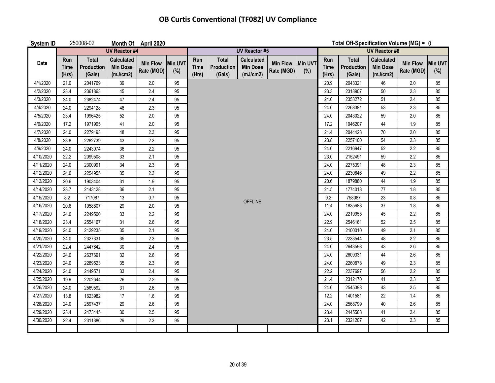| System ID |                             | 250008-02                            |                                                  | Month Of April 2020           |                |                             |                                      |                                                  |                               |                |                             | Total Off-Specification Volume (MG) = $0$   |                                                  |                               |                |
|-----------|-----------------------------|--------------------------------------|--------------------------------------------------|-------------------------------|----------------|-----------------------------|--------------------------------------|--------------------------------------------------|-------------------------------|----------------|-----------------------------|---------------------------------------------|--------------------------------------------------|-------------------------------|----------------|
|           |                             |                                      | <b>UV Reactor #4</b>                             |                               |                |                             |                                      | <b>UV Reactor #5</b>                             |                               |                |                             | <b>UV Reactor #6</b>                        |                                                  |                               |                |
| Date      | Run<br><b>Time</b><br>(Hrs) | <b>Total</b><br>Production<br>(Gals) | <b>Calculated</b><br><b>Min Dose</b><br>(mJ/cm2) | <b>Min Flow</b><br>Rate (MGD) | Min UVT<br>(%) | <b>Run</b><br>Time<br>(Hrs) | <b>Total</b><br>Production<br>(Gals) | <b>Calculated</b><br><b>Min Dose</b><br>(mJ/cm2) | <b>Min Flow</b><br>Rate (MGD) | Min UVT<br>(%) | Run<br><b>Time</b><br>(Hrs) | <b>Total</b><br><b>Production</b><br>(Gals) | <b>Calculated</b><br><b>Min Dose</b><br>(mJ/cm2) | <b>Min Flow</b><br>Rate (MGD) | Min UVT<br>(%) |
| 4/1/2020  | 21.0                        | 2041769                              | 39                                               | 2.0                           | 95             |                             |                                      |                                                  |                               |                | 20.9                        | 2043321                                     | 46                                               | 2.0                           | 85             |
| 4/2/2020  | 23.4                        | 2361863                              | 45                                               | 2.4                           | 95             |                             |                                      |                                                  |                               |                | 23.3                        | 2318907                                     | 50                                               | 2.3                           | 85             |
| 4/3/2020  | 24.0                        | 2382474                              | 47                                               | 2.4                           | 95             |                             |                                      |                                                  |                               | 24.0           | 2353272                     | 51                                          | 2.4                                              | 85                            |                |
| 4/4/2020  | 24.0                        | 2294128                              | 48                                               | 2.3                           | 95             |                             |                                      |                                                  |                               | 24.0           | 2268381                     | 53                                          | 2.3                                              | 85                            |                |
| 4/5/2020  | 23.4                        | 1996425                              | 52                                               | 2.0                           | 95             |                             |                                      |                                                  |                               | 24.0           | 2043022                     | 59                                          | 2.0                                              | 85                            |                |
| 4/6/2020  | 17.2                        | 1971995                              | 41                                               | 2.0                           | 95             |                             |                                      |                                                  |                               | 17.2           | 1946207                     | 44                                          | 1.9                                              | 85                            |                |
| 4/7/2020  | 24.0                        | 2279193                              | 48                                               | 2.3                           | 95             |                             |                                      |                                                  |                               | 21.4           | 2044423                     | 70                                          | 2.0                                              | 85                            |                |
| 4/8/2020  | 23.8                        | 2282739                              | 43                                               | 2.3                           | 95             |                             |                                      |                                                  |                               | 23.8           | 2257100                     | 54                                          | 2.3                                              | 85                            |                |
| 4/9/2020  | 24.0                        | 2243074                              | 36                                               | 2.2                           | 95             |                             |                                      |                                                  |                               | 24.0           | 2216947                     | 52                                          | 2.2                                              | 85                            |                |
| 4/10/2020 | 22.2                        | 2099508                              | 33                                               | 2.1                           | 95             |                             |                                      |                                                  |                               |                | 23.0                        | 2152491                                     | 59                                               | 2.2                           | 85             |
| 4/11/2020 | 24.0                        | 2300991                              | 34                                               | 2.3                           | 95             |                             |                                      |                                                  |                               | 24.0           | 2275391                     | 48                                          | 2.3                                              | 85                            |                |
| 4/12/2020 | 24.0                        | 2254955                              | 35                                               | 2.3                           | 95             |                             |                                      |                                                  |                               | 24.0           | 2230646                     | 49                                          | 2.2                                              | 85                            |                |
| 4/13/2020 | 20.6                        | 1903404                              | 31                                               | 1.9                           | 95             |                             |                                      |                                                  |                               | 20.6           | 1879880                     | 44                                          | 1.9                                              | 85                            |                |
| 4/14/2020 | 23.7                        | 2143128                              | 36                                               | 2.1                           | 95             |                             |                                      |                                                  |                               |                | 21.5                        | 1774018                                     | 77                                               | 1.8                           | 85             |
| 4/15/2020 | 8.2                         | 717087                               | 13                                               | 0.7                           | 95             |                             |                                      | <b>OFFLINE</b>                                   |                               |                | 9.2                         | 758087                                      | 23                                               | 0.8                           | 85             |
| 4/16/2020 | 20.6                        | 1958807                              | 29                                               | 2.0                           | 95             |                             |                                      |                                                  |                               |                | 11.4                        | 1835688                                     | 37                                               | 1.8                           | 85             |
| 4/17/2020 | 24.0                        | 2249500                              | 33                                               | 2.2                           | 95             |                             |                                      |                                                  |                               |                | 24.0                        | 2219955                                     | 45                                               | 2.2                           | 85             |
| 4/18/2020 | 23.4                        | 2554167                              | 31                                               | 2.6                           | 95             |                             |                                      |                                                  |                               |                | 22.9                        | 2546161                                     | 52                                               | 2.5                           | 85             |
| 4/19/2020 | 24.0                        | 2129235                              | 35                                               | 2.1                           | 95             |                             |                                      |                                                  |                               |                | 24.0                        | 2100010                                     | 49                                               | 2.1                           | 85             |
| 4/20/2020 | 24.0                        | 2327331                              | 35                                               | 2.3                           | 95             |                             |                                      |                                                  |                               |                | 23.5                        | 2233544                                     | 48                                               | 2.2                           | 85             |
| 4/21/2020 | 22.4                        | 2447642                              | 30                                               | 2.4                           | 95             |                             |                                      |                                                  |                               |                | 24.0                        | 2643598                                     | 43                                               | 2.6                           | 85             |
| 4/22/2020 | 24.0                        | 2637691                              | 32                                               | 2.6                           | 95             |                             |                                      |                                                  |                               |                | 24.0                        | 2609331                                     | 44                                               | 2.6                           | 85             |
| 4/23/2020 | 24.0                        | 2289523                              | 35                                               | 2.3                           | 95             |                             |                                      |                                                  |                               |                | 24.0                        | 2260878                                     | 49                                               | 2.3                           | 85             |
| 4/24/2020 | 24.0                        | 2449571                              | 33                                               | 2.4                           | 95             |                             |                                      |                                                  |                               |                | 22.2                        | 2237697                                     | 56                                               | 2.2                           | 85             |
| 4/25/2020 | 19.9                        | 2202644                              | 26                                               | 2.2                           | 95             |                             |                                      |                                                  |                               |                | 21.4                        | 2312170                                     | 41                                               | 2.3                           | 85             |
| 4/26/2020 | 24.0                        | 2569592                              | 31                                               | 2.6                           | 95             |                             |                                      |                                                  |                               |                | 24.0                        | 2545398                                     | 43                                               | 2.5                           | 85             |
| 4/27/2020 | 13.8                        | 1623982                              | 17                                               | 1.6                           | 95             |                             |                                      |                                                  |                               | 12.2           | 1401581                     | 22                                          | 1.4                                              | 85                            |                |
| 4/28/2020 | 24.0                        | 2597437                              | 29                                               | 2.6                           | 95             |                             |                                      |                                                  |                               |                | 24.0                        | 2568799                                     | 40                                               | 2.6                           | 85             |
| 4/29/2020 | 23.4                        | 2473445                              | 30                                               | 2.5                           | 95             |                             |                                      |                                                  |                               |                | 23.4                        | 2445568                                     | 41                                               | 2.4                           | 85             |
| 4/30/2020 | 22.4                        | 2311386                              | 29                                               | 2.3                           | 95             |                             |                                      |                                                  |                               |                | 23.1                        | 2321207                                     | 42                                               | 2.3                           | 85             |
|           |                             |                                      |                                                  |                               |                |                             |                                      |                                                  |                               |                |                             |                                             |                                                  |                               |                |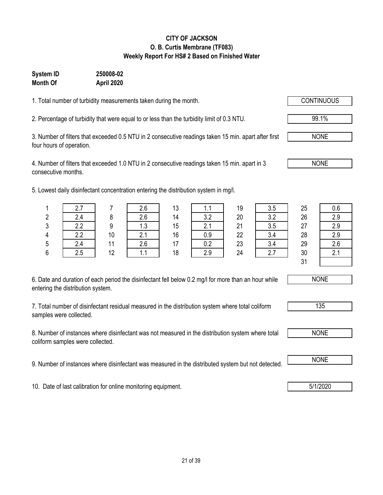### **CITY OF JACKSON O. B. Curtis Membrane (TF083) Weekly Report For HS# 2 Based on Finished Water**

### **Month Of April 2020 System ID 250008-02**

1. Total number of turbidity measurements taken during the month.

2. Percentage of turbidity that were equal to or less than the turbidity limit of 0.3 NTU.

3. Number of filters that exceeded 0.5 NTU in 2 consecutive readings taken 15 min. apart after first four hours of operation.

4. Number of filters that exceeded 1.0 NTU in 2 consecutive readings taken 15 min. apart in 3 consecutive months.

5. Lowest daily disinfectant concentration entering the distribution system in mg/l.

| 6. Date and duration of each period the disinfectant fell below 0.2 mg/l for more than an hour while |  |
|------------------------------------------------------------------------------------------------------|--|
| entering the distribution system.                                                                    |  |

7. Total number of disinfectant residual measured in the distribution system where total coliform samples were collected.

8. Number of instances where disinfectant was not measured in the distribution system where total coliform samples were collected.

9. Number of instances where disinfectant was measured in the distributed system but not detected. NONE

10. Date of last calibration for online monitoring equipment. **1992 10. Date of last calibration for online monitoring equipment.** 

 2.7 7 2.6 13 1.1 19 3.5 25 0.6 2.4 8 2.6 14 3.2 20 3.2 26 2.9 2.2 9 1.3 15 2.1 21 3.5 27 2.9 4 | 2.2 | 10 | 2.1 | 16 | 0.9 | 22 | 3.4 | 28 | 2.9 2.4 11 2.6 17 0.2 23 3.4 29 2.6 2.5 12 1.1 18 2.9 24 2.7 30 2.1 31

NONE



NONE

NONE

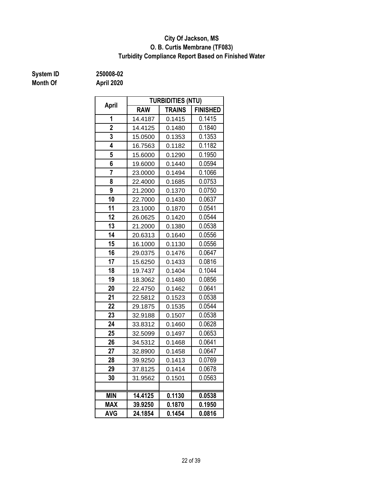### **O. B. Curtis Membrane (TF083) City Of Jackson, MS Turbidity Compliance Report Based on Finished Water**

# **System ID 250008-02**

| April          |            | <b>TURBIDITIES (NTU)</b> |                 |
|----------------|------------|--------------------------|-----------------|
|                | <b>RAW</b> | <b>TRAINS</b>            | <b>FINISHED</b> |
| 1              | 14.4187    | 0.1415                   | 0.1415          |
| $\overline{2}$ | 14.4125    | 0.1480                   | 0.1840          |
| 3              | 15.0500    | 0.1353                   | 0.1353          |
| 4              | 16.7563    | 0.1182                   | 0.1182          |
| 5              | 15.6000    | 0.1290                   | 0.1950          |
| 6              | 19.6000    | 0.1440                   | 0.0594          |
| 7              | 23.0000    | 0.1494                   | 0.1066          |
| 8              | 22.4000    | 0.1685                   | 0.0753          |
| 9              | 21.2000    | 0.1370                   | 0.0750          |
| 10             | 22.7000    | 0.1430                   | 0.0637          |
| 11             | 23.1000    | 0.1870                   | 0.0541          |
| 12             | 26.0625    | 0.1420                   | 0.0544          |
| 13             | 21.2000    | 0.1380                   | 0.0538          |
| 14             | 20.6313    | 0.1640                   | 0.0556          |
| 15             | 16.1000    | 0.1130                   | 0.0556          |
| 16             | 29.0375    | 0.1476                   | 0.0647          |
| 17             | 15.6250    | 0.1433                   | 0.0816          |
| 18             | 19.7437    | 0.1404                   | 0.1044          |
| 19             | 18.3062    | 0.1480                   | 0.0856          |
| 20             | 22.4750    | 0.1462                   | 0.0641          |
| 21             | 22.5812    | 0.1523                   | 0.0538          |
| 22             | 29.1875    | 0.1535                   | 0.0544          |
| 23             | 32.9188    | 0.1507                   | 0.0538          |
| 24             | 33.8312    | 0.1460                   | 0.0628          |
| 25             | 32.5099    | 0.1497                   | 0.0653          |
| 26             | 34.5312    | 0.1468                   | 0.0641          |
| 27             | 32.8900    | 0.1458                   | 0.0647          |
| 28             | 39.9250    | 0.1413                   | 0.0769          |
| 29             | 37.8125    | 0.1414                   | 0.0678          |
| 30             | 31.9562    | 0.1501                   | 0.0563          |
|                |            |                          |                 |
| <b>MIN</b>     | 14.4125    | 0.1130                   | 0.0538          |
| <b>MAX</b>     | 39.9250    | 0.1870                   | 0.1950          |
| <b>AVG</b>     | 24.1854    | 0.1454                   | 0.0816          |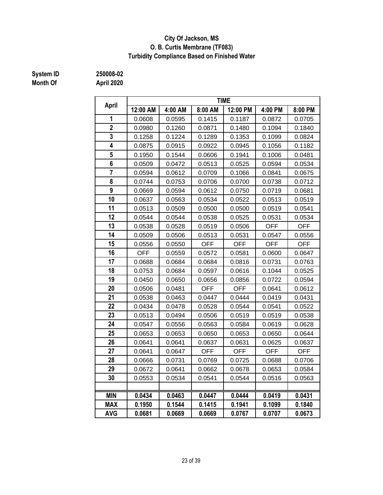### **City Of Jackson, MS O. B. Curtis Membrane (TF083) Turbidity Compliance Based on Finished Water**

## **Month Of April 2020**

**System ID 250008-02**

| April                   | <b>TIME</b> |         |            |            |            |            |  |  |  |
|-------------------------|-------------|---------|------------|------------|------------|------------|--|--|--|
|                         | 12:00 AM    | 4:00 AM | 8:00 AM    | 12:00 PM   | 4:00 PM    | 8:00 PM    |  |  |  |
| 1                       | 0.0608      | 0.0595  | 0.1415     | 0.1187     | 0.0872     | 0.0705     |  |  |  |
| $\overline{2}$          | 0.0980      | 0.1260  | 0.0871     | 0.1480     | 0.1094     | 0.1840     |  |  |  |
| 3                       | 0.1258      | 0.1224  | 0.1289     | 0.1353     | 0.1099     | 0.0824     |  |  |  |
| $\overline{\mathbf{4}}$ | 0.0875      | 0.0915  | 0.0922     | 0.0945     | 0.1056     | 0.1182     |  |  |  |
| 5                       | 0.1950      | 0.1544  | 0.0606     | 0.1941     | 0.1006     | 0.0481     |  |  |  |
| $6\phantom{a}$          | 0.0509      | 0.0472  | 0.0513     | 0.0525     | 0.0594     | 0.0534     |  |  |  |
| $\overline{7}$          | 0.0594      | 0.0612  | 0.0709     | 0.1066     | 0.0841     | 0.0675     |  |  |  |
| 8                       | 0.0744      | 0.0753  | 0.0706     | 0.0700     | 0.0738     | 0.0712     |  |  |  |
| 9                       | 0.0669      | 0.0594  | 0.0612     | 0.0750     | 0.0719     | 0.0681     |  |  |  |
| 10                      | 0.0637      | 0.0563  | 0.0534     | 0.0522     | 0.0513     | 0.0519     |  |  |  |
| 11                      | 0.0513      | 0.0509  | 0.0500     | 0.0500     | 0.0519     | 0.0541     |  |  |  |
| 12                      | 0.0544      | 0.0544  | 0.0538     | 0.0525     | 0.0531     | 0.0534     |  |  |  |
| 13                      | 0.0538      | 0.0528  | 0.0519     | 0.0506     | <b>OFF</b> | <b>OFF</b> |  |  |  |
| 14                      | 0.0509      | 0.0506  | 0.0513     | 0.0531     | 0.0547     | 0.0556     |  |  |  |
| 15                      | 0.0556      | 0.0550  | <b>OFF</b> | <b>OFF</b> | <b>OFF</b> | <b>OFF</b> |  |  |  |
| 16                      | <b>OFF</b>  | 0.0559  | 0.0572     | 0.0581     | 0.0600     | 0.0647     |  |  |  |
| 17                      | 0.0688      | 0.0684  | 0.0684     | 0.0816     | 0.0731     | 0.0763     |  |  |  |
| 18                      | 0.0753      | 0.0684  | 0.0597     | 0.0616     | 0.1044     | 0.0525     |  |  |  |
| 19                      | 0.0450      | 0.0650  | 0.0656     | 0.0856     | 0.0722     | 0.0594     |  |  |  |
| 20                      | 0.0506      | 0.0481  | <b>OFF</b> | <b>OFF</b> | 0.0641     | 0.0612     |  |  |  |
| 21                      | 0.0538      | 0.0463  | 0.0447     | 0.0444     | 0.0419     | 0.0431     |  |  |  |
| 22                      | 0.0434      | 0.0478  | 0.0528     | 0.0544     | 0.0541     | 0.0522     |  |  |  |
| 23                      | 0.0513      | 0.0494  | 0.0506     | 0.0519     | 0.0519     | 0.0538     |  |  |  |
| 24                      | 0.0547      | 0.0556  | 0.0563     | 0.0584     | 0.0619     | 0.0628     |  |  |  |
| 25                      | 0.0653      | 0.0653  | 0.0650     | 0.0653     | 0.0650     | 0.0644     |  |  |  |
| 26                      | 0.0641      | 0.0641  | 0.0637     | 0.0631     | 0.0625     | 0.0637     |  |  |  |
| 27                      | 0.0641      | 0.0647  | <b>OFF</b> | <b>OFF</b> | <b>OFF</b> | <b>OFF</b> |  |  |  |
| 28                      | 0.0666      | 0.0731  | 0.0769     | 0.0725     | 0.0688     | 0.0706     |  |  |  |
| 29                      | 0.0672      | 0.0641  | 0.0662     | 0.0678     | 0.0653     | 0.0584     |  |  |  |
| 30                      | 0.0553      | 0.0534  | 0.0541     | 0.0544     | 0.0516     | 0.0563     |  |  |  |
|                         |             |         |            |            |            |            |  |  |  |
| <b>MIN</b>              | 0.0434      | 0.0463  | 0.0447     | 0.0444     | 0.0419     | 0.0431     |  |  |  |
| <b>MAX</b>              | 0.1950      | 0.1544  | 0.1415     | 0.1941     | 0.1099     | 0.1840     |  |  |  |
| <b>AVG</b>              | 0.0681      | 0.0669  | 0.0669     | 0.0767     | 0.0707     | 0.0673     |  |  |  |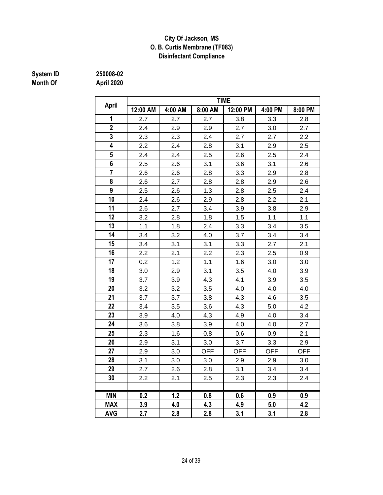### **City Of Jackson, MS O. B. Curtis Membrane (TF083) Disinfectant Compliance**

## **Month Of April 2020**

**System ID 250008-02**

|                | <b>TIME</b> |         |            |            |            |            |  |  |  |
|----------------|-------------|---------|------------|------------|------------|------------|--|--|--|
| <b>April</b>   | 12:00 AM    | 4:00 AM | 8:00 AM    | 12:00 PM   | 4:00 PM    | 8:00 PM    |  |  |  |
| 1              | 2.7         | 2.7     | 2.7        | 3.8        | 3.3        | 2.8        |  |  |  |
| $\overline{2}$ | 2.4         | 2.9     | 2.9        | 2.7        | 3.0        | 2.7        |  |  |  |
| 3              | 2.3         | 2.3     | 2.4        | 2.7        | 2.7        | 2.2        |  |  |  |
| 4              | 2.2         | 2.4     | 2.8        | 3.1        | 2.9        | 2.5        |  |  |  |
| 5              | 2.4         | 2.4     | 2.5        | 2.6        | 2.5        | 2.4        |  |  |  |
| 6              | 2.5         | 2.6     | 3.1        | 3.6        | 3.1        | 2.6        |  |  |  |
| $\overline{7}$ | 2.6         | 2.6     | 2.8        | 3.3        | 2.9        | 2.8        |  |  |  |
| 8              | 2.6         | 2.7     | 2.8        | 2.8        | 2.9        | 2.6        |  |  |  |
| 9              | 2.5         | 2.6     | 1.3        | 2.8        | 2.5        | 2.4        |  |  |  |
| 10             | 2.4         | 2.6     | 2.9        | 2.8        | 2.2        | 2.1        |  |  |  |
| 11             | 2.6         | 2.7     | 3.4        | 3.9        | 3.8        | 2.9        |  |  |  |
| 12             | 3.2         | 2.8     | 1.8        | 1.5        | 1.1        | 1.1        |  |  |  |
| 13             | 1.1         | 1.8     | 2.4        | 3.3        | 3.4        | 3.5        |  |  |  |
| 14             | 3.4         | 3.2     | 4.0        | 3.7        | 3.4        | 3.4        |  |  |  |
| 15             | 3.4         | 3.1     | 3.1        | 3.3        | 2.7        | 2.1        |  |  |  |
| 16             | 2.2         | 2.1     | 2.2        | 2.3        | 2.5        | 0.9        |  |  |  |
| 17             | 0.2         | 1.2     | 1.1        | 1.6        | 3.0        | 3.0        |  |  |  |
| 18             | 3.0         | 2.9     | 3.1        | 3.5        | 4.0        | 3.9        |  |  |  |
| 19             | 3.7         | 3.9     | 4.3        | 4.1        | 3.9        | 3.5        |  |  |  |
| 20             | 3.2         | 3.2     | 3.5        | 4.0        | 4.0        | 4.0        |  |  |  |
| 21             | 3.7         | 3.7     | 3.8        | 4.3        | 4.6        | 3.5        |  |  |  |
| 22             | 3.4         | 3.5     | 3.6        | 4.3        | 5.0        | 4.2        |  |  |  |
| 23             | 3.9         | 4.0     | 4.3        | 4.9        | 4.0        | 3.4        |  |  |  |
| 24             | 3.6         | 3.8     | 3.9        | 4.0        | 4.0        | 2.7        |  |  |  |
| 25             | 2.3         | 1.6     | 0.8        | 0.6        | 0.9        | 2.1        |  |  |  |
| 26             | 2.9         | 3.1     | 3.0        | 3.7        | 3.3        | 2.9        |  |  |  |
| 27             | 2.9         | 3.0     | <b>OFF</b> | <b>OFF</b> | <b>OFF</b> | <b>OFF</b> |  |  |  |
| 28             | 3.1         | 3.0     | 3.0        | 2.9        | 2.9        | 3.0        |  |  |  |
| 29             | 2.7         | 2.6     | 2.8        | 3.1        | 3.4        | 3.4        |  |  |  |
| 30             | 2.2         | 2.1     | 2.5        | 2.3        | 2.3        | 2.4        |  |  |  |
|                |             |         |            |            |            |            |  |  |  |
| <b>MIN</b>     | 0.2         | 1.2     | 0.8        | 0.6        | 0.9        | 0.9        |  |  |  |
| <b>MAX</b>     | 3.9         | 4.0     | 4.3        | 4.9        | 5.0        | 4.2        |  |  |  |
| <b>AVG</b>     | 2.7         | 2.8     | 2.8        | 3.1        | 3.1        | 2.8        |  |  |  |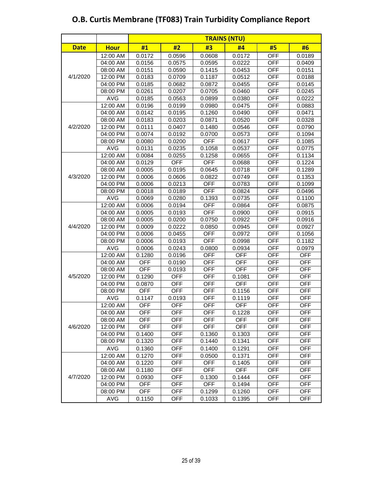| <b>Date</b> | <b>Hour</b> | #1         | #2         | #3         | #4         | #5         | #6         |
|-------------|-------------|------------|------------|------------|------------|------------|------------|
|             | 12:00 AM    | 0.0172     | 0.0596     | 0.0608     | 0.0172     | <b>OFF</b> | 0.0189     |
|             | 04:00 AM    | 0.0156     | 0.0575     | 0.0595     | 0.0222     | <b>OFF</b> | 0.0409     |
|             | 08:00 AM    | 0.0151     | 0.0590     | 0.1415     | 0.0453     | <b>OFF</b> | 0.0151     |
| 4/1/2020    | 12:00 PM    | 0.0183     | 0.0709     | 0.1187     | 0.0512     | <b>OFF</b> | 0.0188     |
|             | 04:00 PM    | 0.0185     | 0.0682     | 0.0872     | 0.0455     | <b>OFF</b> | 0.0145     |
|             | 08:00 PM    | 0.0261     | 0.0207     | 0.0705     | 0.0460     | <b>OFF</b> | 0.0245     |
|             | <b>AVG</b>  | 0.0185     | 0.0563     | 0.0899     | 0.0380     | <b>OFF</b> | 0.0222     |
|             | 12:00 AM    | 0.0196     | 0.0199     | 0.0980     | 0.0475     | <b>OFF</b> | 0.0883     |
|             | 04:00 AM    | 0.0142     | 0.0195     | 0.1260     | 0.0490     | <b>OFF</b> | 0.0471     |
|             | 08:00 AM    | 0.0183     | 0.0203     | 0.0871     | 0.0520     | <b>OFF</b> | 0.0328     |
| 4/2/2020    | 12:00 PM    | 0.0111     | 0.0407     | 0.1480     | 0.0546     | <b>OFF</b> | 0.0790     |
|             | 04:00 PM    | 0.0074     | 0.0192     | 0.0700     | 0.0573     | <b>OFF</b> | 0.1094     |
|             | 08:00 PM    | 0.0080     | 0.0200     | <b>OFF</b> | 0.0617     | <b>OFF</b> | 0.1085     |
|             | <b>AVG</b>  | 0.0131     | 0.0235     | 0.1058     | 0.0537     | <b>OFF</b> | 0.0775     |
|             | 12:00 AM    | 0.0084     | 0.0255     | 0.1258     | 0.0655     | <b>OFF</b> | 0.1134     |
|             | 04:00 AM    | 0.0129     | <b>OFF</b> | <b>OFF</b> | 0.0688     | <b>OFF</b> | 0.1224     |
|             | 08:00 AM    | 0.0005     | 0.0195     | 0.0645     | 0.0718     | <b>OFF</b> | 0.1289     |
| 4/3/2020    | 12:00 PM    | 0.0006     | 0.0606     | 0.0822     | 0.0749     | <b>OFF</b> | 0.1353     |
|             | 04:00 PM    | 0.0006     | 0.0213     | <b>OFF</b> | 0.0783     | <b>OFF</b> | 0.1099     |
|             | 08:00 PM    | 0.0018     | 0.0189     | <b>OFF</b> | 0.0824     | <b>OFF</b> | 0.0496     |
|             | <b>AVG</b>  | 0.0069     | 0.0280     | 0.1393     | 0.0735     | <b>OFF</b> | 0.1100     |
|             | 12:00 AM    | 0.0006     | 0.0194     | <b>OFF</b> | 0.0864     | <b>OFF</b> | 0.0875     |
|             | 04:00 AM    | 0.0005     | 0.0193     | <b>OFF</b> | 0.0900     | <b>OFF</b> | 0.0915     |
|             | 08:00 AM    | 0.0005     | 0.0200     | 0.0750     | 0.0922     | <b>OFF</b> | 0.0916     |
| 4/4/2020    | 12:00 PM    | 0.0009     | 0.0222     | 0.0850     | 0.0945     | <b>OFF</b> | 0.0927     |
|             | 04:00 PM    | 0.0006     | 0.0455     | <b>OFF</b> | 0.0972     | <b>OFF</b> | 0.1056     |
|             | 08:00 PM    | 0.0006     | 0.0193     | <b>OFF</b> | 0.0998     | <b>OFF</b> | 0.1182     |
|             | <b>AVG</b>  | 0.0006     | 0.0243     | 0.0800     | 0.0934     | <b>OFF</b> | 0.0979     |
|             | 12:00 AM    | 0.1280     | 0.0196     | <b>OFF</b> | <b>OFF</b> | <b>OFF</b> | <b>OFF</b> |
|             | 04:00 AM    | <b>OFF</b> | 0.0190     | <b>OFF</b> | <b>OFF</b> | <b>OFF</b> | <b>OFF</b> |
|             | 08:00 AM    | <b>OFF</b> | 0.0193     | <b>OFF</b> | <b>OFF</b> | <b>OFF</b> | <b>OFF</b> |
| 4/5/2020    | 12:00 PM    | 0.1290     | OFF        | <b>OFF</b> | 0.1081     | OFF        | <b>OFF</b> |
|             | 04:00 PM    | 0.0870     | <b>OFF</b> | <b>OFF</b> | <b>OFF</b> | <b>OFF</b> | <b>OFF</b> |
|             | 08:00 PM    | <b>OFF</b> | <b>OFF</b> | <b>OFF</b> | 0.1156     | <b>OFF</b> | <b>OFF</b> |
|             | <b>AVG</b>  | 0.1147     | 0.0193     | <b>OFF</b> | 0.1119     | <b>OFF</b> | <b>OFF</b> |
|             | 12:00 AM    | <b>OFF</b> | <b>OFF</b> | <b>OFF</b> | <b>OFF</b> | <b>OFF</b> | <b>OFF</b> |
|             | 04:00 AM    | <b>OFF</b> | <b>OFF</b> | <b>OFF</b> | 0.1228     | <b>OFF</b> | <b>OFF</b> |
|             | 08:00 AM    | <b>OFF</b> | <b>OFF</b> | <b>OFF</b> | OFF        | <b>OFF</b> | <b>OFF</b> |
| 4/6/2020    | 12:00 PM    | <b>OFF</b> | <b>OFF</b> | <b>OFF</b> | <b>OFF</b> | <b>OFF</b> | <b>OFF</b> |
|             | 04:00 PM    | 0.1400     | <b>OFF</b> | 0.1360     | 0.1303     | <b>OFF</b> | <b>OFF</b> |
|             | 08:00 PM    | 0.1320     | <b>OFF</b> | 0.1440     | 0.1341     | <b>OFF</b> | <b>OFF</b> |
|             | <b>AVG</b>  | 0.1360     | <b>OFF</b> | 0.1400     | 0.1291     | <b>OFF</b> | <b>OFF</b> |
|             | 12:00 AM    | 0.1270     | <b>OFF</b> | 0.0500     | 0.1371     | <b>OFF</b> | <b>OFF</b> |
|             | 04:00 AM    | 0.1220     | <b>OFF</b> | <b>OFF</b> | 0.1405     | <b>OFF</b> | <b>OFF</b> |
|             | 08:00 AM    | 0.1180     | <b>OFF</b> | <b>OFF</b> | <b>OFF</b> | <b>OFF</b> | <b>OFF</b> |
| 4/7/2020    | 12:00 PM    | 0.0930     | <b>OFF</b> | 0.1300     | 0.1444     | <b>OFF</b> | <b>OFF</b> |
|             | 04:00 PM    | <b>OFF</b> | <b>OFF</b> | <b>OFF</b> | 0.1494     | <b>OFF</b> | <b>OFF</b> |
|             | 08:00 PM    | <b>OFF</b> | <b>OFF</b> | 0.1299     | 0.1260     | <b>OFF</b> | <b>OFF</b> |
|             | AVG         | 0.1150     | <b>OFF</b> | 0.1033     | 0.1395     | <b>OFF</b> | <b>OFF</b> |

### **O.B. Curtis Membrane (TF083) Train Turbidity Compliance Report**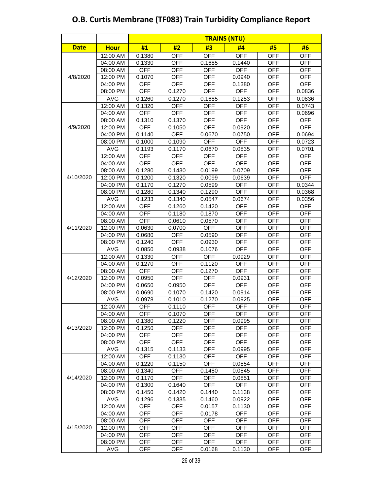#### **Date Hour #1 #2 #3 #4 #5 #6 TRAINS (NTU)** 12:00 AM | 0.1380 | OFF | OFF | OFF | OFF | OFF 04:00 AM | 0.1330 | OFF | 0.1685 | 0.1440 | OFF | OFF 08:00 AM OFF OFF OFF OFF OFF OFF OFF 12:00 PM 0.1070 OFF 0FF 0.0940 OFF 0FF 04:00 PM | OFF | OFF | OFF | 0.1380 | OFF | OFF 08:00 PM | OFF | 0.1270 | OFF | OFF | OFF | 0.0836 AVG 0.1260 0.1270 0.1685 0.1253 OFF 0.0836 12:00 AM | 0.1320 | OFF | OFF | OFF | OFF | 0.0743 04:00 AM OFF OFF OFF OFF OFF 0.0696 08:00 AM | 0.1310 | 0.1370 | OFF | OFF | OFF | OFF 12:00 PM OFF 0.1050 OFF 0.0920 OFF OFF 04:00 PM 0.1140 OFF 0.0670 0.0750 OFF 0.0694 08:00 PM 0.1000 0.1090 OFF OFF OFF 0.0723 AVG 0.1193 0.1170 0.0670 0.0835 OFF 0.0701 12:00 AM | OFF | OFF | OFF | OFF | OFF | OFF 04:00 AM OFF | OFF | OFF | OFF | OFF | OFF 08:00 AM | 0.1280 | 0.1430 | 0.0199 | 0.0709 | OFF | OFF 12:00 PM 0.1200 0.1320 0.0099 0.0639 OFF OFF 04:00 PM | 0.1170 | 0.1270 | 0.0599 | OFF | OFF | 0.0344 08:00 PM 0.1280 0.1340 0.1290 OFF OFF 0.0368 AVG 0.1233 0.1340 0.0547 0.0674 OFF 0.0356 12:00 AM | OFF | 0.1260 | 0.1420 | OFF | OFF | OFF 04:00 AM | OFF | 0.1180 | 0.1870 | OFF | OFF | OFF 08:00 AM OFF 0.0610 0.0570 OFF OFF OFF 12:00 PM 0.0630 0.0700 OFF OFF OFF OFF OFF 04:00 PM 0.0680 OFF 0.0590 OFF OFF OFF OFF 08:00 PM 0.1240 | OFF | 0.0930 | OFF | OFF | OFF AVG | 0.0850 | 0.0938 | 0.1076 | OFF | OFF | OFF 12:00 AM | 0.1330 | OFF | OFF | 0.0929 | OFF | OFF 04:00 AM | 0.1270 | OFF | 0.1120 | OFF | OFF | OFF 08:00 AM | OFF | OFF | 0.1270 | OFF | OFF | OFF 12:00 PM 0.0950 OFF OFF 0.0931 OFF OFF 04:00 PM | 0.0650 | 0.0950 | OFF | OFF | OFF | OFF 08:00 PM 0.0690 0.1070 0.1420 0.0914 OFF OFF AVG | 0.0978 | 0.1010 | 0.1270 | 0.0925 | OFF | OFF 12:00 AM OFF 0.1110 OFF OFF OFF OFF 04:00 AM | OFF | 0.1070 | OFF | OFF | OFF | OFF 08:00 AM | 0.1380 | 0.1220 | OFF | 0.0995 | OFF | OFF 12:00 PM | 0.1250 | OFF | OFF | OFF | OFF | OFF 04:00 PM OFF OFF OFF OFF OFF OFF OFF 08:00 PM | OFF | OFF | OFF | OFF | OFF | OFF AVG | 0.1315 | 0.1133 | OFF | 0.0995 | OFF | OFF 12:00 AM | OFF | 0.1130 | OFF | OFF | OFF | OFF 04:00 AM | 0.1220 | 0.1150 | OFF | 0.0854 | OFF | OFF 08:00 AM | 0.1340 | OFF | 0.1480 | 0.0845 | OFF | OFF 12:00 PM 0.1170 OFF OFF 0.0851 OFF OFF 04:00 PM 0.1300 0.1640 OFF OFF OFF OFF OFF 08:00 PM | 0.1450 | 0.1420 | 0.1440 | 0.1138 | OFF | OFF AVG | 0.1296 | 0.1335 | 0.1460 | 0.0922 | OFF | OFF 12:00 AM OFF OFF 0.0157 0.1130 OFF OFF 04:00 AM | OFF | OFF | 0.0178 | OFF | OFF | OFF 08:00 AM | OFF | OFF | OFF | OFF | OFF | OFF 12:00 PM | OFF | OFF | OFF | OFF | OFF | OFF 04:00 PM | OFF | OFF | OFF | OFF | OFF | OFF 08:00 PM OFF OFF OFF OFF OFF OFF OFF 4/12/2020 4/13/2020 4/14/2020 4/15/2020 4/9/2020 4/10/2020 4/11/2020 4/8/2020

### **O.B. Curtis Membrane (TF083) Train Turbidity Compliance Report**

AVG | OFF | OFF | 0.0168 | 0.1130 | OFF | OFF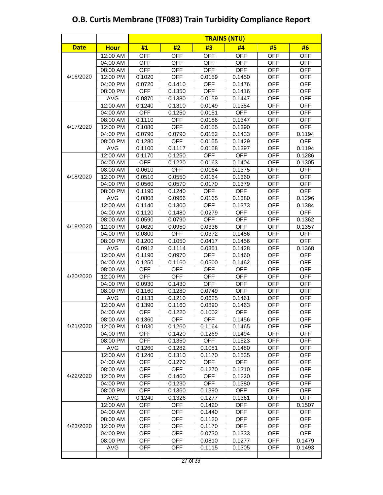#### **Date Hour #1 #2 #3 #4 #5 #6 TRAINS (NTU)** 12:00 AM | OFF | OFF | OFF | OFF | OFF | OFF 04:00 AM OFF OFF OFF OFF OFF OFF 08:00 AM OFF OFF OFF OFF OFF OFF OFF 12:00 PM | 0.1020 | OFF | 0.0159 | 0.1450 | OFF | OFF 04:00 PM | 0.0720 | 0.1410 | OFF | 0.1476 | OFF | OFF 08:00 PM | OFF | 0.1350 | OFF | 0.1416 | OFF | OFF AVG | 0.0870 | 0.1380 | 0.0159 | 0.1447 | OFF | OFF 12:00 AM | 0.1240 | 0.1310 | 0.0149 | 0.1384 | OFF | OFF 04:00 AM | OFF | 0.1250 | 0.0151 | OFF | OFF | OFF 08:00 AM | 0.1110 | OFF | 0.0186 | 0.1347 | OFF | OFF 12:00 PM 0.1080 OFF 0.0155 0.1390 OFF OFF 04:00 PM 0.0790 0.0790 0.0152 0.1433 OFF 0.1194 08:00 PM | 0.1280 | OFF | 0.0155 | 0.1429 | OFF | OFF AVG | 0.1100 | 0.1117 | 0.0158 | 0.1397 | OFF | 0.1194 12:00 AM | 0.1170 | 0.1250 | OFF | OFF | OFF | 0.1286 04:00 AM OFF 0.1220 0.0163 0.1404 OFF 0.1305 08:00 AM | 0.0610 | OFF | 0.0164 | 0.1375 OFF OFF OFF 12:00 PM | 0.0510 | 0.0550 | 0.0164 | 0.1360 | OFF | OFF 04:00 PM 0.0560 0.0570 0.0170 0.1379 OFF OFF 08:00 PM | 0.1190 | 0.1240 | OFF | OFF | OFF | OFF AVG 0.0808 0.0966 0.0165 0.1380 OFF 0.1296 12:00 AM | 0.1140 | 0.1300 | OFF | 0.1373 | OFF | 0.1384 04:00 AM | 0.1120 | 0.1480 | 0.0279 | OFF | OFF | OFF 08:00 AM | 0.0590 | 0.0790 | OFF | OFF | OFF | 0.1362 12:00 PM 0.0620 0.0950 0.0336 OFF OFF 0.1357 04:00 PM 0.0800 OFF 0.0372 0.1456 OFF OFF 08:00 PM | 0.1200 | 0.1050 | 0.0417 | 0.1456 | OFF | OFF AVG 0.0912 0.1114 0.0351 0.1428 OFF 0.1368 12:00 AM | 0.1190 | 0.0970 | OFF | 0.1460 | OFF | OFF 04:00 AM | 0.1250 | 0.1160 | 0.0500 | 0.1462 | OFF | OFF 08:00 AM | OFF | OFF | OFF | OFF | OFF | OFF 12:00 PM | OFF | OFF | OFF | OFF | OFF | OFF 04:00 PM | 0.0930 | 0.1430 | OFF | OFF | OFF | OFF 08:00 PM 0.1160 0.1280 0.0749 OFF 0 OFF 0FF AVG | 0.1133 | 0.1210 | 0.0625 | 0.1461 | OFF | OFF 12:00 AM 0.1390 0.1160 0.0890 0.1463 OFF OFF 04:00 AM | OFF | 0.1220 | 0.1002 | OFF | OFF | OFF 08:00 AM | 0.1360 | OFF | OFF | 0.1456 | OFF | OFF 12:00 PM 0.1030 0.1260 0.1164 0.1465 OFF OFF 04:00 PM | OFF | 0.1420 | 0.1269 | 0.1494 | OFF | OFF 08:00 PM | OFF | 0.1350 | OFF | 0.1523 | OFF | OFF AVG | 0.1260 | 0.1282 | 0.1081 | 0.1480 | OFF | OFF 12:00 AM | 0.1240 | 0.1310 | 0.1170 | 0.1535 | OFF | OFF 04:00 AM | OFF | 0.1270 | OFF | OFF | OFF | OFF 08:00 AM | OFF | OFF | 0.1270 | 0.1310 | OFF | OFF 12:00 PM OFF 0.1460 OFF 0.1220 OFF OFF 04:00 PM | OFF | 0.1230 | OFF | 0.1380 | OFF | OFF 08:00 PM | OFF | 0.1360 | 0.1390 | OFF | OFF | OFF AVG | 0.1240 | 0.1326 | 0.1277 | 0.1361 | OFF | OFF 12:00 AM | OFF | OFF | 0.1420 | OFF | OFF | 0.1507 04:00 AM | OFF | OFF | 0.1440 | OFF | OFF | OFF 08:00 AM OFF OFF 0.1120 OFF OFF OFF 12:00 PM | OFF | OFF | 0.1170 | OFF | OFF | OFF 04:00 PM | OFF | OFF | 0.0730 | 0.1333 | OFF | OFF 08:00 PM | OFF | OFF | 0.0810 | 0.1277 | OFF | 0.1479 4/19/2020 4/20/2020 4/21/2020 4/22/2020 4/23/2020 4/17/2020 4/18/2020 4/16/2020

### **O.B. Curtis Membrane (TF083) Train Turbidity Compliance Report**

AVG | OFF | OFF | 0.1115 | 0.1305 | OFF | 0.1493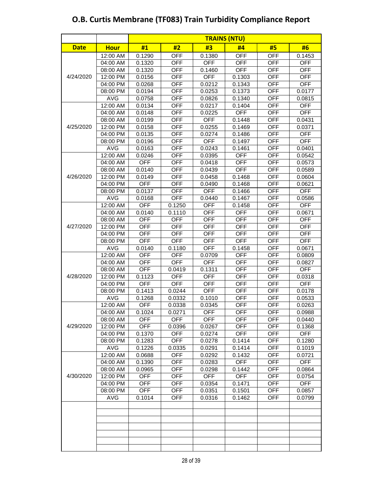| <b>Date</b> | <b>Hour</b> | #1         | #2         | #3         | #4         | #5         | #6         |
|-------------|-------------|------------|------------|------------|------------|------------|------------|
|             | 12:00 AM    | 0.1290     | <b>OFF</b> | 0.1380     | <b>OFF</b> | <b>OFF</b> | 0.1453     |
|             | 04:00 AM    | 0.1320     | <b>OFF</b> | <b>OFF</b> | <b>OFF</b> | <b>OFF</b> | <b>OFF</b> |
|             | 08:00 AM    | 0.1320     | <b>OFF</b> | 0.1460     | <b>OFF</b> | <b>OFF</b> | <b>OFF</b> |
| 4/24/2020   | 12:00 PM    | 0.0156     | <b>OFF</b> | <b>OFF</b> | 0.1303     | <b>OFF</b> | <b>OFF</b> |
|             | 04:00 PM    | 0.0268     | <b>OFF</b> | 0.0212     | 0.1343     | <b>OFF</b> | <b>OFF</b> |
|             | 08:00 PM    | 0.0194     | <b>OFF</b> | 0.0253     | 0.1373     | <b>OFF</b> | 0.0177     |
|             | <b>AVG</b>  | 0.0758     | <b>OFF</b> | 0.0826     | 0.1340     | <b>OFF</b> | 0.0815     |
|             | 12:00 AM    | 0.0134     | <b>OFF</b> | 0.0217     | 0.1404     | <b>OFF</b> | <b>OFF</b> |
|             | 04:00 AM    | 0.0148     | <b>OFF</b> | 0.0225     | <b>OFF</b> | <b>OFF</b> | <b>OFF</b> |
|             | 08:00 AM    | 0.0199     | <b>OFF</b> | <b>OFF</b> | 0.1448     | <b>OFF</b> | 0.0431     |
| 4/25/2020   | 12:00 PM    | 0.0158     | <b>OFF</b> | 0.0255     | 0.1469     | <b>OFF</b> | 0.0371     |
|             | 04:00 PM    | 0.0135     | <b>OFF</b> | 0.0274     | 0.1486     | <b>OFF</b> | <b>OFF</b> |
|             | 08:00 PM    | 0.0196     | <b>OFF</b> | <b>OFF</b> | 0.1497     | <b>OFF</b> | <b>OFF</b> |
|             | <b>AVG</b>  | 0.0163     | <b>OFF</b> | 0.0243     | 0.1461     | <b>OFF</b> | 0.0401     |
|             | 12:00 AM    | 0.0246     | <b>OFF</b> | 0.0395     | <b>OFF</b> | <b>OFF</b> | 0.0542     |
|             | 04:00 AM    | <b>OFF</b> | <b>OFF</b> | 0.0418     | <b>OFF</b> | <b>OFF</b> | 0.0573     |
|             | 08:00 AM    | 0.0140     | <b>OFF</b> | 0.0439     | <b>OFF</b> | <b>OFF</b> | 0.0589     |
| 4/26/2020   | 12:00 PM    | 0.0149     | <b>OFF</b> | 0.0458     | 0.1468     | <b>OFF</b> | 0.0604     |
|             | 04:00 PM    | <b>OFF</b> | <b>OFF</b> | 0.0490     | 0.1468     | <b>OFF</b> | 0.0621     |
|             | 08:00 PM    | 0.0137     | <b>OFF</b> | <b>OFF</b> | 0.1466     | <b>OFF</b> | <b>OFF</b> |
|             | <b>AVG</b>  | 0.0168     | <b>OFF</b> | 0.0440     | 0.1467     | <b>OFF</b> | 0.0586     |
|             | 12:00 AM    | <b>OFF</b> | 0.1250     | <b>OFF</b> | 0.1458     | <b>OFF</b> | <b>OFF</b> |
|             | 04:00 AM    | 0.0140     | 0.1110     | <b>OFF</b> | <b>OFF</b> | <b>OFF</b> | 0.0671     |
|             | 08:00 AM    | <b>OFF</b> | <b>OFF</b> | <b>OFF</b> | <b>OFF</b> | <b>OFF</b> | <b>OFF</b> |
| 4/27/2020   | 12:00 PM    | <b>OFF</b> | <b>OFF</b> | <b>OFF</b> | <b>OFF</b> | <b>OFF</b> | <b>OFF</b> |
|             | 04:00 PM    | <b>OFF</b> | <b>OFF</b> | <b>OFF</b> | <b>OFF</b> | <b>OFF</b> | <b>OFF</b> |
|             | 08:00 PM    | <b>OFF</b> | <b>OFF</b> | <b>OFF</b> | <b>OFF</b> | <b>OFF</b> | <b>OFF</b> |
|             | <b>AVG</b>  | 0.0140     | 0.1180     | <b>OFF</b> | 0.1458     | <b>OFF</b> | 0.0671     |
|             | 12:00 AM    | <b>OFF</b> | <b>OFF</b> | 0.0709     | <b>OFF</b> | <b>OFF</b> | 0.0809     |
|             | 04:00 AM    | <b>OFF</b> | <b>OFF</b> | <b>OFF</b> | <b>OFF</b> | <b>OFF</b> | 0.0827     |
|             | 08:00 AM    | <b>OFF</b> | 0.0419     | 0.1311     | <b>OFF</b> | <b>OFF</b> | <b>OFF</b> |
| 4/28/2020   | 12:00 PM    | 0.1123     | <b>OFF</b> | <b>OFF</b> | <b>OFF</b> | <b>OFF</b> | 0.0318     |
|             | 04:00 PM    | <b>OFF</b> | <b>OFF</b> | <b>OFF</b> | <b>OFF</b> | <b>OFF</b> | <b>OFF</b> |
|             | 08:00 PM    | 0.1413     | 0.0244     | <b>OFF</b> | <b>OFF</b> | <b>OFF</b> | 0.0178     |
|             | <b>AVG</b>  | 0.1268     | 0.0332     | 0.1010     | <b>OFF</b> | <b>OFF</b> | 0.0533     |
|             | 12:00 AM    | <b>OFF</b> | 0.0338     | 0.0345     | <b>OFF</b> | <b>OFF</b> | 0.0263     |
|             | 04:00 AM    | 0.1024     | 0.0271     | <b>OFF</b> | <b>OFF</b> | OFF        | 0.0988     |
|             | 08:00 AM    | <b>OFF</b> | <b>OFF</b> | <b>OFF</b> | <b>OFF</b> | <b>OFF</b> | 0.0440     |
| 4/29/2020   | 12:00 PM    | <b>OFF</b> | 0.0396     | 0.0267     | <b>OFF</b> | <b>OFF</b> | 0.1368     |
|             | 04:00 PM    | 0.1370     | <b>OFF</b> | 0.0274     | OFF        | <b>OFF</b> | <b>OFF</b> |
|             | 08:00 PM    | 0.1283     | <b>OFF</b> | 0.0278     | 0.1414     | <b>OFF</b> | 0.1280     |
|             | <b>AVG</b>  | 0.1226     | 0.0335     | 0.0291     | 0.1414     | <b>OFF</b> | 0.1019     |
|             | 12:00 AM    | 0.0688     | <b>OFF</b> | 0.0292     | 0.1432     | <b>OFF</b> | 0.0721     |
|             | 04:00 AM    | 0.1390     | <b>OFF</b> | 0.0283     | <b>OFF</b> | OFF        | <b>OFF</b> |
|             | 08:00 AM    | 0.0965     | <b>OFF</b> | 0.0298     | 0.1442     | <b>OFF</b> | 0.0864     |
| 4/30/2020   | 12:00 PM    | <b>OFF</b> | <b>OFF</b> | <b>OFF</b> | <b>OFF</b> | <b>OFF</b> | 0.0754     |
|             | 04:00 PM    | <b>OFF</b> | <b>OFF</b> | 0.0354     | 0.1471     | <b>OFF</b> | <b>OFF</b> |
|             | 08:00 PM    | <b>OFF</b> | <b>OFF</b> | 0.0351     | 0.1501     | <b>OFF</b> | 0.0857     |
|             | AVG         | 0.1014     | <b>OFF</b> | 0.0316     | 0.1462     | <b>OFF</b> | 0.0799     |
|             |             |            |            |            |            |            |            |
|             |             |            |            |            |            |            |            |
|             |             |            |            |            |            |            |            |
|             |             |            |            |            |            |            |            |
|             |             |            |            |            |            |            |            |
|             |             |            |            |            |            |            |            |
|             |             |            |            |            |            |            |            |

## **O.B. Curtis Membrane (TF083) Train Turbidity Compliance Report**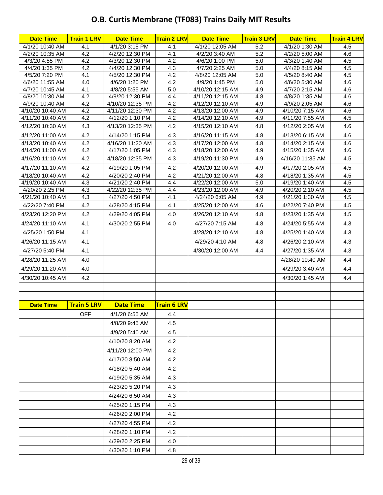### **O.B. Curtis Membrane (TF083) Trains Daily MIT Results**

| <b>Date Time</b>                  | <b>Train 1 LRV</b> | <b>Date Time</b>                    | <b>Train 2 LRV</b> | <b>Date Time</b>                  | <b>Train 3 LRV</b> | <b>Date Time</b>                 | <b>Train 4 LRV</b> |
|-----------------------------------|--------------------|-------------------------------------|--------------------|-----------------------------------|--------------------|----------------------------------|--------------------|
| 4/1/20 10:40 AM                   | 4.1                | 4/1/20 3:15 PM                      | 4.1                | 4/1/20 12:05 AM                   | 5.2                | 4/1/20 1:30 AM                   | 4.5                |
| 4/2/20 10:35 AM                   | 4.2                | 4/2/20 12:30 PM                     | 4.1                | 4/2/20 3:40 AM                    | 5.2                | 4/2/20 5:00 AM                   | 4.6                |
| 4/3/20 4:55 PM                    | 4.2                | 4/3/20 12:30 PM                     | 4.2                | 4/6/20 1:00 PM                    | 5.0                | 4/3/20 1:40 AM                   | 4.5                |
| 4/4/20 1:35 PM                    | 4.2                | 4/4/20 12:30 PM                     | 4.3                | 4/7/20 2:25 AM                    | 5.0                | 4/4/20 8:15 AM                   | 4.5                |
| 4/5/20 7:20 PM<br>4/6/20 11:55 AM | 4.1<br>4.0         | 4/5/20 12:30 PM<br>4/6/20 1:20 PM   | 4.2<br>4.2         | 4/8/20 12:05 AM<br>4/9/20 1:45 PM | 5.0<br>5.0         | 4/5/20 8:40 AM<br>4/6/20 5:30 AM | 4.5<br>4.6         |
| 4/7/20 10:45 AM                   | 4.1                | 4/8/20 5:55 AM                      | 5.0                | 4/10/20 12:15 AM                  | 4.9                | 4/7/20 2:15 AM                   | 4.6                |
| 4/8/20 10:30 AM                   | 4.2                | 4/9/20 12:30 PM                     | 4.4                | 4/11/20 12:15 AM                  | 4.8                | 4/8/20 1:35 AM                   | 4.6                |
| 4/9/20 10:40 AM                   | 4.2                | 4/10/20 12:35 PM                    | 4.2                | 4/12/20 12:10 AM                  | 4.9                | 4/9/20 2:05 AM                   | 4.6                |
| 4/10/20 10:40 AM                  | 4.2                | 4/11/20 12:30 PM                    | 4.2                | 4/13/20 12:00 AM                  | 4.9                | 4/10/20 7:15 AM                  | 4.6                |
| 4/11/20 10:40 AM                  | 4.2                | 4/12/20 1:10 PM                     | 4.2                | 4/14/20 12:10 AM                  | 4.9                | 4/11/20 7:55 AM                  | 4.5                |
| 4/12/20 10:30 AM                  | 4.3                | 4/13/20 12:35 PM                    | 4.2                | 4/15/20 12:10 AM                  | 4.8                | 4/12/20 2:05 AM                  | 4.6                |
| 4/12/20 11:00 AM                  | 4.2                | 4/14/20 1:15 PM                     | 4.3                | 4/16/20 11:15 AM                  | 4.8                | 4/13/20 6:15 AM                  | 4.6                |
| 4/13/20 10:40 AM                  | 4.2                | 4/16/20 11:20 AM                    | 4.3                | 4/17/20 12:00 AM                  | 4.8                | 4/14/20 2:15 AM                  | 4.6                |
| 4/14/20 11:00 AM                  | 4.2                | 4/17/20 1:05 PM                     | 4.3                | 4/18/20 12:00 AM                  | 4.9                | 4/15/20 1:35 AM                  | 4.6                |
| 4/16/20 11:10 AM                  | 4.2                | 4/18/20 12:35 PM                    | 4.3                | 4/19/20 11:30 PM                  | 4.9                | 4/16/20 11:35 AM                 | 4.5                |
| 4/17/20 11:10 AM                  | 4.2                | 4/19/20 1:05 PM                     | 4.2                | 4/20/20 12:00 AM                  | 4.9                | 4/17/20 2:05 AM                  | 4.5                |
| 4/18/20 10:40 AM                  | 4.2                | 4/20/20 2:40 PM                     | 4.2                | 4/21/20 12:00 AM                  | 4.8                | 4/18/20 1:35 AM                  | 4.5                |
| 4/19/20 10:40 AM                  | 4.3                | 4/21/20 2:40 PM                     | 4.4                | 4/22/20 12:00 AM                  | 5.0                | 4/19/20 1:40 AM                  | 4.5                |
| 4/20/20 2:25 PM                   | 4.3                | 4/22/20 12:35 PM<br>4/27/20 4:50 PM | 4.4<br>4.1         | 4/23/20 12:00 AM                  | 4.9<br>4.9         | 4/20/20 2:10 AM                  | 4.5<br>4.5         |
| 4/21/20 10:40 AM                  | 4.3                | 4/28/20 4:15 PM                     |                    | 4/24/20 6:05 AM                   |                    | 4/21/20 1:30 AM                  | 4.5                |
| 4/22/20 7:40 PM                   | 4.2                |                                     | 4.1                | 4/25/20 12:00 AM                  | 4.6                | 4/22/20 7:40 PM                  |                    |
| 4/23/20 12:20 PM                  | 4.2                | 4/29/20 4:05 PM                     | 4.0                | 4/26/20 12:10 AM                  | 4.8                | 4/23/20 1:35 AM                  | 4.5                |
| 4/24/20 11:10 AM                  | 4.1                | 4/30/20 2:55 PM                     | 4.0                | 4/27/20 7:15 AM                   | 4.8                | 4/24/20 5:55 AM                  | 4.3                |
| 4/25/20 1:50 PM                   | 4.1                |                                     |                    | 4/28/20 12:10 AM                  | 4.8                | 4/25/20 1:40 AM                  | 4.3                |
| 4/26/20 11:15 AM                  | 4.1                |                                     |                    | 4/29/20 4:10 AM                   | 4.8                | 4/26/20 2:10 AM                  | 4.3                |
| 4/27/20 5:40 PM                   | 4.1                |                                     |                    | 4/30/20 12:00 AM                  | 4.4                | 4/27/20 1:35 AM                  | 4.3                |
| 4/28/20 11:25 AM                  | 4.0                |                                     |                    |                                   |                    | 4/28/20 10:40 AM                 | 4.4                |
| 4/29/20 11:20 AM                  | 4.0                |                                     |                    |                                   |                    | 4/29/20 3:40 AM                  | 4.4                |
| 4/30/20 10:45 AM                  | 4.2                |                                     |                    |                                   |                    | 4/30/20 1:45 AM                  | 4.4                |
|                                   |                    |                                     |                    |                                   |                    |                                  |                    |
|                                   |                    |                                     |                    |                                   |                    |                                  |                    |
| <b>Date Time</b>                  | <b>Train 5 LRV</b> | <b>Date Time</b>                    | <b>Train 6 LRV</b> |                                   |                    |                                  |                    |
|                                   | OFF                | 4/1/20 6:55 AM                      | 4.4                |                                   |                    |                                  |                    |
|                                   |                    | 4/8/20 9:45 AM                      | 4.5                |                                   |                    |                                  |                    |
|                                   |                    | 4/9/20 5:40 AM                      | 4.5                |                                   |                    |                                  |                    |
|                                   |                    | 4/10/20 8:20 AM                     | 4.2                |                                   |                    |                                  |                    |
|                                   |                    | 4/11/20 12:00 PM                    | 4.2                |                                   |                    |                                  |                    |
|                                   |                    | 4/17/20 8:50 AM                     | 4.2                |                                   |                    |                                  |                    |
|                                   |                    | 4/18/20 5:40 AM                     | 4.2                |                                   |                    |                                  |                    |
|                                   |                    | 4/19/20 5:35 AM                     | 4.3                |                                   |                    |                                  |                    |
|                                   |                    | 4/23/20 5:20 PM                     | 4.3                |                                   |                    |                                  |                    |
|                                   |                    | 4/24/20 6:50 AM                     | 4.3                |                                   |                    |                                  |                    |
|                                   |                    | 4/25/20 1:15 PM                     | 4.3                |                                   |                    |                                  |                    |
|                                   |                    | 4/26/20 2:00 PM                     | 4.2                |                                   |                    |                                  |                    |
|                                   |                    | 4/27/20 4:55 PM                     | 4.2                |                                   |                    |                                  |                    |
|                                   |                    | 4/28/20 1:10 PM                     | 4.2                |                                   |                    |                                  |                    |
|                                   |                    | 4/29/20 2:25 PM                     | 4.0                |                                   |                    |                                  |                    |
|                                   |                    | 4/30/20 1:10 PM                     | 4.8                |                                   |                    |                                  |                    |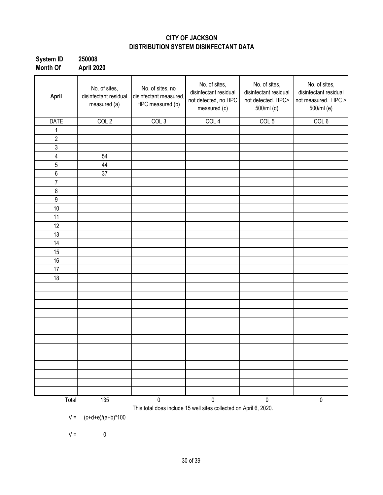### **CITY OF JACKSON DISTRIBUTION SYSTEM DISINFECTANT DATA**

| <b>System ID</b> | 250008     |
|------------------|------------|
| <b>Month Of</b>  | April 2020 |

| April            | No. of sites,<br>disinfectant residual<br>measured (a) | No. of sites, no<br>disinfectant measured,<br>HPC measured (b) | No. of sites,<br>disinfectant residual<br>not detected, no HPC<br>measured (c) | No. of sites,<br>disinfectant residual<br>not detected. HPC><br>500/ml (d) | No. of sites,<br>disinfectant residual<br>not measured. HPC ><br>500/ml (e) |
|------------------|--------------------------------------------------------|----------------------------------------------------------------|--------------------------------------------------------------------------------|----------------------------------------------------------------------------|-----------------------------------------------------------------------------|
| <b>DATE</b>      | COL <sub>2</sub>                                       | COL <sub>3</sub>                                               | COL <sub>4</sub>                                                               | COL <sub>5</sub>                                                           | COL 6                                                                       |
| 1                |                                                        |                                                                |                                                                                |                                                                            |                                                                             |
| $\sqrt{2}$       |                                                        |                                                                |                                                                                |                                                                            |                                                                             |
| $\mathsf 3$      |                                                        |                                                                |                                                                                |                                                                            |                                                                             |
| 4                | 54                                                     |                                                                |                                                                                |                                                                            |                                                                             |
| $\overline{5}$   | 44                                                     |                                                                |                                                                                |                                                                            |                                                                             |
| $\,6\,$          | 37                                                     |                                                                |                                                                                |                                                                            |                                                                             |
| $\overline{7}$   |                                                        |                                                                |                                                                                |                                                                            |                                                                             |
| $\bf 8$          |                                                        |                                                                |                                                                                |                                                                            |                                                                             |
| $\boldsymbol{9}$ |                                                        |                                                                |                                                                                |                                                                            |                                                                             |
| 10               |                                                        |                                                                |                                                                                |                                                                            |                                                                             |
| 11               |                                                        |                                                                |                                                                                |                                                                            |                                                                             |
| 12               |                                                        |                                                                |                                                                                |                                                                            |                                                                             |
| 13               |                                                        |                                                                |                                                                                |                                                                            |                                                                             |
| 14               |                                                        |                                                                |                                                                                |                                                                            |                                                                             |
| 15               |                                                        |                                                                |                                                                                |                                                                            |                                                                             |
| 16               |                                                        |                                                                |                                                                                |                                                                            |                                                                             |
| 17               |                                                        |                                                                |                                                                                |                                                                            |                                                                             |
| 18               |                                                        |                                                                |                                                                                |                                                                            |                                                                             |
|                  |                                                        |                                                                |                                                                                |                                                                            |                                                                             |
|                  |                                                        |                                                                |                                                                                |                                                                            |                                                                             |
|                  |                                                        |                                                                |                                                                                |                                                                            |                                                                             |
|                  |                                                        |                                                                |                                                                                |                                                                            |                                                                             |
|                  |                                                        |                                                                |                                                                                |                                                                            |                                                                             |
|                  |                                                        |                                                                |                                                                                |                                                                            |                                                                             |
|                  |                                                        |                                                                |                                                                                |                                                                            |                                                                             |
|                  |                                                        |                                                                |                                                                                |                                                                            |                                                                             |
|                  |                                                        |                                                                |                                                                                |                                                                            |                                                                             |
|                  |                                                        |                                                                |                                                                                |                                                                            |                                                                             |
|                  |                                                        |                                                                |                                                                                |                                                                            |                                                                             |
|                  |                                                        |                                                                |                                                                                |                                                                            |                                                                             |
|                  |                                                        |                                                                |                                                                                |                                                                            |                                                                             |
| Total            | 135                                                    | $\pmb{0}$                                                      | $\pmb{0}$<br>This total does include 15 well sites collected on April 6, 2020. | 0                                                                          | $\pmb{0}$                                                                   |

 $V = (c+d+e)/(a+b)^*100$ 

 $V = 0$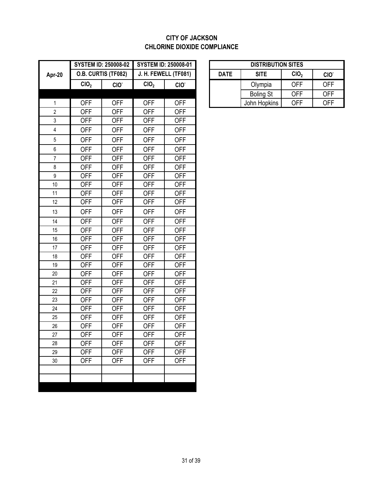### **CITY OF JACKSON CHLORINE DIOXIDE COMPLIANCE**

|                |                  | <b>SYSTEM ID: 250008-02</b> |                  | <b>SYSTEM ID: 250008-01</b> |             | <b>DISTRIBUTION SITES</b> |                  |                  |
|----------------|------------------|-----------------------------|------------------|-----------------------------|-------------|---------------------------|------------------|------------------|
| Apr-20         |                  | O.B. CURTIS (TF082)         |                  | J. H. FEWELL (TF081)        | <b>DATE</b> | <b>SITE</b>               | CIO <sub>2</sub> | CIO <sup>.</sup> |
|                | CIO <sub>2</sub> | CIO.                        | CIO <sub>2</sub> | CIO.                        |             | Olympia                   | <b>OFF</b>       | <b>OFF</b>       |
|                |                  |                             |                  |                             |             | <b>Boling St</b>          | <b>OFF</b>       | <b>OFF</b>       |
| $\mathbf{1}$   | <b>OFF</b>       | <b>OFF</b>                  | <b>OFF</b>       | <b>OFF</b>                  |             | John Hopkins              | <b>OFF</b>       | <b>OFF</b>       |
| $\overline{c}$ | <b>OFF</b>       | <b>OFF</b>                  | <b>OFF</b>       | <b>OFF</b>                  |             |                           |                  |                  |
| $\mathsf 3$    | <b>OFF</b>       | <b>OFF</b>                  | <b>OFF</b>       | <b>OFF</b>                  |             |                           |                  |                  |
| $\overline{4}$ | <b>OFF</b>       | <b>OFF</b>                  | <b>OFF</b>       | <b>OFF</b>                  |             |                           |                  |                  |
| $\,$ 5 $\,$    | <b>OFF</b>       | <b>OFF</b>                  | <b>OFF</b>       | <b>OFF</b>                  |             |                           |                  |                  |
| $\,6\,$        | <b>OFF</b>       | <b>OFF</b>                  | <b>OFF</b>       | <b>OFF</b>                  |             |                           |                  |                  |
| $\overline{7}$ | <b>OFF</b>       | <b>OFF</b>                  | <b>OFF</b>       | <b>OFF</b>                  |             |                           |                  |                  |
| 8              | <b>OFF</b>       | <b>OFF</b>                  | <b>OFF</b>       | <b>OFF</b>                  |             |                           |                  |                  |
| 9              | <b>OFF</b>       | <b>OFF</b>                  | <b>OFF</b>       | <b>OFF</b>                  |             |                           |                  |                  |
| $10$           | <b>OFF</b>       | <b>OFF</b>                  | <b>OFF</b>       | <b>OFF</b>                  |             |                           |                  |                  |
| 11             | <b>OFF</b>       | <b>OFF</b>                  | <b>OFF</b>       | <b>OFF</b>                  |             |                           |                  |                  |
| 12             | <b>OFF</b>       | <b>OFF</b>                  | <b>OFF</b>       | <b>OFF</b>                  |             |                           |                  |                  |
| 13             | <b>OFF</b>       | <b>OFF</b>                  | <b>OFF</b>       | <b>OFF</b>                  |             |                           |                  |                  |
| 14             | <b>OFF</b>       | <b>OFF</b>                  | <b>OFF</b>       | <b>OFF</b>                  |             |                           |                  |                  |
| 15             | <b>OFF</b>       | <b>OFF</b>                  | <b>OFF</b>       | <b>OFF</b>                  |             |                           |                  |                  |
| 16             | <b>OFF</b>       | <b>OFF</b>                  | <b>OFF</b>       | <b>OFF</b>                  |             |                           |                  |                  |
| 17             | <b>OFF</b>       | <b>OFF</b>                  | <b>OFF</b>       | <b>OFF</b>                  |             |                           |                  |                  |
| 18             | <b>OFF</b>       | <b>OFF</b>                  | <b>OFF</b>       | <b>OFF</b>                  |             |                           |                  |                  |
| 19             | <b>OFF</b>       | <b>OFF</b>                  | <b>OFF</b>       | <b>OFF</b>                  |             |                           |                  |                  |
| 20             | <b>OFF</b>       | <b>OFF</b>                  | <b>OFF</b>       | <b>OFF</b>                  |             |                           |                  |                  |
| 21             | <b>OFF</b>       | <b>OFF</b>                  | <b>OFF</b>       | <b>OFF</b>                  |             |                           |                  |                  |
| 22             | <b>OFF</b>       | <b>OFF</b>                  | <b>OFF</b>       | <b>OFF</b>                  |             |                           |                  |                  |
| 23             | <b>OFF</b>       | <b>OFF</b>                  | <b>OFF</b>       | <b>OFF</b>                  |             |                           |                  |                  |
| 24             | <b>OFF</b>       | <b>OFF</b>                  | <b>OFF</b>       | <b>OFF</b>                  |             |                           |                  |                  |
| 25             | <b>OFF</b>       | <b>OFF</b>                  | <b>OFF</b>       | <b>OFF</b>                  |             |                           |                  |                  |
| 26             | <b>OFF</b>       | <b>OFF</b>                  | <b>OFF</b>       | <b>OFF</b>                  |             |                           |                  |                  |
| 27             | <b>OFF</b>       | <b>OFF</b>                  | <b>OFF</b>       | <b>OFF</b>                  |             |                           |                  |                  |
| 28             | <b>OFF</b>       | <b>OFF</b>                  | <b>OFF</b>       | <b>OFF</b>                  |             |                           |                  |                  |
| 29             | <b>OFF</b>       | <b>OFF</b>                  | <b>OFF</b>       | <b>OFF</b>                  |             |                           |                  |                  |
| 30             | <b>OFF</b>       | <b>OFF</b>                  | <b>OFF</b>       | <b>OFF</b>                  |             |                           |                  |                  |
|                |                  |                             |                  |                             |             |                           |                  |                  |
|                |                  |                             |                  |                             |             |                           |                  |                  |

|                  | STEM ID: 250008-02        | <b>SYSTEM ID: 250008-01</b> |                  |             | <b>DISTRIBUTION SITES</b> |                  |                  |            |
|------------------|---------------------------|-----------------------------|------------------|-------------|---------------------------|------------------|------------------|------------|
|                  | <b>.B. CURTIS (TF082)</b> | J. H. FEWELL (TF081)        |                  | <b>DATE</b> |                           | <b>SITE</b>      | CIO <sub>2</sub> | CIO.       |
| CIO <sub>2</sub> | CIO <sup>-</sup>          | CIO <sub>2</sub>            | CIO <sup>-</sup> |             |                           | Olympia          | OFF              | <b>OFF</b> |
|                  |                           |                             |                  |             |                           | <b>Boling St</b> | <b>OFF</b>       | <b>OFF</b> |
| OFF              | OFF                       | OFF                         | OFF              |             |                           | John Hopkins     | <b>OFF</b>       | <b>OFF</b> |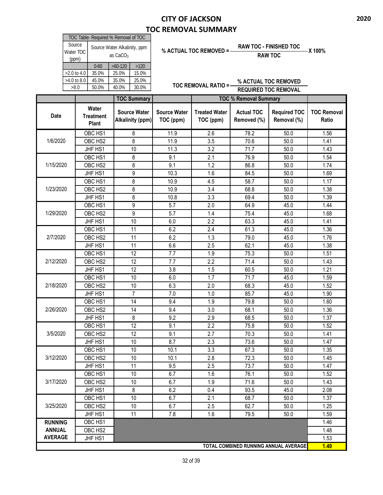### **CITY OF JACKSON TOC REMOVAL SUMMARY**

| TOC Table- Required % Removal of TOC |                                                      |           |       |  |  |  |  |
|--------------------------------------|------------------------------------------------------|-----------|-------|--|--|--|--|
| Source<br>Water TOC<br>(ppm)         | Source Water Alkalinity, ppm<br>as CaCO <sub>3</sub> |           |       |  |  |  |  |
|                                      | $0 - 60$                                             | $>60-120$ | >120  |  |  |  |  |
| $>2.0$ to 4.0                        | 35.0%                                                | 25.0%     | 15.0% |  |  |  |  |
| $>4.0$ to 8.0                        | 45.0%<br>25.0%<br>35.0%                              |           |       |  |  |  |  |
| >8.0                                 | 50.0%                                                | 40.0%     | 30.0% |  |  |  |  |

### **% ACTUAL TOC REMOVED = RAW TOC - FINISHED TOC X 100%**

**RAW TOC**

**TOC REMOVAL RATIO = % ACTUAL TOC REMOVED REQUIRED TOC REMOVAL**

|                |                                           | <b>TOC Summary</b>                      |                                  | <b>TOC % Removal Summary</b>      |                                  |                                       |                             |
|----------------|-------------------------------------------|-----------------------------------------|----------------------------------|-----------------------------------|----------------------------------|---------------------------------------|-----------------------------|
| Date           | Water<br><b>Treatment</b><br><b>Plant</b> | <b>Source Water</b><br>Alkalinity (ppm) | <b>Source Water</b><br>TOC (ppm) | <b>Treated Water</b><br>TOC (ppm) | <b>Actual TOC</b><br>Removed (%) | <b>Required TOC</b><br>Removal (%)    | <b>TOC Removal</b><br>Ratio |
|                | OBC HS1                                   | 8                                       | 11.9                             | 2.6                               | 78.2                             | 50.0                                  | 1.56                        |
| 1/6/2020       | OBC HS2                                   | 8                                       | 11.9                             | 3.5                               | 70.6                             | 50.0                                  | 1.41                        |
|                | JHF HS1                                   | 10                                      | 11.3                             | 3.2                               | 71.7                             | 50.0                                  | 1.43                        |
|                | OBC HS1                                   | 8                                       | 9.1                              | 2.1                               | 76.9                             | 50.0                                  | 1.54                        |
| 1/15/2020      | OBC HS2                                   | 8                                       | 9.1                              | 1.2                               | 86.8                             | 50.0                                  | 1.74                        |
|                | JHF HS1                                   | 9                                       | 10.3                             | 1.6                               | 84.5                             | 50.0                                  | 1.69                        |
|                | OBC HS1                                   | 8                                       | 10.9                             | 4.5                               | 58.7                             | 50.0                                  | 1.17                        |
| 1/23/2020      | OBC HS2                                   | 8                                       | 10.9                             | 3.4                               | 68.8                             | 50.0                                  | 1.38                        |
|                | JHF HS1                                   | 8                                       | 10.8                             | 3.3                               | 69.4                             | 50.0                                  | 1.39                        |
|                | OBC HS1                                   | 9                                       | 5.7                              | 2.0                               | 64.9                             | 45.0                                  | 1.44                        |
| 1/29/2020      | OBC HS2                                   | 9                                       | 5.7                              | 1.4                               | 75.4                             | 45.0                                  | 1.68                        |
|                | JHF HS1                                   | 10                                      | 6.0                              | 2.2                               | 63.3                             | 45.0                                  | 1.41                        |
|                | OBC HS1                                   | $\overline{11}$                         | 6.2                              | 2.4                               | 61.3                             | 45.0                                  | 1.36                        |
| 2/7/2020       | OBC HS2                                   | 11                                      | 6.2                              | 1.3                               | 79.0                             | 45.0                                  | 1.76                        |
|                | JHF HS1                                   | 11                                      | 6.6                              | 2.5                               | 62.1                             | 45.0                                  | 1.38                        |
|                | OBC HS1                                   | $\overline{12}$                         | 7.7                              | 1.9                               | 75.3                             | 50.0                                  | 1.51                        |
| 2/12/2020      | OBC HS2                                   | 12                                      | 7.7                              | 2.2                               | 71.4                             | 50.0                                  | 1.43                        |
|                | JHF HS1                                   | 12                                      | 3.8                              | 1.5                               | 60.5                             | 50.0                                  | 1.21                        |
|                | OBC HS1                                   | 10                                      | 6.0                              | 1.7                               | 71.7                             | 45.0                                  | 1.59                        |
| 2/18/2020      | OBC HS2                                   | 10                                      | 6.3                              | 2.0                               | 68.3                             | 45.0                                  | 1.52                        |
|                | JHF HS1                                   | $\overline{7}$                          | $7.0$                            | 1.0                               | 85.7                             | 45.0                                  | 1.90                        |
|                | OBC HS1                                   | 14                                      | 9.4                              | 1.9                               | 79.8                             | 50.0                                  | 1.60                        |
| 2/26/2020      | OBC HS2                                   | 14                                      | 9.4                              | 3.0                               | 68.1                             | 50.0                                  | 1.36                        |
|                | JHF HS1                                   | 8                                       | 9.2                              | 2.9                               | 68.5                             | 50.0                                  | 1.37                        |
|                | OBC HS1                                   | $\overline{12}$                         | 9.1                              | 2.2                               | 75.8                             | 50.0                                  | 1.52                        |
| 3/5/2020       | OBC HS2                                   | 12                                      | 9.1                              | 2.7                               | 70.3                             | 50.0                                  | 1.41                        |
|                | JHF HS1                                   | 10                                      | 8.7                              | 2.3                               | 73.6                             | 50.0                                  | 1.47                        |
|                | OBC HS1                                   | 10                                      | 10.1                             | 3.3                               | 67.3                             | 50.0                                  | 1.35                        |
| 3/12/2020      | OBC HS2                                   | 10                                      | 10.1                             | 2.8                               | 72.3                             | 50.0                                  | 1.45                        |
|                | JHF HS1                                   | 11                                      | 9.5                              | 2.5                               | 73.7                             | 50.0                                  | 1.47                        |
|                | OBC <sub>HS1</sub>                        | 10                                      | 6.7                              | $1.6\,$                           | 76.1                             | 50.0                                  | 1.52                        |
| 3/17/2020      | OBC HS2                                   | 10                                      | 6.7                              | 1.9                               | 71.6                             | 50.0                                  | 1.43                        |
|                | JHF HS1                                   | 8                                       | 6.2                              | 0.4                               | 93.5                             | 45.0                                  | 2.08                        |
|                | OBC HS1                                   | 10                                      | 6.7                              | 2.1                               | 68.7                             | 50.0                                  | 1.37                        |
| 3/25/2020      | OBC HS2                                   | 10                                      | 6.7                              | 2.5                               | 62.7                             | 50.0                                  | 1.25                        |
|                | JHF HS1                                   | 11                                      | 7.8                              | 1.6                               | 79.5                             | 50.0                                  | 1.59                        |
| <b>RUNNING</b> | OBC HS1                                   |                                         |                                  |                                   |                                  |                                       | 1.46                        |
| <b>ANNUAL</b>  | OBC HS2                                   |                                         |                                  |                                   |                                  |                                       | 1.48                        |
| <b>AVERAGE</b> | JHF HS1                                   |                                         |                                  |                                   |                                  |                                       | 1.53                        |
|                |                                           |                                         |                                  |                                   |                                  | TOTAL COMBINED RUNNING ANNUAL AVERAGE | 1.49                        |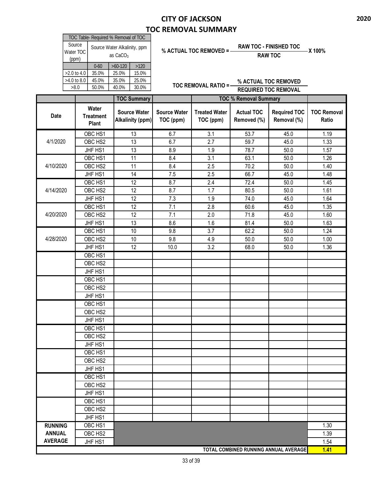### **CITY OF JACKSON TOC REMOVAL SUMMARY**

| TOC Table- Required % Removal of TOC |                                                      |       |       |  |  |  |  |
|--------------------------------------|------------------------------------------------------|-------|-------|--|--|--|--|
| Source<br>Water TOC<br>(ppm)         | Source Water Alkalinity, ppm<br>as CaCO <sub>3</sub> |       |       |  |  |  |  |
|                                      | $>60-120$<br>>120<br>$0 - 60$                        |       |       |  |  |  |  |
| $>2.0$ to 4.0                        | 35.0%                                                | 25.0% | 15.0% |  |  |  |  |
| $>4.0$ to 8.0                        | 45.0%                                                | 35.0% | 25.0% |  |  |  |  |
| >8.0                                 | 50.0%                                                | 40.0% | 30.0% |  |  |  |  |

### **% ACTUAL TOC REMOVED = RAW TOC - FINISHED TOC X 100%**

**RAW TOC**

**TOC REMOVAL RATIO = % ACTUAL TOC REMOVED REQUIRED TOC REMOVAL**

|                                       |                                    | <b>TOC Summary</b>                      |                                  | <b>TOC % Removal Summary</b>      |                                  |                                    |                             |
|---------------------------------------|------------------------------------|-----------------------------------------|----------------------------------|-----------------------------------|----------------------------------|------------------------------------|-----------------------------|
| Date                                  | Water<br><b>Treatment</b><br>Plant | <b>Source Water</b><br>Alkalinity (ppm) | <b>Source Water</b><br>TOC (ppm) | <b>Treated Water</b><br>TOC (ppm) | <b>Actual TOC</b><br>Removed (%) | <b>Required TOC</b><br>Removal (%) | <b>TOC Removal</b><br>Ratio |
|                                       | OBC HS1                            | 13                                      | 6.7                              | $\overline{3.1}$                  | 53.7                             | 45.0                               | 1.19                        |
| 4/1/2020                              | OBC HS2                            | 13                                      | 6.7                              | 2.7                               | 59.7                             | 45.0                               | 1.33                        |
|                                       | JHF HS1                            | $\overline{13}$                         | 8.9                              | 1.9                               | 78.7                             | 50.0                               | 1.57                        |
|                                       | OBC HS1                            | 11                                      | 8.4                              | 3.1                               | 63.1                             | 50.0                               | 1.26                        |
| 4/10/2020                             | OBC HS2                            | 11                                      | 8.4                              | 2.5                               | 70.2                             | 50.0                               | 1.40                        |
|                                       | JHF HS1                            | 14                                      | 7.5                              | 2.5                               | 66.7                             | 45.0                               | 1.48                        |
|                                       | OBC HS1                            | 12                                      | 8.7                              | 2.4                               | 72.4                             | 50.0                               | 1.45                        |
| 4/14/2020                             | OBC HS2                            | 12                                      | 8.7                              | 1.7                               | 80.5                             | 50.0                               | 1.61                        |
|                                       | JHF HS1                            | 12                                      | 7.3                              | 1.9                               | 74.0                             | 45.0                               | 1.64                        |
|                                       | OBC HS1                            | 12                                      | 7.1                              | $\overline{2.8}$                  | 60.6                             | 45.0                               | 1.35                        |
| 4/20/2020                             | OBC HS2                            | 12                                      | 7.1                              | 2.0                               | 71.8                             | 45.0                               | 1.60                        |
|                                       | JHF HS1                            | 13                                      | 8.6                              | 1.6                               | 81.4                             | 50.0                               | 1.63                        |
|                                       | OBC HS1                            | 10                                      | 9.8                              | 3.7                               | 62.2                             | 50.0                               | 1.24                        |
| 4/28/2020                             | OBC HS2                            | 10                                      | 9.8                              | 4.9                               | 50.0                             | 50.0                               | 1.00                        |
|                                       | JHF HS1                            | 12                                      | 10.0                             | 3.2                               | 68.0                             | 50.0                               | 1.36                        |
|                                       | OBC HS1                            |                                         |                                  |                                   |                                  |                                    |                             |
|                                       | OBC HS2                            |                                         |                                  |                                   |                                  |                                    |                             |
|                                       | JHF HS1                            |                                         |                                  |                                   |                                  |                                    |                             |
|                                       | OBC HS1                            |                                         |                                  |                                   |                                  |                                    |                             |
|                                       | OBC HS2                            |                                         |                                  |                                   |                                  |                                    |                             |
|                                       | JHF HS1                            |                                         |                                  |                                   |                                  |                                    |                             |
|                                       | OBC HS1                            |                                         |                                  |                                   |                                  |                                    |                             |
|                                       | OBC HS2                            |                                         |                                  |                                   |                                  |                                    |                             |
|                                       | JHF HS1                            |                                         |                                  |                                   |                                  |                                    |                             |
|                                       | OBC HS1                            |                                         |                                  |                                   |                                  |                                    |                             |
|                                       | OBC HS2                            |                                         |                                  |                                   |                                  |                                    |                             |
|                                       | JHF HS1                            |                                         |                                  |                                   |                                  |                                    |                             |
|                                       | OBC HS1                            |                                         |                                  |                                   |                                  |                                    |                             |
|                                       | OBC HS2                            |                                         |                                  |                                   |                                  |                                    |                             |
|                                       | JHF HS1                            |                                         |                                  |                                   |                                  |                                    |                             |
|                                       | OBC HS1                            |                                         |                                  |                                   |                                  |                                    |                             |
|                                       | OBC HS2                            |                                         |                                  |                                   |                                  |                                    |                             |
|                                       | JHF HS1                            |                                         |                                  |                                   |                                  |                                    |                             |
|                                       | OBC HS1                            |                                         |                                  |                                   |                                  |                                    |                             |
|                                       | OBC HS2                            |                                         |                                  |                                   |                                  |                                    |                             |
|                                       | JHF HS1                            |                                         |                                  |                                   |                                  |                                    |                             |
| <b>RUNNING</b>                        | OBC HS1                            |                                         |                                  |                                   |                                  |                                    |                             |
| <b>ANNUAL</b>                         | OBC HS2                            |                                         |                                  |                                   |                                  |                                    | 1.30<br>1.39                |
| <b>AVERAGE</b>                        | JHF HS1                            |                                         |                                  |                                   |                                  |                                    | 1.54                        |
| TOTAL COMBINED RUNNING ANNUAL AVERAGE |                                    |                                         |                                  |                                   |                                  |                                    | 1.41                        |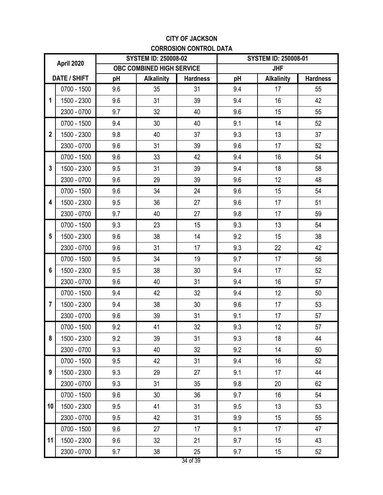### **CITY OF JACKSON CORROSION CONTROL DATA**

| April 2020       |             |     | <b>SYSTEM ID: 250008-02</b> |                 | <b>SYSTEM ID: 250008-01</b> |                   |                 |
|------------------|-------------|-----|-----------------------------|-----------------|-----------------------------|-------------------|-----------------|
|                  |             |     | OBC COMBINED HIGH SERVICE   |                 | <b>JHF</b>                  |                   |                 |
| DATE / SHIFT     |             | pH  | <b>Alkalinity</b>           | <b>Hardness</b> | pH                          | <b>Alkalinity</b> | <b>Hardness</b> |
|                  | 0700 - 1500 | 9.6 | 35                          | 31              | 9.4                         | 17                | 55              |
| 1                | 1500 - 2300 | 9.6 | 31                          | 39              | 9.4                         | 16                | 42              |
|                  | 2300 - 0700 | 9.7 | 32                          | 40              | 9.6                         | 15                | 55              |
|                  | 0700 - 1500 | 9.4 | 30                          | 40              | 9.1                         | 14                | 52              |
| $\boldsymbol{2}$ | 1500 - 2300 | 9.8 | 40                          | 37              | 9.3                         | 13                | 37              |
|                  | 2300 - 0700 | 9.6 | 31                          | 39              | 9.6                         | 17                | 52              |
|                  | 0700 - 1500 | 9.6 | 33                          | 42              | 9.4                         | 16                | 54              |
| 3                | 1500 - 2300 | 9.5 | 31                          | 39              | 9.4                         | 18                | 58              |
|                  | 2300 - 0700 | 9.6 | 29                          | 39              | 9.6                         | 12                | 48              |
|                  | 0700 - 1500 | 9.6 | 34                          | 24              | 9.6                         | 15                | 54              |
| 4                | 1500 - 2300 | 9.5 | 36                          | 27              | 9.6                         | 17                | 51              |
|                  | 2300 - 0700 | 9.7 | 40                          | 27              | 9.8                         | 17                | 59              |
|                  | 0700 - 1500 | 9.3 | 23                          | 15              | 9.3                         | 13                | 54              |
| 5                | 1500 - 2300 | 9.6 | 38                          | 14              | 9.2                         | 15                | 38              |
|                  | 2300 - 0700 | 9.6 | 31                          | 17              | 9.3                         | 22                | 42              |
|                  | 0700 - 1500 | 9.5 | 34                          | 19              | 9.7                         | 17                | 56              |
| 6                | 1500 - 2300 | 9.5 | 38                          | 30              | 9.4                         | 17                | 52              |
|                  | 2300 - 0700 | 9.6 | 40                          | 31              | 9.4                         | 16                | 57              |
|                  | 0700 - 1500 | 9.4 | 42                          | 32              | 9.4                         | 12                | 50              |
| $\overline{7}$   | 1500 - 2300 | 9.4 | 38                          | 30              | 9.6                         | 17                | 53              |
|                  | 2300 - 0700 | 9.6 | 39                          | 31              | 9.1                         | 17                | 57              |
|                  | 0700 - 1500 | 9.2 | 41                          | 32              | 9.3                         | 12                | 57              |
| 8                | 1500 - 2300 | 9.2 | 39                          | 31              | 9.3                         | 18                | 44              |
|                  | 2300 - 0700 | 9.3 | 40                          | 32              | 9.2                         | 14                | 50              |
|                  | 0700 - 1500 | 9.5 | 42                          | 31              | 9.4                         | 16                | 52              |
| 9                | 1500 - 2300 | 9.3 | 29                          | 27              | 9.1                         | 17                | 44              |
|                  | 2300 - 0700 | 9.3 | 31                          | 35              | 9.8                         | 20                | 62              |
|                  | 0700 - 1500 | 9.6 | 30                          | 36              | 9.7                         | 16                | 54              |
| 10               | 1500 - 2300 | 9.5 | 41                          | 31              | 9.5                         | 13                | 53              |
|                  | 2300 - 0700 | 9.5 | 42                          | 31              | 9.9                         | 15                | 55              |
|                  | 0700 - 1500 | 9.6 | 27                          | 17              | 9.1                         | 17                | 47              |
| 11               | 1500 - 2300 | 9.6 | 32                          | 21              | 9.7                         | 15                | 43              |
|                  | 2300 - 0700 | 9.7 | 38                          | 25              | 9.7                         | 15                | 52              |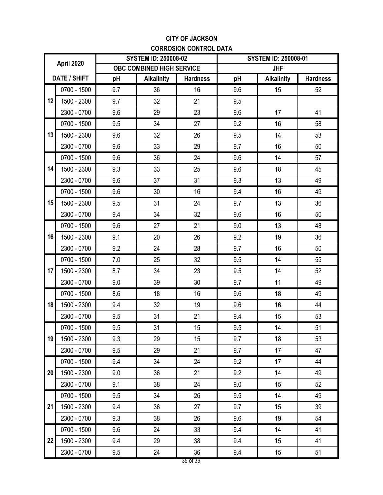### **CITY OF JACKSON CORROSION CONTROL DATA**

| April 2020   |             |     | <b>SYSTEM ID: 250008-02</b> |                 | <b>SYSTEM ID: 250008-01</b> |                   |                 |
|--------------|-------------|-----|-----------------------------|-----------------|-----------------------------|-------------------|-----------------|
|              |             |     | OBC COMBINED HIGH SERVICE   |                 | <b>JHF</b>                  |                   |                 |
| DATE / SHIFT |             | pH  | <b>Alkalinity</b>           | <b>Hardness</b> | pH                          | <b>Alkalinity</b> | <b>Hardness</b> |
|              | 0700 - 1500 | 9.7 | 36                          | 16              | 9.6                         | 15                | 52              |
| 12           | 1500 - 2300 | 9.7 | 32                          | 21              | 9.5                         |                   |                 |
|              | 2300 - 0700 | 9.6 | 29                          | 23              | 9.6                         | 17                | 41              |
|              | 0700 - 1500 | 9.5 | 34                          | 27              | 9.2                         | 16                | 58              |
| 13           | 1500 - 2300 | 9.6 | 32                          | 26              | 9.5                         | 14                | 53              |
|              | 2300 - 0700 | 9.6 | 33                          | 29              | 9.7                         | 16                | 50              |
|              | 0700 - 1500 | 9.6 | 36                          | 24              | 9.6                         | 14                | 57              |
| 14           | 1500 - 2300 | 9.3 | 33                          | 25              | 9.6                         | 18                | 45              |
|              | 2300 - 0700 | 9.6 | 37                          | 31              | 9.3                         | 13                | 49              |
|              | 0700 - 1500 | 9.6 | 30                          | 16              | 9.4                         | 16                | 49              |
| 15           | 1500 - 2300 | 9.5 | 31                          | 24              | 9.7                         | 13                | 36              |
|              | 2300 - 0700 | 9.4 | 34                          | 32              | 9.6                         | 16                | 50              |
| 16           | 0700 - 1500 | 9.6 | 27                          | 21              | 9.0                         | 13                | 48              |
|              | 1500 - 2300 | 9.1 | 20                          | 26              | 9.2                         | 19                | 36              |
|              | 2300 - 0700 | 9.2 | 24                          | 28              | 9.7                         | 16                | 50              |
|              | 0700 - 1500 | 7.0 | 25                          | 32              | 9.5                         | 14                | 55              |
| 17           | 1500 - 2300 | 8.7 | 34                          | 23              | 9.5                         | 14                | 52              |
|              | 2300 - 0700 | 9.0 | 39                          | 30              | 9.7                         | 11                | 49              |
|              | 0700 - 1500 | 8.6 | 18                          | 16              | 9.6                         | 18                | 49              |
| 18           | 1500 - 2300 | 9.4 | 32                          | 19              | 9.6                         | 16                | 44              |
|              | 2300 - 0700 | 9.5 | 31                          | 21              | 9.4                         | 15                | 53              |
|              | 0700 - 1500 | 9.5 | 31                          | 15              | 9.5                         | 14                | 51              |
| 19           | 1500 - 2300 | 9.3 | 29                          | 15              | 9.7                         | 18                | 53              |
|              | 2300 - 0700 | 9.5 | 29                          | 21              | 9.7                         | 17                | 47              |
|              | 0700 - 1500 | 9.4 | 34                          | 24              | 9.2                         | 17                | 44              |
| 20           | 1500 - 2300 | 9.0 | 36                          | 21              | 9.2                         | 14                | 49              |
|              | 2300 - 0700 | 9.1 | 38                          | 24              | 9.0                         | 15                | 52              |
|              | 0700 - 1500 | 9.5 | 34                          | 26              | 9.5                         | 14                | 49              |
| 21           | 1500 - 2300 | 9.4 | 36                          | 27              | 9.7                         | 15                | 39              |
|              | 2300 - 0700 | 9.3 | 38                          | 26              | 9.6                         | 19                | 54              |
|              | 0700 - 1500 | 9.6 | 24                          | 33              | 9.4                         | 14                | 41              |
| 22           | 1500 - 2300 | 9.4 | 29                          | 38              | 9.4                         | 15                | 41              |
|              | 2300 - 0700 | 9.5 | 24                          | 36              | 9.4                         | 15 <sub>15</sub>  | 51              |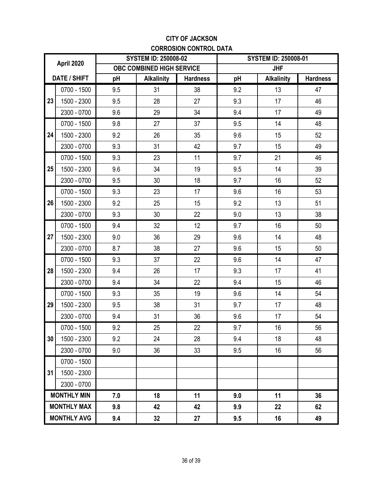### **CITY OF JACKSON CORROSION CONTROL DATA**

| April 2020         |             |     | <b>SYSTEM ID: 250008-02</b>      |                 | <b>SYSTEM ID: 250008-01</b> |                   |                 |
|--------------------|-------------|-----|----------------------------------|-----------------|-----------------------------|-------------------|-----------------|
|                    |             |     | <b>OBC COMBINED HIGH SERVICE</b> |                 | <b>JHF</b>                  |                   |                 |
| DATE / SHIFT       |             | pH  | <b>Alkalinity</b>                | <b>Hardness</b> | pH                          | <b>Alkalinity</b> | <b>Hardness</b> |
|                    | 0700 - 1500 | 9.5 | 31                               | 38              | 9.2                         | 13                | 47              |
| 23                 | 1500 - 2300 | 9.5 | 28                               | 27              | 9.3                         | 17                | 46              |
|                    | 2300 - 0700 | 9.6 | 29                               | 34              | 9.4                         | 17                | 49              |
|                    | 0700 - 1500 | 9.8 | 27                               | 37              | 9.5                         | 14                | 48              |
| 24                 | 1500 - 2300 | 9.2 | 26                               | 35              | 9.6                         | 15                | 52              |
|                    | 2300 - 0700 | 9.3 | 31                               | 42              | 9.7                         | 15                | 49              |
|                    | 0700 - 1500 | 9.3 | 23                               | 11              | 9.7                         | 21                | 46              |
| 25                 | 1500 - 2300 | 9.6 | 34                               | 19              | 9.5                         | 14                | 39              |
|                    | 2300 - 0700 | 9.5 | 30                               | 18              | 9.7                         | 16                | 52              |
|                    | 0700 - 1500 | 9.3 | 23                               | 17              | 9.6                         | 16                | 53              |
| 26                 | 1500 - 2300 | 9.2 | 25                               | 15              | 9.2                         | 13                | 51              |
|                    | 2300 - 0700 | 9.3 | 30                               | 22              | 9.0                         | 13                | 38              |
|                    | 0700 - 1500 | 9.4 | 32                               | 12              | 9.7                         | 16                | 50              |
| 27                 | 1500 - 2300 | 9.0 | 36                               | 29              | 9.6                         | 14                | 48              |
|                    | 2300 - 0700 | 8.7 | 38                               | 27              | 9.6                         | 15                | 50              |
|                    | 0700 - 1500 | 9.3 | 37                               | 22              | 9.6                         | 14                | 47              |
| 28                 | 1500 - 2300 | 9.4 | 26                               | 17              | 9.3                         | 17                | 41              |
|                    | 2300 - 0700 | 9.4 | 34                               | 22              | 9.4                         | 15                | 46              |
|                    | 0700 - 1500 | 9.3 | 35                               | 19              | 9.6                         | 14                | 54              |
| 29                 | 1500 - 2300 | 9.5 | 38                               | 31              | 9.7                         | 17                | 48              |
|                    | 2300 - 0700 | 9.4 | 31                               | 36              | 9.6                         | 17                | 54              |
|                    | 0700 - 1500 | 9.2 | 25                               | 22              | 9.7                         | 16                | 56              |
| 30                 | 1500 - 2300 | 9.2 | 24                               | 28              | 9.4                         | 18                | 48              |
|                    | 2300 - 0700 | 9.0 | 36                               | 33              | 9.5                         | 16                | 56              |
|                    | 0700 - 1500 |     |                                  |                 |                             |                   |                 |
| 31                 | 1500 - 2300 |     |                                  |                 |                             |                   |                 |
|                    | 2300 - 0700 |     |                                  |                 |                             |                   |                 |
| <b>MONTHLY MIN</b> |             | 7.0 | 18                               | 11              | 9.0                         | 11                | 36              |
| <b>MONTHLY MAX</b> |             | 9.8 | 42                               | 42              | 9.9                         | 22                | 62              |
| <b>MONTHLY AVG</b> |             | 9.4 | 32                               | 27              | 9.5                         | 16                | 49              |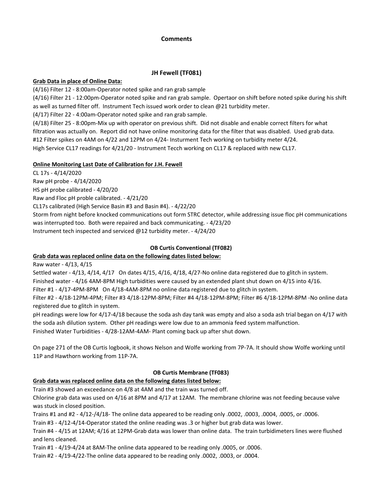#### **Comments**

### **JH Fewell (TF081)**

#### **Grab Data in place of Online Data:**

(4/16) Filter 12 - 8:00am-Operator noted spike and ran grab sample

(4/16) Filter 21 - 12:00pm-Operator noted spike and ran grab sample. Opertaor on shift before noted spike during his shift as well as turned filter off. Instrument Tech issued work order to clean @21 turbidity meter.

(4/17) Filter 22 - 4:00am-Operator noted spike and ran grab sample.

(4/18) Filter 25 - 8:00pm-Mix up with operator on previous shift. Did not disable and enable correct filters for what filtration was actually on. Report did not have online monitoring data for the filter that was disabled. Used grab data. #12 Filter spikes on 4AM on 4/22 and 12PM on 4/24- Insturment Tech working on turbidity meter 4/24. High Service CL17 readings for 4/21/20 - Instrument Tecch working on CL17 & replaced with new CL17.

### **Online Monitoring Last Date of Calibration for J.H. Fewell**

CL 17s - 4/14/2020

Raw pH probe - 4/14/2020

HS pH probe calibrated - 4/20/20

Raw and Floc pH proble calibrated. - 4/21/20

CL17s calibrated (High Service Basin #3 and Basin #4). - 4/22/20

Storm from night before knocked communications out form STRC detector, while addressing issue floc pH communications was interrupted too. Both were repaired and back communicating. - 4/23/20 Instrument tech inspected and serviced @12 turbidity meter. - 4/24/20

### **OB Curtis Conventional (TF082)**

### **Grab data was replaced online data on the following dates listed below:**

Raw water - 4/13, 4/15

Settled water - 4/13, 4/14, 4/17 On dates 4/15, 4/16, 4/18, 4/27-No online data registered due to glitch in system.

Finished water - 4/16 4AM-8PM High turbidities were caused by an extended plant shut down on 4/15 into 4/16.

Filter #1 - 4/17-4PM-8PM On 4/18-4AM-8PM no online data registered due to glitch in system.

Filter #2 - 4/18-12PM-4PM; Filter #3 4/18-12PM-8PM; Filter #4 4/18-12PM-8PM; Filter #6 4/18-12PM-8PM -No online data registered due to glitch in system.

pH readings were low for 4/17-4/18 because the soda ash day tank was empty and also a soda ash trial began on 4/17 with the soda ash dilution system. Other pH readings were low due to an ammonia feed system malfunction.

Finished Water Turbidities - 4/28-12AM-4AM- Plant coming back up after shut down.

On page 271 of the OB Curtis logbook, it shows Nelson and Wolfe working from 7P-7A. It should show Wolfe working until 11P and Hawthorn working from 11P-7A.

### **OB Curtis Membrane (TF083)**

### **Grab data was replaced online data on the following dates listed below:**

Train #3 showed an exceedance on 4/8 at 4AM and the train was turned off.

Chlorine grab data was used on 4/16 at 8PM and 4/17 at 12AM. The membrane chlorine was not feeding because valve was stuck in closed position.

Trains #1 and #2 - 4/12-/4/18- The online data appeared to be reading only .0002, .0003, .0004, .0005, or .0006.

Train #3 - 4/12-4/14-Operator stated the online reading was .3 or higher but grab data was lower.

Train #4 - 4/15 at 12AM; 4/16 at 12PM-Grab data was lower than online data. The train turbidimeters lines were flushed and lens cleaned.

Train #1 - 4/19-4/24 at 8AM-The online data appeared to be reading only .0005, or .0006.

Train #2 - 4/19-4/22-The online data appeared to be reading only .0002, .0003, or .0004.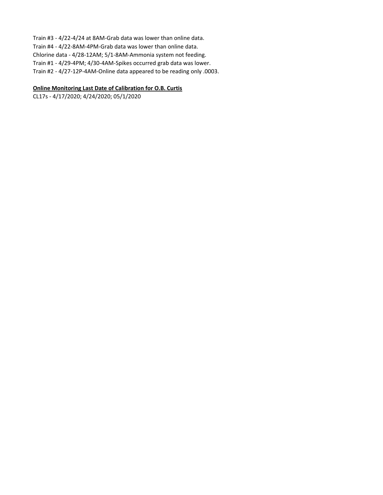Train #3 - 4/22-4/24 at 8AM-Grab data was lower than online data. Train #4 - 4/22-8AM-4PM-Grab data was lower than online data. Chlorine data - 4/28-12AM; 5/1-8AM-Ammonia system not feeding. Train #1 - 4/29-4PM; 4/30-4AM-Spikes occurred grab data was lower. Train #2 - 4/27-12P-4AM-Online data appeared to be reading only .0003.

#### **Online Monitoring Last Date of Calibration for O.B. Curtis**

CL17s - 4/17/2020; 4/24/2020; 05/1/2020